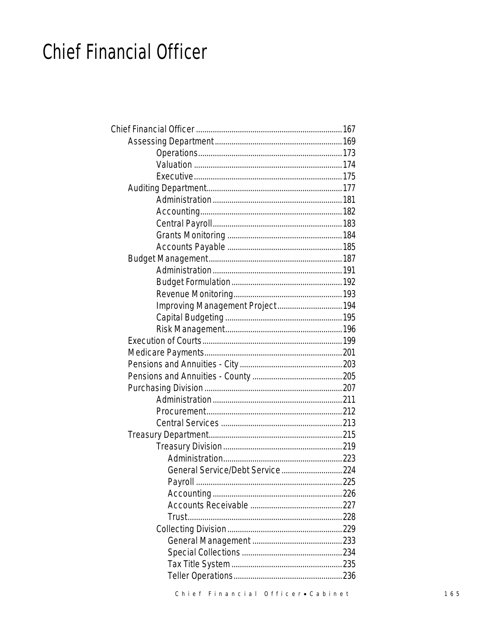## **Chief Financial Officer**

| Improving Management Project 194 |  |
|----------------------------------|--|
|                                  |  |
|                                  |  |
|                                  |  |
|                                  |  |
|                                  |  |
|                                  |  |
|                                  |  |
|                                  |  |
|                                  |  |
|                                  |  |
|                                  |  |
|                                  |  |
|                                  |  |
| General Service/Debt Service 224 |  |
|                                  |  |
|                                  |  |
|                                  |  |
|                                  |  |
|                                  |  |
|                                  |  |
|                                  |  |
|                                  |  |
|                                  |  |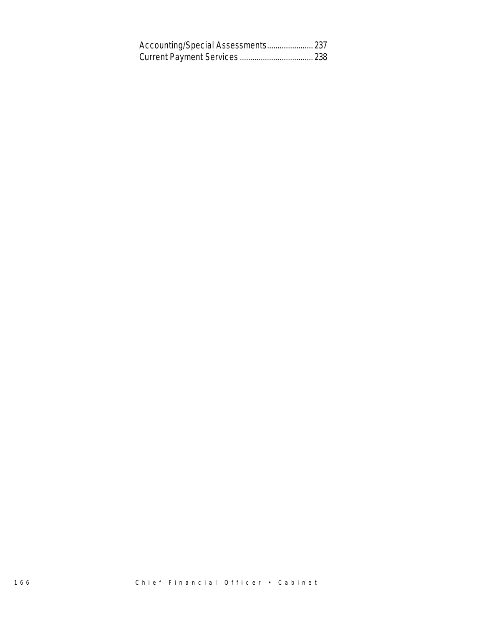| Accounting/Special Assessments 237 |  |
|------------------------------------|--|
|                                    |  |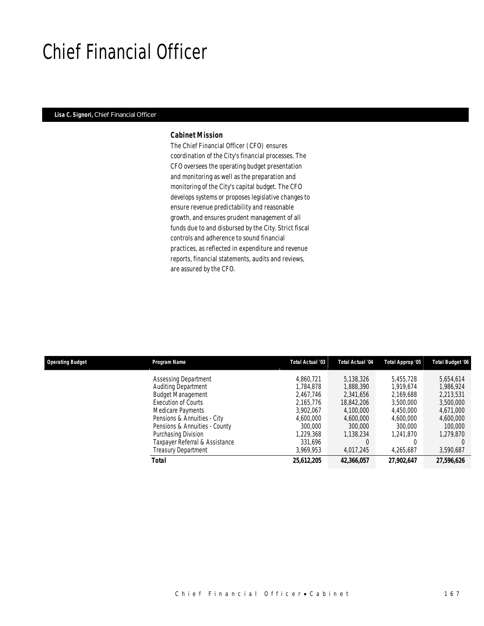## Chief Financial Officer

### *Lisa C. Signori, Chief Financial Officer*

#### *Cabinet Mission*

The Chief Financial Officer (CFO) ensures coordination of the City's financial processes. The CFO oversees the operating budget presentation and monitoring as well as the preparation and monitoring of the City's capital budget. The CFO develops systems or proposes legislative changes to ensure revenue predictability and reasonable growth, and ensures prudent management of all funds due to and disbursed by the City. Strict fiscal controls and adherence to sound financial practices, as reflected in expenditure and revenue reports, financial statements, audits and reviews, are assured by the CFO.

| <b>Operating Budget</b> | Program Name                   | Total Actual '03 | Total Actual '04 | Total Approp '05 | <b>Total Budget '06</b> |
|-------------------------|--------------------------------|------------------|------------------|------------------|-------------------------|
|                         | Assessing Department           | 4.860.721        | 5,138,326        | 5.455.728        | 5,654,614               |
|                         | Auditing Department            | 1.784.878        | 1,888,390        | 1.919.674        | 1,986,924               |
|                         | <b>Budget Management</b>       | 2.467.746        | 2,341,656        | 2,169,688        | 2,213,531               |
|                         | Execution of Courts            | 2.165.776        | 18,842,206       | 3,500,000        | 3,500,000               |
|                         | Medicare Payments              | 3.902.067        | 4,100,000        | 4.450.000        | 4,671,000               |
|                         | Pensions & Annuities - City    | 4.600.000        | 4,600,000        | 4,600,000        | 4,600,000               |
|                         | Pensions & Annuities - County  | 300,000          | 300,000          | 300,000          | 100,000                 |
|                         | Purchasing Division            | 1.229.368        | 1,138,234        | 1.241.870        | 1,279,870               |
|                         | Taxpayer Referral & Assistance | 331,696          |                  |                  |                         |
|                         | <b>Treasury Department</b>     | 3,969,953        | 4,017,245        | 4,265,687        | 3,590,687               |
|                         | Total                          | 25,612,205       | 42,366,057       | 27,902,647       | 27,596,626              |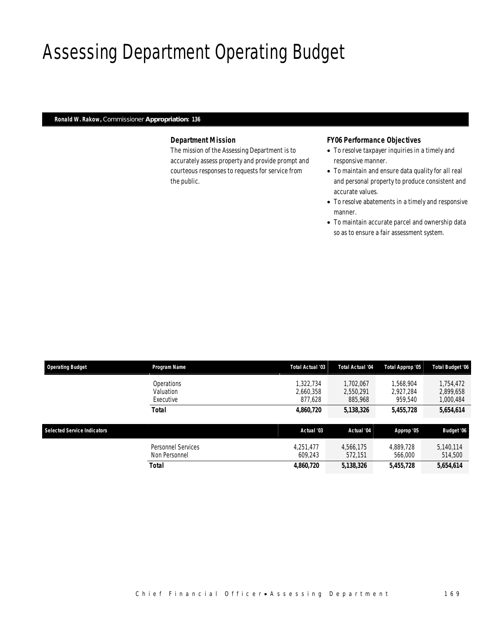# Assessing Department Operating Budget

## *Ronald W. Rakow, Commissioner Appropriation: 136*

## *Department Mission*

The mission of the Assessing Department is to accurately assess property and provide prompt and courteous responses to requests for service from the public.

## *FY06 Performance Objectives*

- To resolve taxpayer inquiries in a timely and responsive manner.
- To maintain and ensure data quality for all real and personal property to produce consistent and accurate values.
- To resolve abatements in a timely and responsive manner.
- To maintain accurate parcel and ownership data so as to ensure a fair assessment system.

| <b>Operating Budget</b>            | <b>Program Name</b>                  | Total Actual '03                  | <b>Total Actual '04</b>           | Total Approp '05                  | <b>Total Budget '06</b>             |
|------------------------------------|--------------------------------------|-----------------------------------|-----------------------------------|-----------------------------------|-------------------------------------|
|                                    | Operations<br>Valuation<br>Executive | 1,322,734<br>2.660.358<br>877.628 | 1.702.067<br>2,550,291<br>885,968 | 1,568,904<br>2.927.284<br>959,540 | 1,754,472<br>2,899,658<br>1,000,484 |
|                                    | Total                                | 4,860,720                         | 5,138,326                         | 5,455,728                         | 5,654,614                           |
| <b>Selected Service Indicators</b> |                                      | Actual '03                        | Actual '04                        | Approp '05                        | Budget '06                          |
|                                    | Personnel Services<br>Non Personnel  | 4,251,477<br>609.243              | 4.566.175<br>572.151              | 4.889.728<br>566,000              | 5,140,114<br>514,500                |
|                                    | Total                                | 4,860,720                         | 5,138,326                         | 5,455,728                         | 5,654,614                           |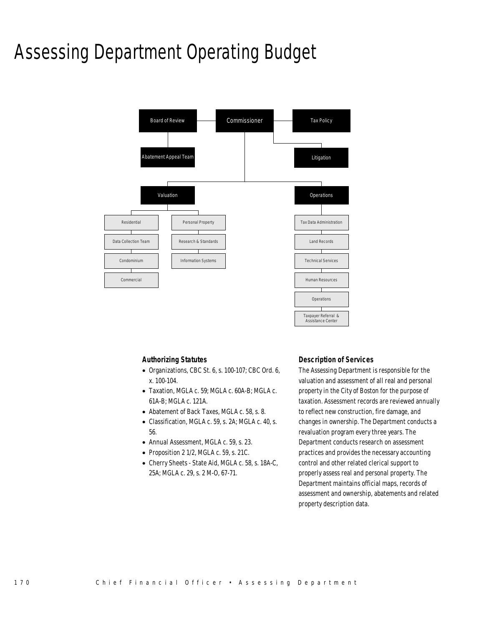## Assessing Department Operating Budget



## *Authorizing Statutes*

- Organizations, CBC St. 6, s. 100-107; CBC Ord. 6, x. 100-104.
- Taxation, MGLA c. 59; MGLA c. 60A-B; MGLA c. 61A-B; MGLA c. 121A.
- Abatement of Back Taxes, MGLA c. 58, s. 8.
- Classification, MGLA c. 59, s. 2A; MGLA c. 40, s. 56.
- Annual Assessment, MGLA c. 59, s. 23.
- Proposition 2 1/2, MGLA c. 59, s. 21C.
- Cherry Sheets State Aid, MGLA c. 58, s. 18A-C, 25A; MGLA c. 29, s. 2 M-O, 67-71.

### *Description of Services*

The Assessing Department is responsible for the valuation and assessment of all real and personal property in the City of Boston for the purpose of taxation. Assessment records are reviewed annually to reflect new construction, fire damage, and changes in ownership. The Department conducts a revaluation program every three years. The Department conducts research on assessment practices and provides the necessary accounting control and other related clerical support to properly assess real and personal property. The Department maintains official maps, records of assessment and ownership, abatements and related property description data.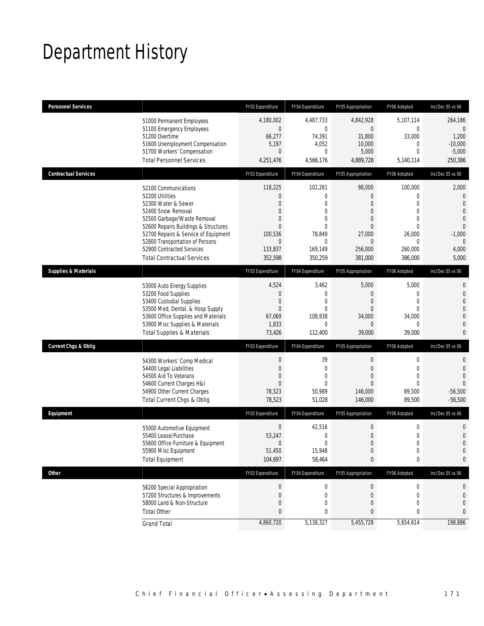# Department History

| <b>Personnel Services</b>       |                                                                                                                                                                                                                                                                                                          | FY03 Expenditure                                                                                                     | FY04 Expenditure                                                                                              | FY05 Appropriation                                                                                                                 | FY06 Adopted                                                                                        | Inc/Dec 05 vs 06                                                                                                                          |
|---------------------------------|----------------------------------------------------------------------------------------------------------------------------------------------------------------------------------------------------------------------------------------------------------------------------------------------------------|----------------------------------------------------------------------------------------------------------------------|---------------------------------------------------------------------------------------------------------------|------------------------------------------------------------------------------------------------------------------------------------|-----------------------------------------------------------------------------------------------------|-------------------------------------------------------------------------------------------------------------------------------------------|
|                                 | 51000 Permanent Employees<br>51100 Emergency Employees<br>51200 Overtime<br>51600 Unemployment Compensation<br>51700 Workers' Compensation<br><b>Total Personnel Services</b>                                                                                                                            | 4,180,002<br>$\boldsymbol{0}$<br>66,277<br>5,197<br>$\overline{0}$<br>4,251,476                                      | 4,487,733<br>$\mathbf 0$<br>74,391<br>4,052<br>$\theta$<br>4,566,176                                          | 4,842,928<br>$\overline{0}$<br>31,800<br>10,000<br>5,000<br>4,889,728                                                              | 5.107.114<br>$\boldsymbol{0}$<br>33,000<br>0<br>$\mathbf 0$<br>5,140,114                            | 264,186<br>$\Omega$<br>1,200<br>$-10,000$<br>$-5,000$<br>250,386                                                                          |
| <b>Contractual Services</b>     |                                                                                                                                                                                                                                                                                                          | FY03 Expenditure                                                                                                     | FY04 Expenditure                                                                                              | FY05 Appropriation                                                                                                                 | FY06 Adopted                                                                                        | Inc/Dec 05 vs 06                                                                                                                          |
|                                 | 52100 Communications<br>52200 Utilities<br>52300 Water & Sewer<br>52400 Snow Removal<br>52500 Garbage/Waste Removal<br>52600 Repairs Buildings & Structures<br>52700 Repairs & Service of Equipment<br>52800 Transportation of Persons<br>52900 Contracted Services<br><b>Total Contractual Services</b> | 118,225<br>$\theta$<br>$\theta$<br>$\theta$<br>$\theta$<br>$\theta$<br>100,536<br>$\mathbf{0}$<br>133,837<br>352,598 | 102,261<br>0<br>$\overline{0}$<br>$\overline{0}$<br>$\Omega$<br>$\theta$<br>78,849<br>0<br>169,149<br>350,259 | 98,000<br>$\overline{0}$<br>$\Omega$<br>$\mathbf{0}$<br>$\overline{0}$<br>$\mathbf{0}$<br>27,000<br>$\Omega$<br>256,000<br>381,000 | 100,000<br>0<br>$\mathbf 0$<br>$\mathbf 0$<br>$\mathbf 0$<br>0<br>26,000<br>0<br>260,000<br>386.000 | 2,000<br>$\overline{0}$<br>$\overline{0}$<br>$\overline{0}$<br>$\overline{0}$<br>$\overline{0}$<br>$-1,000$<br>$\Omega$<br>4,000<br>5,000 |
| <b>Supplies &amp; Materials</b> |                                                                                                                                                                                                                                                                                                          | FY03 Expenditure                                                                                                     | FY04 Expenditure                                                                                              | FY05 Appropriation                                                                                                                 | FY06 Adopted                                                                                        | Inc/Dec 05 vs 06                                                                                                                          |
|                                 | 53000 Auto Energy Supplies<br>53200 Food Supplies<br>53400 Custodial Supplies<br>53500 Med, Dental, & Hosp Supply<br>53600 Office Supplies and Materials<br>53900 Misc Supplies & Materials<br><b>Total Supplies &amp; Materials</b>                                                                     | 4,524<br>$\Omega$<br>$\mathbf{0}$<br>$\theta$<br>67,069<br>1,833<br>73,426                                           | 3,462<br>$\theta$<br>0<br>0<br>108,938<br>0<br>112,400                                                        | 5,000<br>$\Omega$<br>$\boldsymbol{0}$<br>$\overline{0}$<br>34,000<br>$\overline{0}$<br>39,000                                      | 5,000<br>0<br>$\mathbf 0$<br>0<br>34,000<br>0<br>39,000                                             | $\mathbf 0$<br>$\overline{0}$<br>$\overline{0}$<br>$\mathbf 0$<br>$\overline{0}$<br>$\overline{0}$<br>0                                   |
| <b>Current Chgs &amp; Oblig</b> |                                                                                                                                                                                                                                                                                                          | FY03 Expenditure                                                                                                     | FY04 Expenditure                                                                                              | FY05 Appropriation                                                                                                                 | FY06 Adopted                                                                                        | Inc/Dec 05 vs 06                                                                                                                          |
|                                 | 54300 Workers' Comp Medical<br>54400 Legal Liabilities<br>54500 Aid To Veterans<br>54600 Current Charges H&I<br>54900 Other Current Charges<br>Total Current Chgs & Oblig                                                                                                                                | $\mathbf 0$<br>$\mathbf{0}$<br>$\overline{0}$<br>$\Omega$<br>78,523<br>78,523                                        | 39<br>$\mathbf{0}$<br>0<br>$\theta$<br>50,989<br>51,028                                                       | 0<br>$\boldsymbol{0}$<br>$\mathbf{0}$<br>$\Omega$<br>146,000<br>146,000                                                            | $\mathbf 0$<br>$\boldsymbol{0}$<br>0<br>0<br>89,500<br>89,500                                       | $\overline{0}$<br>$\overline{0}$<br>$\overline{0}$<br>$\Omega$<br>$-56,500$<br>$-56,500$                                                  |
| Equipment                       |                                                                                                                                                                                                                                                                                                          | FY03 Expenditure                                                                                                     | FY04 Expenditure                                                                                              | FY05 Appropriation                                                                                                                 | FY06 Adopted                                                                                        | Inc/Dec 05 vs 06                                                                                                                          |
|                                 | 55000 Automotive Equipment<br>55400 Lease/Purchase<br>55600 Office Furniture & Equipment<br>55900 Misc Equipment<br><b>Total Equipment</b>                                                                                                                                                               | $\boldsymbol{0}$<br>53,247<br>$\mathbf 0$<br>51,450<br>104,697                                                       | 42,516<br>0<br>0<br>15,948<br>58,464                                                                          | 0<br>$\mathbf{0}$<br>$\boldsymbol{0}$<br>$\Omega$<br>0                                                                             | 0<br>$\mathbf 0$<br>0<br>$\Omega$<br>$\bf{0}$                                                       | 0<br>$\overline{0}$<br>$\overline{0}$<br>$\overline{0}$<br>$\mathbf{0}$                                                                   |
| <b>Other</b>                    |                                                                                                                                                                                                                                                                                                          | FY03 Expenditure                                                                                                     | FY04 Expenditure                                                                                              | FY05 Appropriation                                                                                                                 | FY06 Adopted                                                                                        | Inc/Dec 05 vs 06                                                                                                                          |
|                                 | 56200 Special Appropriation<br>57200 Structures & Improvements<br>58000 Land & Non-Structure<br><b>Total Other</b>                                                                                                                                                                                       | $\boldsymbol{0}$<br>$\boldsymbol{0}$<br>$\mathbf 0$<br>$\mathbf{0}$                                                  | $\boldsymbol{0}$<br>$\mathbf 0$<br>0<br>0                                                                     | 0<br>$\boldsymbol{0}$<br>0<br>0                                                                                                    | 0<br>$\boldsymbol{0}$<br>0<br>0                                                                     | 0<br>$\mathbf 0$<br>0<br>$\mathbf{0}$                                                                                                     |
|                                 | <b>Grand Total</b>                                                                                                                                                                                                                                                                                       | 4,860,720                                                                                                            | 5,138,327                                                                                                     | 5,455,728                                                                                                                          | 5,654,614                                                                                           | 198,886                                                                                                                                   |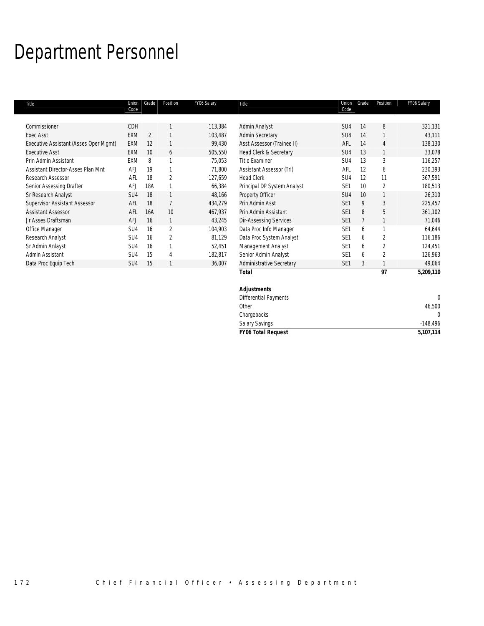# Department Personnel

| Title                                 | Union<br>Code   | Grade          | Position       | FY06 Salary | Title                           | Union<br>Code   | Grade | Position       | FY06 Salary |
|---------------------------------------|-----------------|----------------|----------------|-------------|---------------------------------|-----------------|-------|----------------|-------------|
|                                       |                 |                |                |             |                                 |                 |       |                |             |
| Commissioner                          | CDH             |                |                | 113,384     | Admin Analyst                   | SU <sub>4</sub> | 14    | 8              | 321,131     |
| <b>Exec Asst</b>                      | EXM             | $\overline{2}$ |                | 103,487     | <b>Admin Secretary</b>          | SU4             | 14    |                | 43,111      |
| Executive Assistant (Asses Oper Mgmt) | <b>EXM</b>      | 12             |                | 99,430      | Asst Assessor (Trainee II)      | AFL             | 14    | 4              | 138,130     |
| <b>Executive Asst</b>                 | <b>EXM</b>      | 10             | 6              | 505,550     | Head Clerk & Secretary          | SU4             | 13    |                | 33,078      |
| Prin Admin Assistant                  | <b>EXM</b>      | 8              |                | 75,053      | <b>Title Examiner</b>           | SU <sub>4</sub> | 13    | 3              | 116,257     |
| Assistant Director-Asses Plan Mnt     | AFJ             | 19             |                | 71,800      | Assistant Assessor (Trl)        | AFL             | 12    | 6              | 230,393     |
| Research Assessor                     | AFL             | 18             | $\overline{2}$ | 127,659     | <b>Head Clerk</b>               | SU <sub>4</sub> | 12    | 11             | 367,591     |
| Senior Assessing Drafter              | <b>AFJ</b>      | 18A            |                | 66,384      | Principal DP System Analyst     | SE <sub>1</sub> | 10    | 2              | 180,513     |
| Sr Research Analyst                   | SU <sub>4</sub> | 18             |                | 48,166      | Property Officer                | SU4             | 10    |                | 26,310      |
| <b>Supervisor Assistant Assessor</b>  | AFL             | 18             |                | 434,279     | Prin Admin Asst                 | SE <sub>1</sub> | 9     | 3              | 225,457     |
| <b>Assistant Assessor</b>             | AFL             | 16A            | 10             | 467,937     | Prin Admin Assistant            | SE <sub>1</sub> | 8     | 5              | 361,102     |
| Jr Asses Draftsman                    | AFJ             | 16             |                | 43,245      | <b>Dir-Assessing Services</b>   | SE <sub>1</sub> |       |                | 71,046      |
| Office Manager                        | SU <sub>4</sub> | 16             | $\overline{2}$ | 104,903     | Data Proc Info Manager          | SE <sub>1</sub> | 6     |                | 64,644      |
| Research Analyst                      | SU <sub>4</sub> | 16             | 2              | 81,129      | Data Proc System Analyst        | SE <sub>1</sub> | 6     | 2              | 116,186     |
| Sr Admin Anlayst                      | SU <sub>4</sub> | 16             |                | 52,451      | Management Analyst              | SE <sub>1</sub> | 6     | 2              | 124,451     |
| Admin Assistant                       | SU <sub>4</sub> | 15             | $\overline{4}$ | 182,817     | Senior Admin Analyst            | SE <sub>1</sub> | 6     | $\overline{2}$ | 126,963     |
| Data Proc Equip Tech                  | SU <sub>4</sub> | 15             |                | 36,007      | <b>Administrative Secretary</b> | SE <sub>1</sub> | 3     |                | 49,064      |
|                                       |                 |                |                |             | <b>Total</b>                    |                 |       | 97             | 5,209,110   |
|                                       |                 |                |                |             |                                 |                 |       |                |             |
|                                       |                 |                |                |             | <b>Adjustments</b>              |                 |       |                |             |

| 49,064     |    | SE 1 | Administrative Secretary     | 36,001 | -15 | SU <sub>4</sub> | Data Proc Equip Tech |
|------------|----|------|------------------------------|--------|-----|-----------------|----------------------|
| 5,209,110  | 97 |      | Total                        |        |     |                 |                      |
|            |    |      | <b>Adjustments</b>           |        |     |                 |                      |
| $\Omega$   |    |      | <b>Differential Payments</b> |        |     |                 |                      |
| 46,500     |    |      | Other                        |        |     |                 |                      |
| $\Omega$   |    |      | Chargebacks                  |        |     |                 |                      |
| $-148,496$ |    |      | <b>Salary Savings</b>        |        |     |                 |                      |
| 5,107,114  |    |      | <b>FY06 Total Request</b>    |        |     |                 |                      |
|            |    |      |                              |        |     |                 |                      |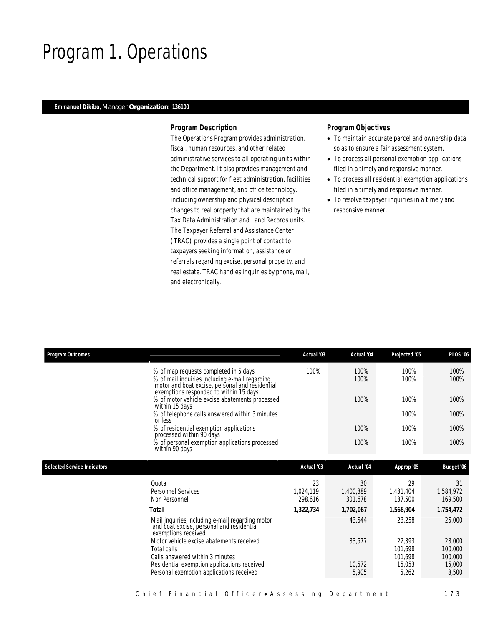## Program 1. Operations

### *Emmanuel Dikibo, Manager Organization: 136100*

### *Program Description*

The Operations Program provides administration, fiscal, human resources, and other related administrative services to all operating units within the Department. It also provides management and technical support for fleet administration, facilities and office management, and office technology, including ownership and physical description changes to real property that are maintained by the Tax Data Administration and Land Records units. The Taxpayer Referral and Assistance Center (TRAC) provides a single point of contact to taxpayers seeking information, assistance or referrals regarding excise, personal property, and real estate. TRAC handles inquiries by phone, mail, and electronically.

- To maintain accurate parcel and ownership data so as to ensure a fair assessment system.
- To process all personal exemption applications filed in a timely and responsive manner.
- To process all residential exemption applications filed in a timely and responsive manner.
- To resolve taxpayer inquiries in a timely and responsive manner.

| <b>Program Outcomes</b>            |                                                                                                                                                                                      | Actual '03                 | Actual '04                 | Projected '05                | <b>PLOS '06</b>              |
|------------------------------------|--------------------------------------------------------------------------------------------------------------------------------------------------------------------------------------|----------------------------|----------------------------|------------------------------|------------------------------|
|                                    | % of map requests completed in 5 days<br>% of mail inquiries including e-mail regarding<br>motor and boat excise, personal and residential<br>exemptions responded to within 15 days | 100%                       | 100%<br>100%               | 100%<br>100%                 | 100%<br>100%                 |
|                                    | % of motor vehicle excise abatements processed<br>within 15 days                                                                                                                     |                            | 100%                       | 100%                         | 100%                         |
|                                    | % of telephone calls answered within 3 minutes<br>or less                                                                                                                            |                            |                            | 100%                         | 100%                         |
|                                    | % of residential exemption applications<br>processed within 90 days                                                                                                                  |                            | 100%                       | 100%                         | 100%                         |
|                                    | % of personal exemption applications processed<br>within 90 days                                                                                                                     |                            | 100%                       | 100%                         | 100%                         |
| <b>Selected Service Indicators</b> |                                                                                                                                                                                      | Actual '03                 | Actual '04                 | Approp '05                   | Budget '06                   |
|                                    | Quota<br><b>Personnel Services</b><br>Non Personnel                                                                                                                                  | 23<br>1,024,119<br>298.616 | 30<br>1,400,389<br>301,678 | 29<br>1,431,404<br>137,500   | 31<br>1,584,972<br>169,500   |
|                                    | <b>Total</b>                                                                                                                                                                         | 1,322,734                  | 1,702,067                  | 1,568,904                    | 1,754,472                    |
|                                    | Mail inquiries including e-mail regarding motor<br>and boat excise, personal and residential<br>exemptions received                                                                  |                            | 43,544                     | 23,258                       | 25,000                       |
|                                    | Motor vehicle excise abatements received<br>Total calls<br>Calls answered within 3 minutes                                                                                           |                            | 33,577                     | 22,393<br>101,698<br>101.698 | 23,000<br>100,000<br>100,000 |
|                                    | Residential exemption applications received<br>Personal exemption applications received                                                                                              |                            | 10,572<br>5,905            | 15,053<br>5,262              | 15,000<br>8,500              |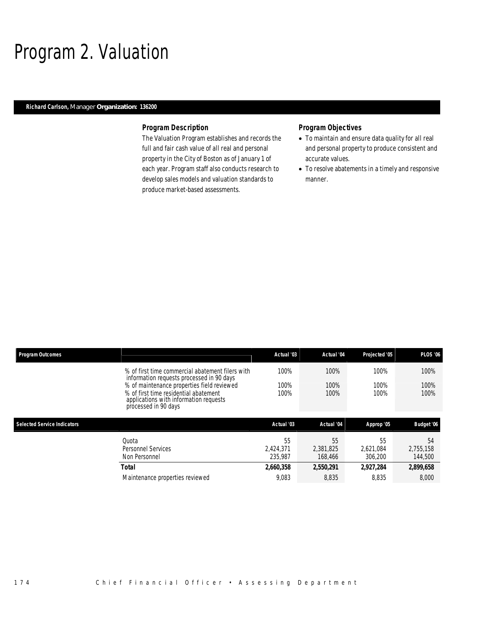## Program 2. Valuation

## *Richard Carlson, Manager Organization: 136200*

#### *Program Description*

The Valuation Program establishes and records the full and fair cash value of all real and personal property in the City of Boston as of January 1 of each year. Program staff also conducts research to develop sales models and valuation standards to produce market-based assessments.

- To maintain and ensure data quality for all real and personal property to produce consistent and accurate values.
- To resolve abatements in a timely and responsive manner.

| <b>Program Outcomes</b>            |                                                                                                                                                       | Actual '03                 | Actual '04                 | Projected '05              | <b>PLOS '06</b>            |
|------------------------------------|-------------------------------------------------------------------------------------------------------------------------------------------------------|----------------------------|----------------------------|----------------------------|----------------------------|
|                                    | % of first time commercial abatement filers with<br>information requests processed in 90 days                                                         | 100%                       | 100%                       | 100%                       | 100%                       |
|                                    | % of maintenance properties field reviewed<br>% of first time residential abatement<br>applications with information requests<br>processed in 90 days | 100%<br>100%               | 100%<br>100%               | 100%<br>100%               | 100%<br>100%               |
|                                    |                                                                                                                                                       |                            |                            |                            |                            |
| <b>Selected Service Indicators</b> |                                                                                                                                                       | Actual '03                 | Actual '04                 | Approp '05                 | Budget '06                 |
|                                    | Ouota<br>Personnel Services<br>Non Personnel                                                                                                          | 55<br>2.424.371<br>235.987 | 55<br>2.381.825<br>168,466 | 55<br>2.621.084<br>306.200 | 54<br>2.755.158<br>144,500 |
|                                    | Total                                                                                                                                                 | 2,660,358                  | 2,550,291                  | 2,927,284                  | 2,899,658                  |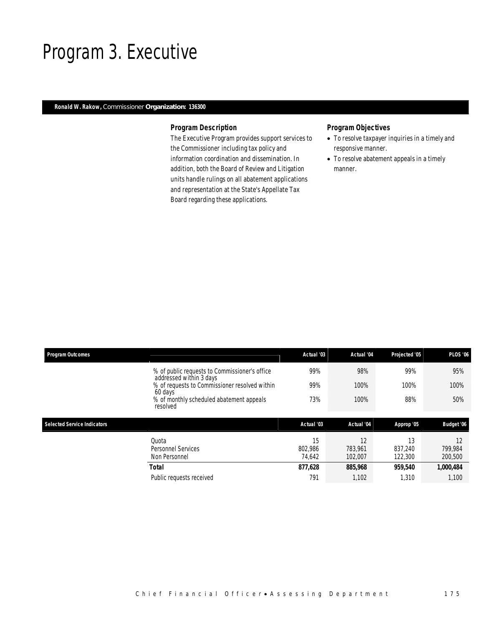## Program 3. Executive

## *Ronald W. Rakow, Commissioner Organization: 136300*

## *Program Description*

The Executive Program provides support services to the Commissioner including tax policy and information coordination and dissemination. In addition, both the Board of Review and Litigation units handle rulings on all abatement applications and representation at the State's Appellate Tax Board regarding these applications.

- To resolve taxpayer inquiries in a timely and responsive manner.
- To resolve abatement appeals in a timely manner.

| <b>Program Outcomes</b>            |                                                                          | Actual '03              | Actual '04               | Projected '05            | <b>PLOS '06</b>          |
|------------------------------------|--------------------------------------------------------------------------|-------------------------|--------------------------|--------------------------|--------------------------|
|                                    | % of public requests to Commissioner's office<br>addressed within 3 days | 99%                     | 98%                      | 99%                      | 95%                      |
|                                    | % of requests to Commissioner resolved within<br>60 days                 | 99%                     | 100%                     | 100%                     | 100%                     |
|                                    | % of monthly scheduled abatement appeals<br>resolved                     | 73%                     | 100%                     | 88%                      | 50%                      |
|                                    |                                                                          |                         |                          |                          |                          |
| <b>Selected Service Indicators</b> |                                                                          | Actual '03              | Actual '04               | Approp '05               | Budget '06               |
|                                    | Quota<br>Personnel Services<br>Non Personnel                             | 15<br>802.986<br>74,642 | 12<br>783.961<br>102,007 | 13<br>837.240<br>122,300 | 12<br>799,984<br>200,500 |
|                                    | <b>Total</b>                                                             | 877,628                 | 885,968                  | 959,540                  | 1,000,484                |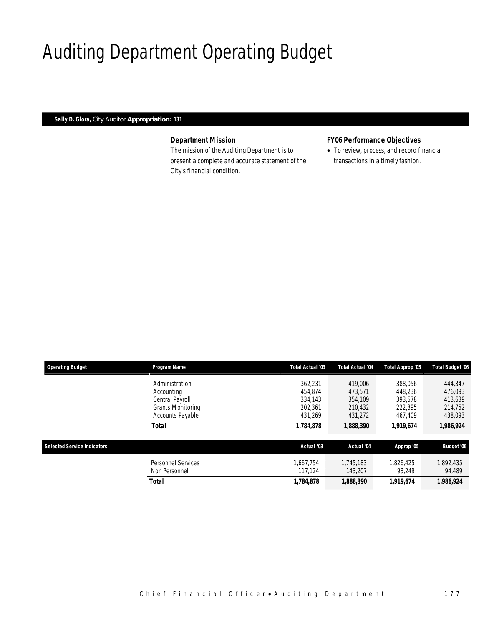# Auditing Department Operating Budget

*Sally D. Glora, City Auditor Appropriation: 131* 

## *Department Mission*

The mission of the Auditing Department is to present a complete and accurate statement of the City's financial condition.

## *FY06 Performance Objectives*

• To review, process, and record financial transactions in a timely fashion.

| <b>Operating Budget</b>            | Program Name              | Total Actual '03 | Total Actual '04 | Total Approp '05 | <b>Total Budget '06</b> |
|------------------------------------|---------------------------|------------------|------------------|------------------|-------------------------|
|                                    | Administration            | 362.231          | 419,006          | 388.056          | 444,347                 |
|                                    | Accounting                | 454.874          | 473.571          | 448.236          | 476.093                 |
|                                    | Central Payroll           | 334.143          | 354,109          | 393.578          | 413,639                 |
|                                    | Grants Monitoring         | 202,361          | 210,432          | 222,395          | 214,752                 |
|                                    | Accounts Payable          | 431,269          | 431,272          | 467,409          | 438,093                 |
|                                    | <b>Total</b>              | 1,784,878        | 1,888,390        | 1.919.674        | 1,986,924               |
| <b>Selected Service Indicators</b> |                           | Actual '03       | Actual '04       | Approp '05       | Budget '06              |
|                                    |                           |                  |                  |                  |                         |
|                                    | <b>Personnel Services</b> | 1.667.754        | 1.745.183        | 1.826.425        | 1,892,435               |
|                                    | Non Personnel             | 117.124          | 143.207          | 93.249           | 94,489                  |
|                                    | <b>Total</b>              | 1,784,878        | 1,888,390        | 1,919,674        | 1,986,924               |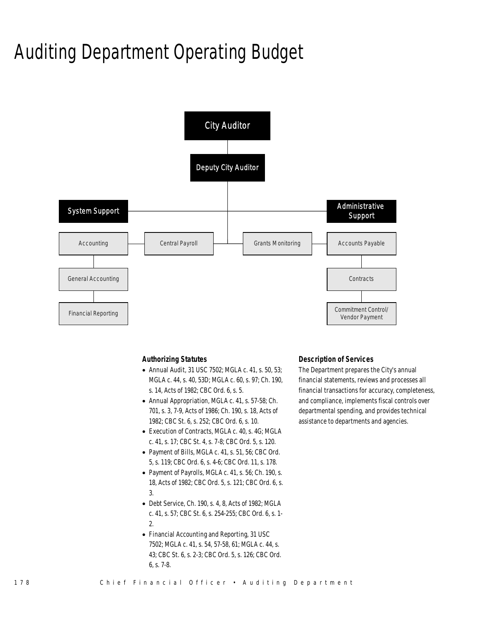# Auditing Department Operating Budget



#### *Authorizing Statutes*

- Annual Audit, 31 USC 7502; MGLA c. 41, s. 50, 53; MGLA c. 44, s. 40, 53D; MGLA c. 60, s. 97; Ch. 190, s. 14, Acts of 1982; CBC Ord. 6, s. 5.
- Annual Appropriation, MGLA c. 41, s. 57-58; Ch. 701, s. 3, 7-9, Acts of 1986; Ch. 190, s. 18, Acts of 1982; CBC St. 6, s. 252; CBC Ord. 6, s. 10.
- Execution of Contracts, MGLA c. 40, s. 4G; MGLA c. 41, s. 17; CBC St. 4, s. 7-8; CBC Ord. 5, s. 120.
- Payment of Bills, MGLA c. 41, s. 51, 56; CBC Ord. 5, s. 119; CBC Ord. 6, s. 4-6; CBC Ord. 11, s. 178.
- Payment of Payrolls, MGLA c. 41, s. 56; Ch. 190, s. 18, Acts of 1982; CBC Ord. 5, s. 121; CBC Ord. 6, s. 3.
- Debt Service, Ch. 190, s. 4, 8, Acts of 1982; MGLA c. 41, s. 57; CBC St. 6, s. 254-255; CBC Ord. 6, s. 1- 2.
- Financial Accounting and Reporting, 31 USC 7502; MGLA c. 41, s. 54, 57-58, 61; MGLA c. 44, s. 43; CBC St. 6, s. 2-3; CBC Ord. 5, s. 126; CBC Ord. 6, s. 7-8.

#### *Description of Services*

The Department prepares the City's annual financial statements, reviews and processes all financial transactions for accuracy, completeness, and compliance, implements fiscal controls over departmental spending, and provides technical assistance to departments and agencies.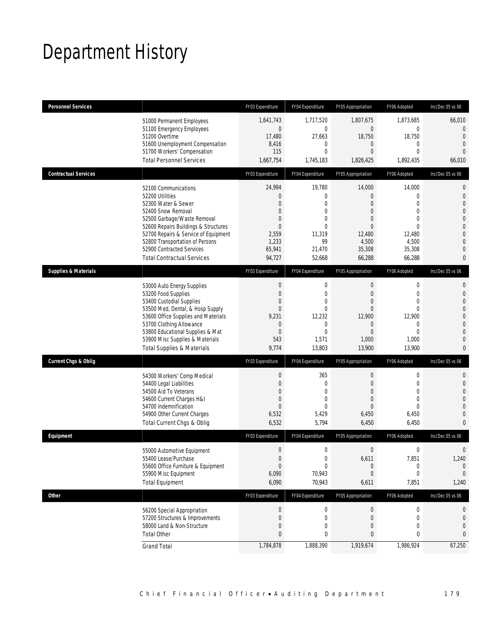# Department History

| <b>Personnel Services</b>       |                                                                                                                                                                                                                                                                                                          | FY03 Expenditure                                                                                              | FY04 Expenditure                                                                                                       | FY05 Appropriation                                                                                                               | FY06 Adopted                                                                                                         | Inc/Dec 05 vs 06                                                                                                                                          |
|---------------------------------|----------------------------------------------------------------------------------------------------------------------------------------------------------------------------------------------------------------------------------------------------------------------------------------------------------|---------------------------------------------------------------------------------------------------------------|------------------------------------------------------------------------------------------------------------------------|----------------------------------------------------------------------------------------------------------------------------------|----------------------------------------------------------------------------------------------------------------------|-----------------------------------------------------------------------------------------------------------------------------------------------------------|
|                                 | 51000 Permanent Employees<br>51100 Emergency Employees<br>51200 Overtime<br>51600 Unemployment Compensation<br>51700 Workers' Compensation<br><b>Total Personnel Services</b>                                                                                                                            | 1,641,743<br>$\mathbf{0}$<br>17,480<br>8,416<br>115<br>1,667,754                                              | 1,717,520<br>$\mathbf{0}$<br>27,663<br>0<br>$\mathbf{0}$<br>1,745,183                                                  | 1,807,675<br>$\overline{0}$<br>18,750<br>0<br>0<br>1,826,425                                                                     | 1,873,685<br>0<br>18,750<br>$\mathbf{0}$<br>$\Omega$<br>1,892,435                                                    | 66,010<br>0<br>$\Omega$<br>$\mathbf{0}$<br>$\overline{0}$<br>66,010                                                                                       |
| <b>Contractual Services</b>     |                                                                                                                                                                                                                                                                                                          | FY03 Expenditure                                                                                              | FY04 Expenditure                                                                                                       | FY05 Appropriation                                                                                                               | FY06 Adopted                                                                                                         | Inc/Dec 05 vs 06                                                                                                                                          |
|                                 | 52100 Communications<br>52200 Utilities<br>52300 Water & Sewer<br>52400 Snow Removal<br>52500 Garbage/Waste Removal<br>52600 Repairs Buildings & Structures<br>52700 Repairs & Service of Equipment<br>52800 Transportation of Persons<br>52900 Contracted Services<br><b>Total Contractual Services</b> | 24,994<br>0<br>$\overline{0}$<br>$\mathbf{0}$<br>$\Omega$<br>$\Omega$<br>2,559<br>1,233<br>65,941<br>94,727   | 19,780<br>$\mathbf 0$<br>$\mathbf{0}$<br>$\mathbf{0}$<br>$\mathbf{0}$<br>$\theta$<br>11,319<br>99<br>21,470<br>52,668  | 14,000<br>0<br>0<br>$\overline{0}$<br>0<br>$\Omega$<br>12,480<br>4,500<br>35,308<br>66,288                                       | 14,000<br>$\overline{0}$<br>$\theta$<br>$\theta$<br>$\Omega$<br>$\Omega$<br>12,480<br>4,500<br>35,308<br>66,288      | $\mathbf{0}$<br>$\boldsymbol{0}$<br>$\mathbf 0$<br>$\mathbf 0$<br>$\boldsymbol{0}$<br>$\theta$<br>$\mathbf{0}$<br>$\mathbf 0$<br>$\mathbf{0}$<br>$\bf{0}$ |
| <b>Supplies &amp; Materials</b> |                                                                                                                                                                                                                                                                                                          | FY03 Expenditure                                                                                              | FY04 Expenditure                                                                                                       | FY05 Appropriation                                                                                                               | FY06 Adopted                                                                                                         | Inc/Dec 05 vs 06                                                                                                                                          |
|                                 | 53000 Auto Energy Supplies<br>53200 Food Supplies<br>53400 Custodial Supplies<br>53500 Med, Dental, & Hosp Supply<br>53600 Office Supplies and Materials<br>53700 Clothing Allowance<br>53800 Educational Supplies & Mat<br>53900 Misc Supplies & Materials<br><b>Total Supplies &amp; Materials</b>     | $\mathbf 0$<br>$\overline{0}$<br>$\mathbf{0}$<br>$\overline{0}$<br>9,231<br>0<br>$\mathbf{0}$<br>543<br>9,774 | $\mathbf 0$<br>$\mathbf{0}$<br>$\mathbf 0$<br>$\mathbf{0}$<br>12,232<br>$\mathbf 0$<br>$\mathbf{0}$<br>1,571<br>13,803 | $\mathbf 0$<br>$\mathbf{0}$<br>$\overline{0}$<br>$\overline{0}$<br>12,900<br>$\overline{0}$<br>$\overline{0}$<br>1,000<br>13,900 | $\mathbf 0$<br>$\mathbf{0}$<br>$\overline{0}$<br>$\overline{0}$<br>12,900<br>$\Omega$<br>$\Omega$<br>1,000<br>13,900 | $\mathbf 0$<br>$\mathbf 0$<br>$\mathbf 0$<br>$\boldsymbol{0}$<br>$\theta$<br>$\mathbf{0}$<br>$\mathbf 0$<br>$\mathbf 0$<br>$\mathbf{0}$                   |
| Current Chgs & Oblig            |                                                                                                                                                                                                                                                                                                          | FY03 Expenditure                                                                                              | FY04 Expenditure                                                                                                       | FY05 Appropriation                                                                                                               | FY06 Adopted                                                                                                         | Inc/Dec 05 vs 06                                                                                                                                          |
|                                 | 54300 Workers' Comp Medical<br>54400 Legal Liabilities<br>54500 Aid To Veterans<br>54600 Current Charges H&I<br>54700 Indemnification<br>54900 Other Current Charges<br>Total Current Chgs & Oblig                                                                                                       | $\mathbf 0$<br>$\overline{0}$<br>$\mathbf{0}$<br>$\overline{0}$<br>$\Omega$<br>6,532<br>6,532                 | 365<br>$\mathbf{0}$<br>$\mathbf{0}$<br>$\mathbf{0}$<br>$\Omega$<br>5,429<br>5,794                                      | $\mathbf 0$<br>$\overline{0}$<br>$\overline{0}$<br>$\overline{0}$<br>$\Omega$<br>6,450<br>6,450                                  | $\mathbf 0$<br>$\overline{0}$<br>0<br>$\overline{0}$<br>$\Omega$<br>6,450<br>6,450                                   | $\mathbf 0$<br>$\boldsymbol{0}$<br>$\mathbf{0}$<br>$\boldsymbol{0}$<br>$\Omega$<br>$\theta$<br>$\mathbf{0}$                                               |
| Equipment                       |                                                                                                                                                                                                                                                                                                          | FY03 Expenditure                                                                                              | FY04 Expenditure                                                                                                       | FY05 Appropriation                                                                                                               | FY06 Adopted                                                                                                         | Inc/Dec 05 vs 06                                                                                                                                          |
|                                 | 55000 Automotive Equipment<br>55400 Lease/Purchase<br>55600 Office Furniture & Equipment<br>55900 Misc Equipment<br><b>Total Equipment</b>                                                                                                                                                               | $\mathbf{0}$<br>$\boldsymbol{0}$<br>$\overline{0}$<br>6,090<br>6,090                                          | $\mathbf 0$<br>$\mathbf 0$<br>$\mathbf{0}$<br>70,943<br>70,943                                                         | $\overline{0}$<br>6,611<br>$\theta$<br>$\mathbf 0$<br>6,611                                                                      | $\mathbf{0}$<br>7,851<br>$\mathbf{0}$<br>$\mathbf{0}$<br>7,851                                                       | $\mathbf{0}$<br>1,240<br>$\mathbf{0}$<br>$\mathbf{0}$<br>1,240                                                                                            |
| Other                           |                                                                                                                                                                                                                                                                                                          | FY03 Expenditure                                                                                              | FY04 Expenditure                                                                                                       | FY05 Appropriation                                                                                                               | FY06 Adopted                                                                                                         | Inc/Dec 05 vs 06                                                                                                                                          |
|                                 | 56200 Special Appropriation<br>57200 Structures & Improvements<br>58000 Land & Non-Structure<br><b>Total Other</b>                                                                                                                                                                                       | $\boldsymbol{0}$<br>0<br>$\mathbf{0}$<br>0                                                                    | $\boldsymbol{0}$<br>$\mathbf 0$<br>$\mathbf{0}$<br>0                                                                   | $\theta$<br>$\theta$<br>0<br>0                                                                                                   | $\boldsymbol{0}$<br>$\mathbf 0$<br>0<br>0                                                                            | 0<br>0<br>0<br>0                                                                                                                                          |
|                                 | <b>Grand Total</b>                                                                                                                                                                                                                                                                                       | 1,784,878                                                                                                     | 1,888,390                                                                                                              | 1,919,674                                                                                                                        | 1,986,924                                                                                                            | 67,250                                                                                                                                                    |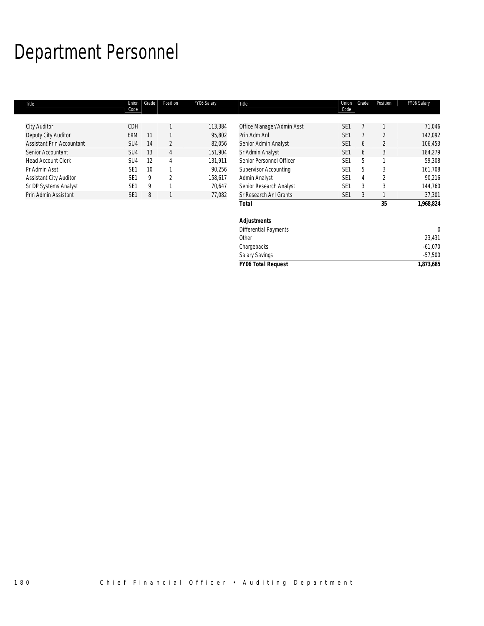# Department Personnel

| Title                            | Union           | Grade           | Position       | FY06 Salary | Title                        | Union           | Grade | Position       | FY06 Salary |
|----------------------------------|-----------------|-----------------|----------------|-------------|------------------------------|-----------------|-------|----------------|-------------|
|                                  | Code            |                 |                |             |                              | Code            |       |                |             |
| <b>City Auditor</b>              | CDH             |                 |                | 113,384     | Office Manager/Admin Asst    | SE <sub>1</sub> |       |                | 71,046      |
| Deputy City Auditor              | EXM             | 11              |                | 95,802      | Prin Adm Anl                 | SE <sub>1</sub> |       | $\overline{2}$ | 142,092     |
| <b>Assistant Prin Accountant</b> | SU <sub>4</sub> | 14              | $\overline{2}$ | 82,056      | Senior Admin Analyst         | SE <sub>1</sub> | 6     | $\mathfrak{D}$ | 106,453     |
| Senior Accountant                | SU <sub>4</sub> | 13              | 4              | 151,904     | Sr Admin Analyst             | SE <sub>1</sub> | 6     | 3              | 184,279     |
| <b>Head Account Clerk</b>        | SU <sub>4</sub> | 12              | 4              | 131,911     | Senior Personnel Officer     | SE <sub>1</sub> | 5     |                | 59,308      |
| Pr Admin Asst                    | SE <sub>1</sub> | 10 <sup>°</sup> |                | 90,256      | Supervisor Accounting        | SE <sub>1</sub> | 5     | 3              | 161,708     |
| <b>Assistant City Auditor</b>    | SE <sub>1</sub> | 9               | $\overline{2}$ | 158,617     | Admin Analyst                | SE <sub>1</sub> | 4     | $\overline{2}$ | 90,216      |
| Sr DP Systems Analyst            | SE <sub>1</sub> | 9               |                | 70,647      | Senior Research Analyst      | SE <sub>1</sub> | 3     | 3              | 144,760     |
| Prin Admin Assistant             | SE <sub>1</sub> | 8               |                | 77,082      | Sr Research Anl Grants       | SE <sub>1</sub> | 3     |                | 37,301      |
|                                  |                 |                 |                |             | <b>Total</b>                 |                 |       | 35             | 1,968,824   |
|                                  |                 |                 |                |             | <b>Adjustments</b>           |                 |       |                |             |
|                                  |                 |                 |                |             | <b>Differential Payments</b> |                 |       |                |             |
|                                  |                 |                 |                |             | Other                        |                 |       |                | 23,431      |

Chargebacks -61,070 Salary Savings -57,500 *FY06 Total Request 1,873,685*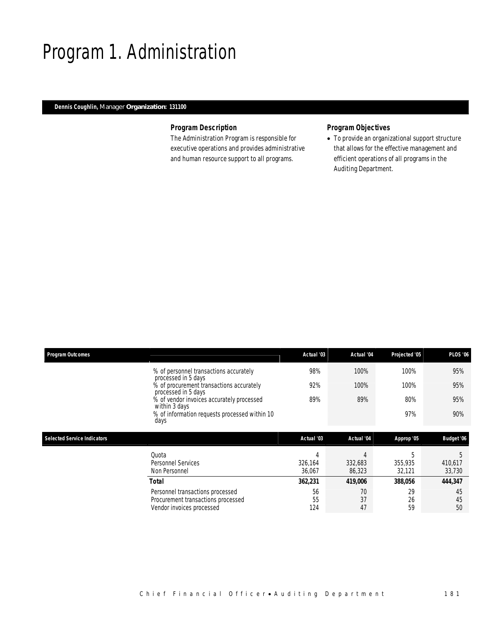## Program 1. Administration

## *Dennis Coughlin, Manager Organization: 131100*

## *Program Description*

The Administration Program is responsible for executive operations and provides administrative and human resource support to all programs.

## *Program Objectives*

• To provide an organizational support structure that allows for the effective management and efficient operations of all programs in the Auditing Department.

| <b>Program Outcomes</b>            |                                                                                                     | Actual '03        | Actual '04        | Projected '05     | <b>PLOS '06</b>   |
|------------------------------------|-----------------------------------------------------------------------------------------------------|-------------------|-------------------|-------------------|-------------------|
|                                    | % of personnel transactions accurately<br>processed in 5 days                                       | 98%               | 100%              | 100%              | 95%               |
|                                    | % of procurement transactions accurately<br>processed in 5 days                                     | 92%               | 100%              | 100%              | 95%               |
|                                    | % of vendor invoices accurately processed<br>within 3 days                                          | 89%               | 89%               | 80%               | 95%               |
|                                    | % of information requests processed within 10<br>days                                               |                   |                   | 97%               | 90%               |
| <b>Selected Service Indicators</b> |                                                                                                     | Actual '03        | Actual '04        | Approp '05        | Budget '06        |
|                                    | Quota                                                                                               | 4                 | 4                 | 5                 | 5                 |
|                                    | <b>Personnel Services</b><br>Non Personnel                                                          | 326.164<br>36,067 | 332,683<br>86,323 | 355,935<br>32,121 | 410,617<br>33,730 |
|                                    | Total                                                                                               | 362,231           | 419,006           | 388,056           | 444,347           |
|                                    | Personnel transactions processed<br>Procurement transactions processed<br>Vendor invoices processed | 56<br>55<br>124   | 70<br>37<br>47    | 29<br>26<br>59    | 45<br>45<br>50    |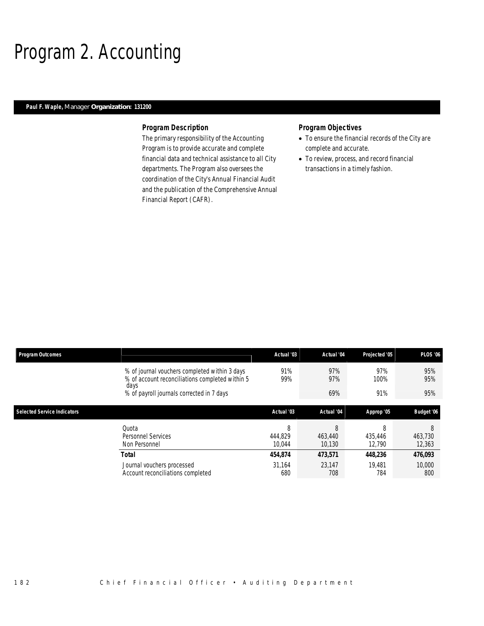# Program 2. Accounting

## *Paul F. Waple, Manager Organization: 131200*

#### *Program Description*

The primary responsibility of the Accounting Program is to provide accurate and complete financial data and technical assistance to all City departments. The Program also oversees the coordination of the City's Annual Financial Audit and the publication of the Comprehensive Annual Financial Report (CAFR).

- To ensure the financial records of the City are complete and accurate.
- To review, process, and record financial transactions in a timely fashion.

| <b>Program Outcomes</b>            |                                                                                                          | Actual '03             | Actual '04             | Projected '05          | <b>PLOS '06</b>        |
|------------------------------------|----------------------------------------------------------------------------------------------------------|------------------------|------------------------|------------------------|------------------------|
|                                    | % of journal vouchers completed within 3 days<br>% of account reconciliations completed within 5<br>days | 91%<br>99%             | 97%<br>97%             | 97%<br>100%            | 95%<br>95%             |
|                                    | % of payroll journals corrected in 7 days                                                                |                        | 69%                    | 91%                    | 95%                    |
| <b>Selected Service Indicators</b> |                                                                                                          | Actual '03             | Actual '04             | Approp '05             | Budget '06             |
|                                    | Quota<br>Personnel Services<br>Non Personnel                                                             | 8<br>444.829<br>10.044 | 8<br>463,440<br>10.130 | 8<br>435.446<br>12.790 | 8<br>463,730<br>12,363 |
|                                    | Total                                                                                                    | 454.874                | 473,571                | 448.236                | 476,093                |
|                                    | Journal vouchers processed<br>Account reconciliations completed                                          | 31.164<br>680          | 23.147<br>708          | 19.481<br>784          | 10,000<br>800          |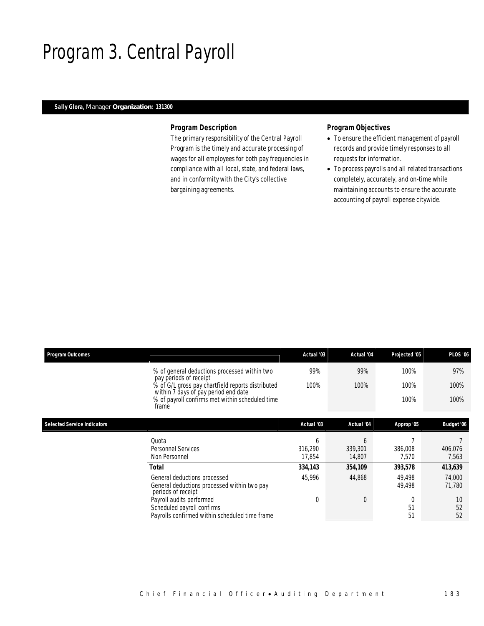## Program 3. Central Payroll

## *Sally Glora, Manager Organization: 131300*

### *Program Description*

The primary responsibility of the Central Payroll Program is the timely and accurate processing of wages for all employees for both pay frequencies in compliance with all local, state, and federal laws, and in conformity with the City's collective bargaining agreements.

- To ensure the efficient management of payroll records and provide timely responses to all requests for information.
- To process payrolls and all related transactions completely, accurately, and on-time while maintaining accounts to ensure the accurate accounting of payroll expense citywide.

| <b>Program Outcomes</b>            |                                                                                                          | Actual '03        | <b>Actual</b> '04 | Projected '05    | <b>PLOS '06</b>  |
|------------------------------------|----------------------------------------------------------------------------------------------------------|-------------------|-------------------|------------------|------------------|
|                                    | % of general deductions processed within two<br>pay periods of receipt                                   | 99%               | 99%               | 100%             | 97%              |
|                                    | % of G/L gross pay chartfield reports distributed<br>within 7 days of pay period end date                | 100%              | 100%              | 100%             | 100%             |
|                                    | % of payroll confirms met within scheduled time<br>frame                                                 |                   |                   | 100%             | 100%             |
| <b>Selected Service Indicators</b> |                                                                                                          | Actual '03        | Actual '04        | Approp '05       | Budget '06       |
|                                    |                                                                                                          |                   |                   |                  |                  |
|                                    | Quota                                                                                                    | b                 | 6                 |                  |                  |
|                                    | <b>Personnel Services</b><br>Non Personnel                                                               | 316,290<br>17,854 | 339,301<br>14,807 | 386,008<br>7,570 | 406,076<br>7,563 |
|                                    | <b>Total</b>                                                                                             | 334,143           | 354,109           | 393,578          | 413,639          |
|                                    | General deductions processed<br>General deductions processed within two pay<br>periods of receipt        | 45,996            | 44,868            | 49,498<br>49,498 | 74,000<br>71,780 |
|                                    | Payroll audits performed<br>Scheduled payroll confirms<br>Payrolls confirmed within scheduled time frame | $\overline{0}$    | $\overline{0}$    | $\Omega$<br>51   | 10<br>52         |
|                                    |                                                                                                          |                   |                   | 51               | 52               |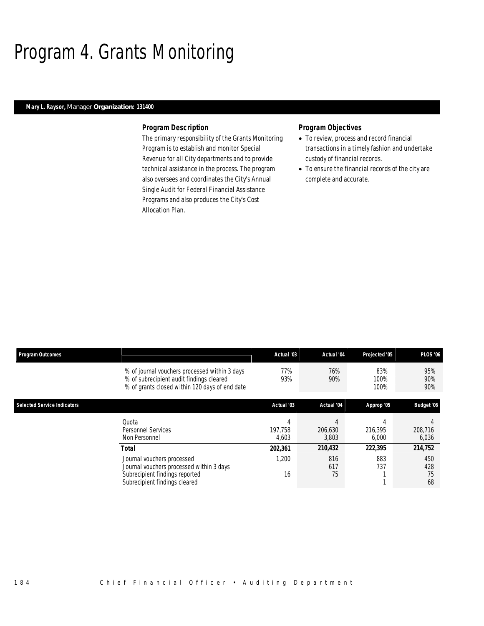# Program 4. Grants Monitoring

## *Mary L. Raysor, Manager Organization: 131400*

#### *Program Description*

The primary responsibility of the Grants Monitoring Program is to establish and monitor Special Revenue for all City departments and to provide technical assistance in the process. The program also oversees and coordinates the City's Annual Single Audit for Federal Financial Assistance Programs and also produces the City's Cost Allocation Plan.

- To review, process and record financial transactions in a timely fashion and undertake custody of financial records.
- To ensure the financial records of the city are complete and accurate.

| <b>Program Outcomes</b>            |                                                                                                                                             | Actual '03       | Actual '04       | Projected '05       | <b>PLOS '06</b>        |
|------------------------------------|---------------------------------------------------------------------------------------------------------------------------------------------|------------------|------------------|---------------------|------------------------|
|                                    | % of journal vouchers processed within 3 days<br>% of subrecipient audit findings cleared<br>% of grants closed within 120 days of end date | 77%<br>93%       | 76%<br>90%       | 83%<br>100%<br>100% | 95%<br>90%<br>90%      |
| <b>Selected Service Indicators</b> |                                                                                                                                             | Actual '03       | Actual '04       | Approp '05          | Budget '06             |
|                                    | Quota<br><b>Personnel Services</b><br>Non Personnel                                                                                         | 197.758<br>4,603 | 206,630<br>3,803 | 216.395<br>6,000    | 208,716<br>6,036       |
|                                    | <b>Total</b>                                                                                                                                | 202,361          | 210,432          | 222,395             | 214,752                |
|                                    | Journal vouchers processed<br>Journal vouchers processed within 3 days<br>Subrecipient findings reported<br>Subrecipient findings cleared   | 1,200<br>16      | 816<br>617<br>75 | 883<br>737          | 450<br>428<br>75<br>68 |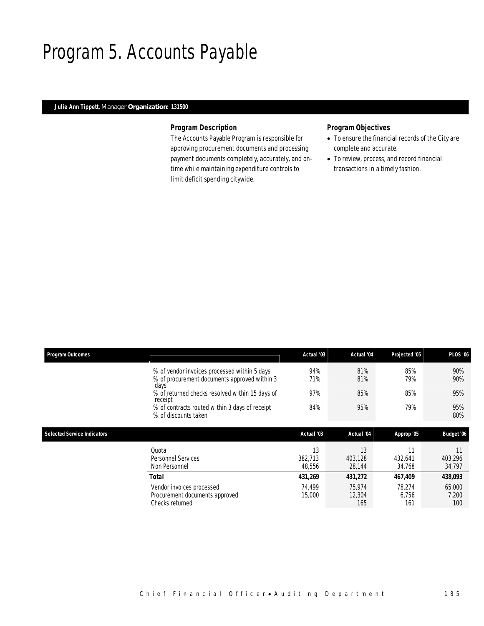## Program 5. Accounts Payable

## *Julie Ann Tippett, Manager Organization: 131500*

### *Program Description*

The Accounts Payable Program is responsible for approving procurement documents and processing payment documents completely, accurately, and ontime while maintaining expenditure controls to limit deficit spending citywide.

- To ensure the financial records of the City are complete and accurate.
- To review, process, and record financial transactions in a timely fashion.

| <b>Program Outcomes</b>            |                                                                                              | Actual '03              | Actual '04              | Projected '05           | <b>PLOS '06</b>         |
|------------------------------------|----------------------------------------------------------------------------------------------|-------------------------|-------------------------|-------------------------|-------------------------|
|                                    | % of vendor invoices processed within 5 days<br>% of procurement documents approved within 3 | 94%<br>71%              | 81%<br>81%              | 85%<br>79%              | 90%<br>90%              |
|                                    | days<br>% of returned checks resolved within 15 days of<br>receipt                           | 97%                     | 85%                     | 85%                     | 95%                     |
|                                    | % of contracts routed within 3 days of receipt<br>% of discounts taken                       | 84%                     | 95%                     | 79%                     | 95%<br>80%              |
|                                    |                                                                                              |                         |                         |                         |                         |
|                                    |                                                                                              |                         |                         |                         |                         |
| <b>Selected Service Indicators</b> |                                                                                              | Actual '03              | Actual '04              | Approp '05              | Budget '06              |
|                                    | Quota<br>Personnel Services<br>Non Personnel                                                 | 13<br>382,713<br>48,556 | 13<br>403.128<br>28,144 | 11<br>432,641<br>34,768 | 11<br>403,296<br>34,797 |
|                                    | Total                                                                                        | 431,269                 | 431,272                 | 467,409                 | 438,093                 |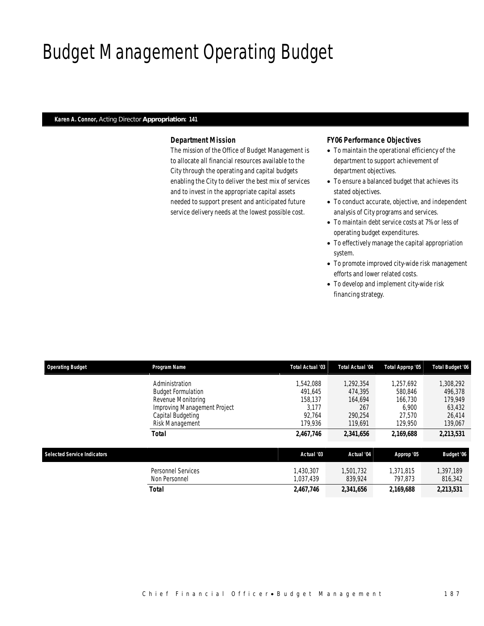# Budget Management Operating Budget

### *Karen A. Connor, Acting Director Appropriation: 141*

## *Department Mission*

The mission of the Office of Budget Management is to allocate all financial resources available to the City through the operating and capital budgets enabling the City to deliver the best mix of services and to invest in the appropriate capital assets needed to support present and anticipated future service delivery needs at the lowest possible cost.

## *FY06 Performance Objectives*

- To maintain the operational efficiency of the department to support achievement of department objectives.
- To ensure a balanced budget that achieves its stated objectives.
- To conduct accurate, objective, and independent analysis of City programs and services.
- To maintain debt service costs at 7% or less of operating budget expenditures.
- To effectively manage the capital appropriation system.
- To promote improved city-wide risk management efforts and lower related costs.
- To develop and implement city-wide risk financing strategy.

| <b>Operating Budget</b>            | Program Name                        | Total Actual '03       | Total Actual '04     | Total Approp '05     | <b>Total Budget '06</b> |
|------------------------------------|-------------------------------------|------------------------|----------------------|----------------------|-------------------------|
|                                    | Administration                      | .542.088               | 1.292.354            | 1.257.692            | 1,308,292               |
|                                    | <b>Budget Formulation</b>           | 491.645                | 474.395              | 580.846              | 496.378                 |
|                                    | Revenue Monitoring                  | 158.137                | 164,694              | 166.730              | 179,949                 |
|                                    | Improving Management Project        | 3.177                  | 267                  | 6.900                | 63,432                  |
|                                    | Capital Budgeting                   | 92.764                 | 290.254              | 27.570               | 26,414                  |
|                                    | Risk Management                     | 179,936                | 119.691              | 129,950              | 139,067                 |
|                                    | <b>Total</b>                        | 2,467,746              | 2,341,656            | 2,169,688            | 2,213,531               |
| <b>Selected Service Indicators</b> |                                     | Actual '03             | Actual '04           | Approp '05           | Budget '06              |
|                                    | Personnel Services<br>Non Personnel | 1.430.307<br>1.037.439 | 1.501.732<br>839,924 | 1.371.815<br>797.873 | 1,397,189<br>816,342    |
|                                    | <b>Total</b>                        | 2,467,746              | 2,341,656            | 2,169,688            | 2,213,531               |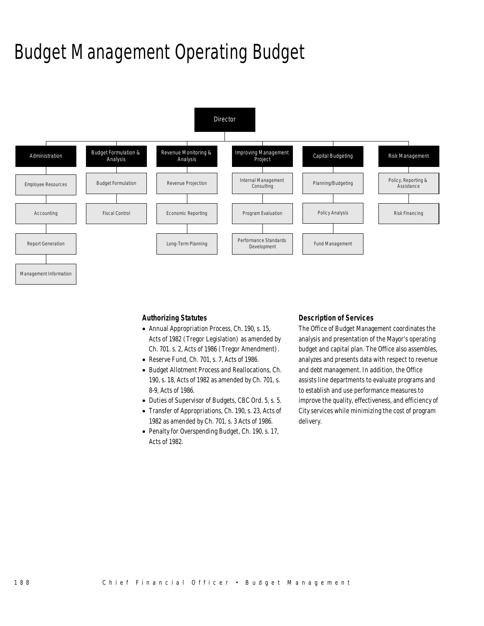# Budget Management Operating Budget



*Authorizing Statutes* 

- Annual Appropriation Process, Ch. 190, s. 15, Acts of 1982 (Tregor Legislation) as amended by Ch. 701. s. 2, Acts of 1986 (Tregor Amendment).
- Reserve Fund, Ch. 701, s. 7, Acts of 1986.
- Budget Allotment Process and Reallocations, Ch. 190, s. 18, Acts of 1982 as amended by Ch. 701, s. 8-9, Acts of 1986.
- Duties of Supervisor of Budgets, CBC Ord. 5, s. 5.
- Transfer of Appropriations, Ch. 190, s. 23, Acts of 1982 as amended by Ch. 701, s. 3 Acts of 1986.
- Penalty for Overspending Budget, Ch. 190, s. 17, Acts of 1982.

## *Description of Services*

The Office of Budget Management coordinates the analysis and presentation of the Mayor's operating budget and capital plan. The Office also assembles, analyzes and presents data with respect to revenue and debt management. In addition, the Office assists line departments to evaluate programs and to establish and use performance measures to improve the quality, effectiveness, and efficiency of City services while minimizing the cost of program delivery.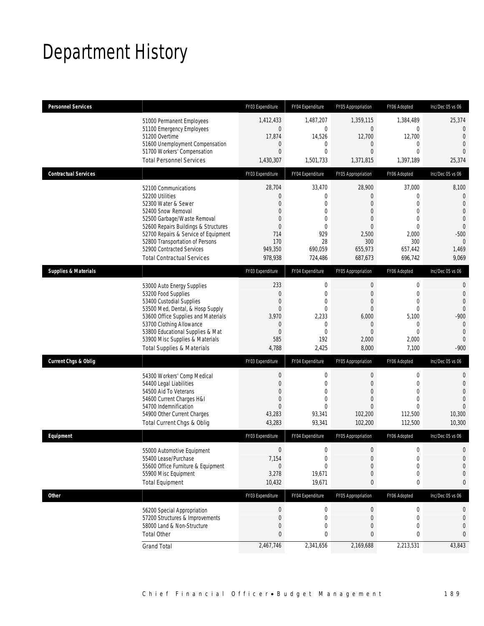# Department History

| <b>Personnel Services</b>       |                                                                                                                                                                                                                                                                                                          | FY03 Expenditure                                                                                                           | FY04 Expenditure                                                                                                          | FY05 Appropriation                                                                                         | FY06 Adopted                                                                                                       | Inc/Dec 05 vs 06                                                                                                                     |
|---------------------------------|----------------------------------------------------------------------------------------------------------------------------------------------------------------------------------------------------------------------------------------------------------------------------------------------------------|----------------------------------------------------------------------------------------------------------------------------|---------------------------------------------------------------------------------------------------------------------------|------------------------------------------------------------------------------------------------------------|--------------------------------------------------------------------------------------------------------------------|--------------------------------------------------------------------------------------------------------------------------------------|
|                                 | 51000 Permanent Employees<br>51100 Emergency Employees<br>51200 Overtime<br>51600 Unemployment Compensation<br>51700 Workers' Compensation<br><b>Total Personnel Services</b>                                                                                                                            | 1,412,433<br>$\mathbf 0$<br>17,874<br>0<br>$\overline{0}$<br>1,430,307                                                     | 1,487,207<br>$\mathbf 0$<br>14,526<br>$\mathbf 0$<br>$\mathbf{0}$<br>1,501,733                                            | 1,359,115<br>$\mathbf 0$<br>12,700<br>0<br>$\overline{0}$<br>1,371,815                                     | 1,384,489<br>0<br>12,700<br>$\overline{0}$<br>$\Omega$<br>1,397,189                                                | 25,374<br>$\mathbf 0$<br>$\mathbf{0}$<br>$\mathbf{0}$<br>$\mathbf{0}$<br>25,374                                                      |
| <b>Contractual Services</b>     |                                                                                                                                                                                                                                                                                                          | FY03 Expenditure                                                                                                           | FY04 Expenditure                                                                                                          | FY05 Appropriation                                                                                         | FY06 Adopted                                                                                                       | Inc/Dec 05 vs 06                                                                                                                     |
|                                 | 52100 Communications<br>52200 Utilities<br>52300 Water & Sewer<br>52400 Snow Removal<br>52500 Garbage/Waste Removal<br>52600 Repairs Buildings & Structures<br>52700 Repairs & Service of Equipment<br>52800 Transportation of Persons<br>52900 Contracted Services<br><b>Total Contractual Services</b> | 28,704<br>$\mathbf{0}$<br>$\overline{0}$<br>$\mathbf{0}$<br>$\Omega$<br>$\overline{0}$<br>714<br>170<br>949,350<br>978,938 | 33,470<br>$\mathbf{0}$<br>$\mathbf{0}$<br>$\mathbf{0}$<br>$\mathbf{0}$<br>$\mathbf{0}$<br>929<br>28<br>690,059<br>724,486 | 28,900<br>0<br>$\overline{0}$<br>0<br>$\overline{0}$<br>$\Omega$<br>2,500<br>300<br>655,973<br>687,673     | 37,000<br>0<br>$\Omega$<br>$\mathbf{0}$<br>$\overline{0}$<br>$\Omega$<br>2,000<br>300<br>657,442<br>696,742        | 8,100<br>$\overline{0}$<br>$\mathbf{0}$<br>$\mathbf{0}$<br>$\mathbf 0$<br>$\mathbf{0}$<br>$-500$<br>$\overline{0}$<br>1,469<br>9,069 |
| <b>Supplies &amp; Materials</b> |                                                                                                                                                                                                                                                                                                          | FY03 Expenditure                                                                                                           | FY04 Expenditure                                                                                                          | FY05 Appropriation                                                                                         | FY06 Adopted                                                                                                       | Inc/Dec 05 vs 06                                                                                                                     |
|                                 | 53000 Auto Energy Supplies<br>53200 Food Supplies<br>53400 Custodial Supplies<br>53500 Med, Dental, & Hosp Supply<br>53600 Office Supplies and Materials<br>53700 Clothing Allowance<br>53800 Educational Supplies & Mat<br>53900 Misc Supplies & Materials<br><b>Total Supplies &amp; Materials</b>     | 233<br>$\overline{0}$<br>$\mathbf 0$<br>$\mathbf 0$<br>3,970<br>$\mathbf{0}$<br>$\overline{0}$<br>585<br>4,788             | $\mathbf 0$<br>$\mathbf{0}$<br>$\mathbf{0}$<br>$\mathbf 0$<br>2,233<br>$\mathbf{0}$<br>$\mathbf{0}$<br>192<br>2,425       | $\mathbf 0$<br>$\mathbf 0$<br>$\overline{0}$<br>$\overline{0}$<br>6,000<br>0<br>$\Omega$<br>2,000<br>8,000 | $\mathbf 0$<br>$\mathbf{0}$<br>$\overline{0}$<br>$\overline{0}$<br>5,100<br>$\theta$<br>$\Omega$<br>2,000<br>7,100 | $\mathbf 0$<br>$\mathbf{0}$<br>$\mathbf{0}$<br>$\mathbf 0$<br>$-900$<br>$\mathbf 0$<br>$\mathbf{0}$<br>$\overline{0}$<br>$-900$      |
| <b>Current Chgs &amp; Oblig</b> |                                                                                                                                                                                                                                                                                                          | FY03 Expenditure                                                                                                           | FY04 Expenditure                                                                                                          | FY05 Appropriation                                                                                         | FY06 Adopted                                                                                                       | Inc/Dec 05 vs 06                                                                                                                     |
|                                 | 54300 Workers' Comp Medical<br>54400 Legal Liabilities<br>54500 Aid To Veterans<br>54600 Current Charges H&I<br>54700 Indemnification<br>54900 Other Current Charges<br>Total Current Chgs & Oblig                                                                                                       | 0<br>$\overline{0}$<br>$\mathbf{0}$<br>$\Omega$<br>$\Omega$<br>43,283<br>43,283                                            | 0<br>$\mathbf{0}$<br>$\mathbf{0}$<br>$\mathbf{0}$<br>$\theta$<br>93,341<br>93,341                                         | $\theta$<br>$\overline{0}$<br>$\overline{0}$<br>$\Omega$<br>$\Omega$<br>102,200<br>102,200                 | $\mathbf 0$<br>$\Omega$<br>0<br>$\Omega$<br>$\Omega$<br>112,500<br>112,500                                         | 0<br>$\mathbf{0}$<br>$\mathbf{0}$<br>$\overline{0}$<br>$\Omega$<br>10,300<br>10,300                                                  |
| Equipment                       |                                                                                                                                                                                                                                                                                                          | FY03 Expenditure                                                                                                           | FY04 Expenditure                                                                                                          | FY05 Appropriation                                                                                         | FY06 Adopted                                                                                                       | Inc/Dec 05 vs 06                                                                                                                     |
|                                 | 55000 Automotive Equipment<br>55400 Lease/Purchase<br>55600 Office Furniture & Equipment<br>55900 Misc Equipment<br><b>Total Equipment</b>                                                                                                                                                               | $\boldsymbol{0}$<br>7,154<br>$\mathbf{0}$<br>3,278<br>10,432                                                               | $\boldsymbol{0}$<br>$\mathbf 0$<br>$\mathbf{0}$<br>19,671<br>19,671                                                       | $\overline{0}$<br>$\mathbf 0$<br>0<br>0<br>0                                                               | $\mathbf 0$<br>$\mathbf 0$<br>0<br>0<br>0                                                                          | 0<br>0<br>0<br>0<br>$\bf{0}$                                                                                                         |
| <b>Other</b>                    |                                                                                                                                                                                                                                                                                                          | FY03 Expenditure                                                                                                           | FY04 Expenditure                                                                                                          | FY05 Appropriation                                                                                         | FY06 Adopted                                                                                                       | Inc/Dec 05 vs 06                                                                                                                     |
|                                 | 56200 Special Appropriation<br>57200 Structures & Improvements<br>58000 Land & Non-Structure<br><b>Total Other</b>                                                                                                                                                                                       | $\boldsymbol{0}$<br>0<br>$\overline{0}$<br>0                                                                               | $\boldsymbol{0}$<br>$\mathbf 0$<br>$\mathbf{0}$<br>0                                                                      | $\boldsymbol{0}$<br>$\theta$<br>0<br>0                                                                     | $\boldsymbol{0}$<br>$\mathbf 0$<br>0<br>0                                                                          | 0<br>$\bf{0}$<br>$\mathbf{0}$<br>0                                                                                                   |
|                                 | <b>Grand Total</b>                                                                                                                                                                                                                                                                                       | 2,467,746                                                                                                                  | 2,341,656                                                                                                                 | 2,169,688                                                                                                  | 2,213,531                                                                                                          | 43,843                                                                                                                               |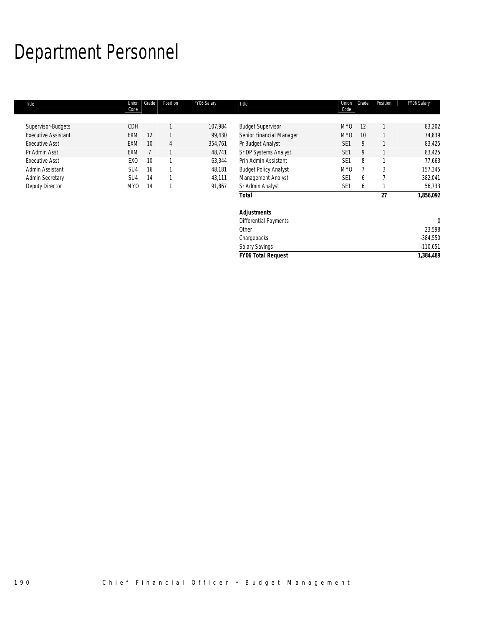# Department Personnel

| Title                      | Union<br>Code   | Grade | Position     | FY06 Salary | Title                        | Union<br>Code   | Grade | Position | FY06 Salary |
|----------------------------|-----------------|-------|--------------|-------------|------------------------------|-----------------|-------|----------|-------------|
|                            |                 |       |              |             |                              |                 |       |          |             |
| Supervisor-Budgets         | CDH             |       |              | 107,984     | <b>Budget Supervisor</b>     | MY <sub>0</sub> | 12    |          | 83,202      |
| <b>Executive Assistant</b> | <b>EXM</b>      | 12    |              | 99,430      | Senior Financial Manager     | MY <sub>0</sub> | 10    |          | 74,839      |
| <b>Executive Asst</b>      | <b>EXM</b>      | 10    | 4            | 354,761     | Pr Budget Analyst            | SE <sub>1</sub> | 9     |          | 83,425      |
| Pr Admin Asst              | <b>EXM</b>      |       |              | 48,741      | Sr DP Systems Analyst        | SE <sub>1</sub> | 9     |          | 83,425      |
| <b>Executive Asst</b>      | EX <sub>0</sub> | 10    | $\mathbf{1}$ | 63,344      | Prin Admin Assistant         | SE <sub>1</sub> | 8     |          | 77,663      |
| Admin Assistant            | SU4             | 16    |              | 48,181      | <b>Budget Policy Analyst</b> | MY <sub>0</sub> |       | 3        | 157,345     |
| <b>Admin Secretary</b>     | SU4             | 14    |              | 43,111      | Management Analyst           | SE <sub>1</sub> | 6     |          | 382,041     |
| Deputy Director            | MY0             | 14    |              | 91,867      | Sr Admin Analyst             | SE <sub>1</sub> | b     |          | 56,733      |
|                            |                 |       |              |             | <b>Total</b>                 |                 |       | 27       | 1,856,092   |
|                            |                 |       |              |             | <b>Adjustments</b>           |                 |       |          |             |
|                            |                 |       |              |             | <b>Differential Payments</b> |                 |       |          | $\theta$    |
|                            |                 |       |              |             | Other                        |                 |       |          | 23,598      |
|                            |                 |       |              |             | Chargebacks                  |                 |       |          | $-384,550$  |
|                            |                 |       |              |             | <b>Salary Savings</b>        |                 |       |          | $-110,651$  |

*FY06 Total Request 1,384,489*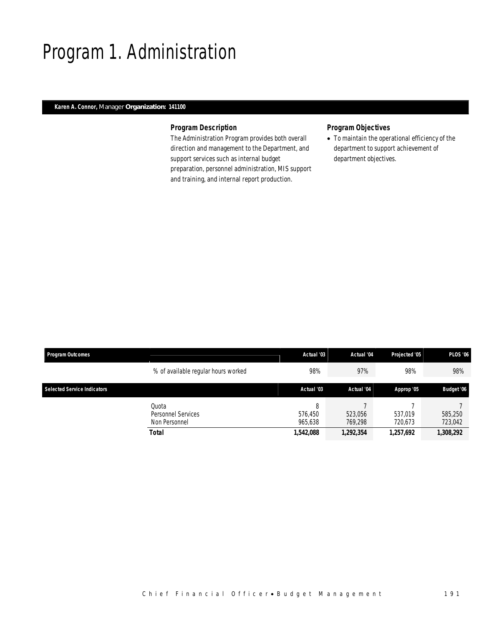# Program 1. Administration

## *Karen A. Connor, Manager Organization: 141100*

## *Program Description*

The Administration Program provides both overall direction and management to the Department, and support services such as internal budget preparation, personnel administration, MIS support and training, and internal report production.

## *Program Objectives*

• To maintain the operational efficiency of the department to support achievement of department objectives.

| <b>Program Outcomes</b>            |                                                              | Actual '03                           | Actual '04                      | Projected '05                   | <b>PLOS '06</b>                 |
|------------------------------------|--------------------------------------------------------------|--------------------------------------|---------------------------------|---------------------------------|---------------------------------|
|                                    | % of available regular hours worked                          | 98%                                  | 97%                             | 98%                             | 98%                             |
| <b>Selected Service Indicators</b> |                                                              | Actual '03                           | Actual '04                      | Approp '05                      | <b>Budget '06</b>               |
|                                    | Ouota<br>Personnel Services<br>Non Personnel<br><b>Total</b> | 8<br>576.450<br>965.638<br>1,542,088 | 523,056<br>769.298<br>1,292,354 | 537.019<br>720,673<br>1,257,692 | 585,250<br>723,042<br>1,308,292 |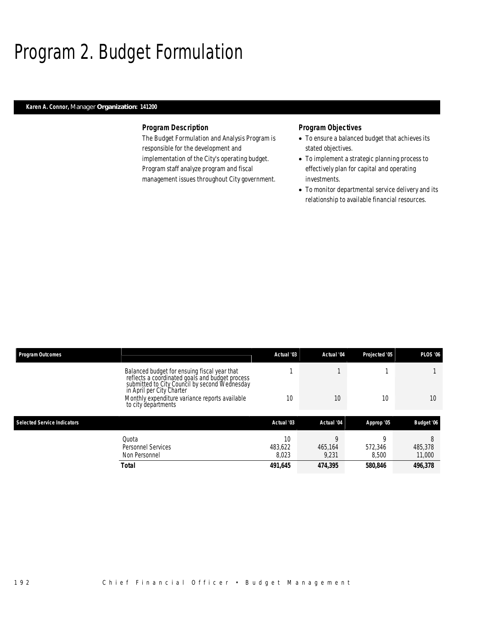# Program 2. Budget Formulation

## *Karen A. Connor, Manager Organization: 141200*

### *Program Description*

The Budget Formulation and Analysis Program is responsible for the development and implementation of the City's operating budget. Program staff analyze program and fiscal management issues throughout City government.

- To ensure a balanced budget that achieves its stated objectives.
- To implement a strategic planning process to effectively plan for capital and operating investments.
- To monitor departmental service delivery and its relationship to available financial resources.

| <b>Program Outcomes</b>            |                                                                                                                                                  | Actual '03             | Actual '04       | Projected '05    | <b>PLOS '06</b>        |
|------------------------------------|--------------------------------------------------------------------------------------------------------------------------------------------------|------------------------|------------------|------------------|------------------------|
|                                    | Balanced budget for ensuing fiscal year that<br>reflects a coordinated goals and budget process<br>submitted to City Council by second Wednesday |                        |                  |                  |                        |
|                                    | in April per City Charter<br>Monthly expenditure variance reports available<br>to city departments                                               | 10                     | 10               | 10               | 10 <sup>°</sup>        |
| <b>Selected Service Indicators</b> |                                                                                                                                                  | Actual '03             | Actual '04       | Approp '05       | Budget '06             |
|                                    |                                                                                                                                                  |                        |                  |                  |                        |
| Quota                              | <b>Personnel Services</b><br>Non Personnel                                                                                                       | 10<br>483.622<br>8,023 | 465.164<br>9,231 | 572.346<br>8,500 | 8<br>485,378<br>11,000 |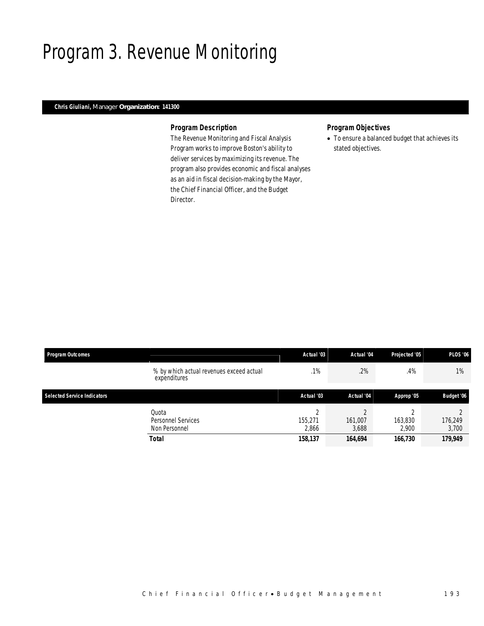## Program 3. Revenue Monitoring

## *Chris Giuliani, Manager Organization: 141300*

### *Program Description*

The Revenue Monitoring and Fiscal Analysis Program works to improve Boston's ability to deliver services by maximizing its revenue. The program also provides economic and fiscal analyses as an aid in fiscal decision-making by the Mayor, the Chief Financial Officer, and the Budget Director.

## *Program Objectives*

• To ensure a balanced budget that achieves its stated objectives.

| <b>Program Outcomes</b>            |                                                          | Actual '03                            | Actual '04                  | Projected '05               | <b>PLOS '06</b>             |
|------------------------------------|----------------------------------------------------------|---------------------------------------|-----------------------------|-----------------------------|-----------------------------|
|                                    | % by which actual revenues exceed actual<br>expenditures | .1%                                   | .2%                         | .4%                         | $1\%$                       |
| <b>Selected Service Indicators</b> |                                                          | Actual '03                            | Actual '04                  | Approp '05                  | Budget '06                  |
|                                    | Quota<br>Personnel Services<br>Non Personnel<br>Total    | $\sim$<br>155.271<br>2,866<br>158,137 | 161,007<br>3,688<br>164,694 | 163,830<br>2.900<br>166,730 | 176,249<br>3,700<br>179,949 |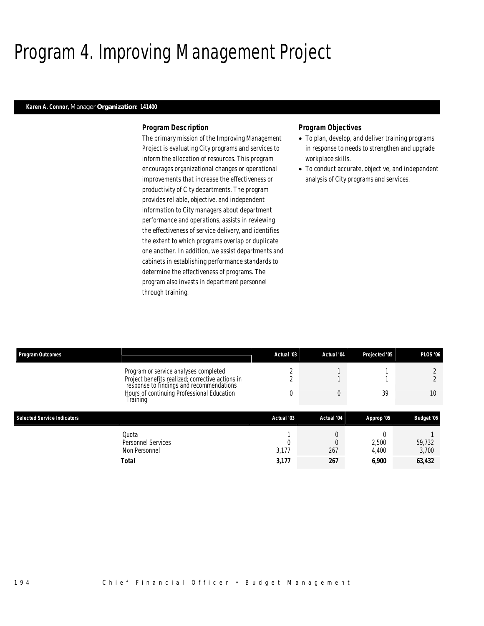# Program 4. Improving Management Project

### *Karen A. Connor, Manager Organization: 141400*

#### *Program Description*

The primary mission of the Improving Management Project is evaluating City programs and services to inform the allocation of resources. This program encourages organizational changes or operational improvements that increase the effectiveness or productivity of City departments. The program provides reliable, objective, and independent information to City managers about department performance and operations, assists in reviewing the effectiveness of service delivery, and identifies the extent to which programs overlap or duplicate one another. In addition, we assist departments and cabinets in establishing performance standards to determine the effectiveness of programs. The program also invests in department personnel through training.

- To plan, develop, and deliver training programs in response to needs to strengthen and upgrade workplace skills.
- To conduct accurate, objective, and independent analysis of City programs and services.

| <b>Program Outcomes</b>            |                                                                                              | Actual '03 | Actual '04 | Projected '05 | <b>PLOS '06</b> |
|------------------------------------|----------------------------------------------------------------------------------------------|------------|------------|---------------|-----------------|
|                                    | Program or service analyses completed                                                        |            |            |               |                 |
|                                    | Project benefits realized; corrective actions in<br>response to findings and recommendations |            |            |               |                 |
|                                    | Hours of continuing Professional Education<br>Training                                       | 0          | $\Omega$   | 39            | 10              |
|                                    |                                                                                              |            |            |               |                 |
| <b>Selected Service Indicators</b> |                                                                                              | Actual '03 | Actual '04 |               |                 |
|                                    |                                                                                              |            |            | Approp '05    | Budget '06      |
|                                    | Quota                                                                                        |            |            |               |                 |
|                                    | <b>Personnel Services</b>                                                                    |            |            | 2,500         | 59,732          |
|                                    | Non Personnel                                                                                | 3,177      | 267        | 4,400         | 3,700           |
|                                    | Total                                                                                        | 3,177      | 267        | 6,900         | 63,432          |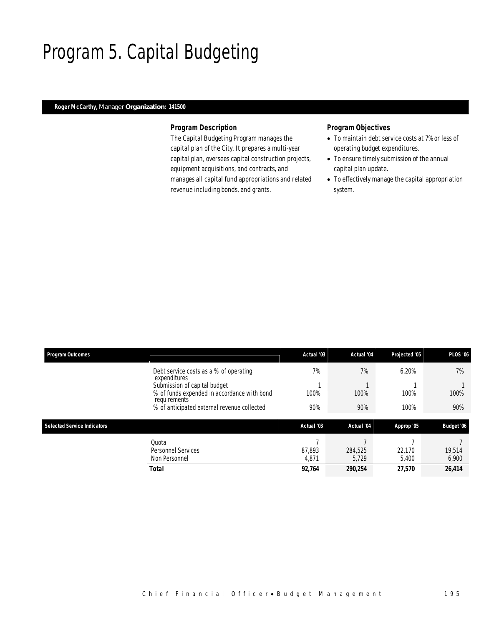# Program 5. Capital Budgeting

## *Roger McCarthy, Manager Organization: 141500*

### *Program Description*

The Capital Budgeting Program manages the capital plan of the City. It prepares a multi-year capital plan, oversees capital construction projects, equipment acquisitions, and contracts, and manages all capital fund appropriations and related revenue including bonds, and grants.

- To maintain debt service costs at 7% or less of operating budget expenditures.
- To ensure timely submission of the annual capital plan update.
- To effectively manage the capital appropriation system.

| <b>Program Outcomes</b>            |                                                             | Actual '03 | Actual '04 | Projected '05 | <b>PLOS '06</b> |
|------------------------------------|-------------------------------------------------------------|------------|------------|---------------|-----------------|
|                                    | Debt service costs as a % of operating<br>expenditures      | 7%         | 7%         | 6.20%         | 7%              |
|                                    | Submission of capital budget                                |            |            |               |                 |
|                                    | % of funds expended in accordance with bond<br>requirements | 100%       | 100%       | 100%          | 100%            |
|                                    | % of anticipated external revenue collected                 | 90%        | 90%        | 100%          | 90%             |
| <b>Selected Service Indicators</b> |                                                             | Actual '03 | Actual '04 | Approp '05    | Budget '06      |
|                                    | Quota                                                       | -          |            |               |                 |
|                                    | Personnel Services                                          | 87.893     | 284.525    | 22.170        | 19.514          |
|                                    | Non Personnel                                               | 4,871      | 5,729      | 5,400         | 6,900           |
|                                    | <b>Total</b>                                                | 92,764     | 290,254    | 27,570        | 26,414          |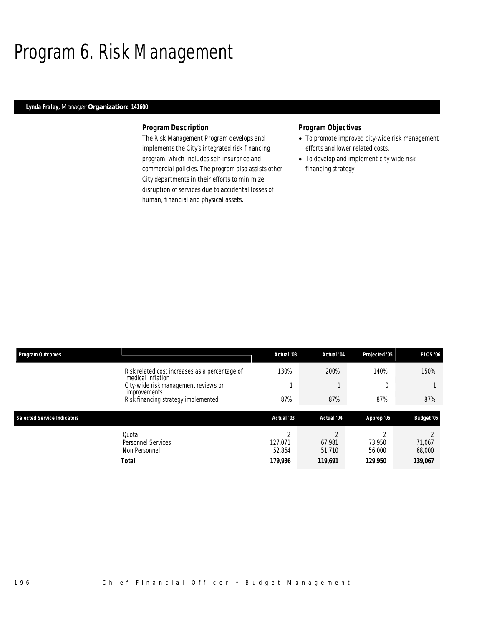# Program 6. Risk Management

## *Lynda Fraley, Manager Organization: 141600*

### *Program Description*

The Risk Management Program develops and implements the City's integrated risk financing program, which includes self-insurance and commercial policies. The program also assists other City departments in their efforts to minimize disruption of services due to accidental losses of human, financial and physical assets.

- To promote improved city-wide risk management efforts and lower related costs.
- To develop and implement city-wide risk financing strategy.

| <b>Program Outcomes</b>            |                                                                     | Actual '03                    | Actual '04                 | Projected '05    | <b>PLOS '06</b>  |
|------------------------------------|---------------------------------------------------------------------|-------------------------------|----------------------------|------------------|------------------|
|                                    | Risk related cost increases as a percentage of<br>medical inflation | 130%                          | 200%                       | 140%             | 150%             |
|                                    | City-wide risk management reviews or<br><i>improvements</i>         |                               |                            | $\overline{0}$   |                  |
|                                    | Risk financing strategy implemented                                 | 87%                           | 87%                        | 87%              | 87%              |
| <b>Selected Service Indicators</b> |                                                                     | Actual '03                    | Actual '04                 | Approp '05       | Budget '06       |
|                                    | Ouota<br><b>Personnel Services</b><br>Non Personnel                 | $\Omega$<br>127.071<br>52,864 | $\sim$<br>67.981<br>51,710 | 73.950<br>56,000 | 71,067<br>68,000 |
|                                    |                                                                     |                               |                            |                  |                  |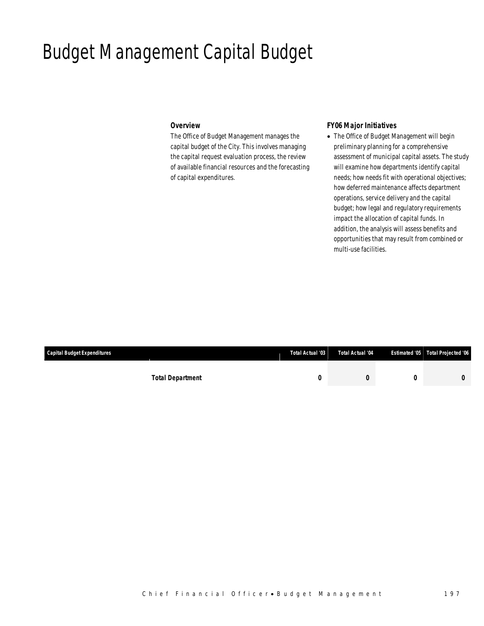## Budget Management Capital Budget

## *Overview*

The Office of Budget Management manages the capital budget of the City. This involves managing the capital request evaluation process, the review of available financial resources and the forecasting of capital expenditures.

## *FY06 Major Initiatives*

• The Office of Budget Management will begin preliminary planning for a comprehensive assessment of municipal capital assets. The study will examine how departments identify capital needs; how needs fit with operational objectives; how deferred maintenance affects department operations, service delivery and the capital budget; how legal and regulatory requirements impact the allocation of capital funds. In addition, the analysis will assess benefits and opportunities that may result from combined or multi-use facilities.

| Capital Budget Expenditures |                         | Total Actual '03 | Total Actual '04 | Estimated '05 Total Projected '06 |
|-----------------------------|-------------------------|------------------|------------------|-----------------------------------|
|                             |                         |                  |                  |                                   |
|                             | <b>Total Department</b> |                  |                  |                                   |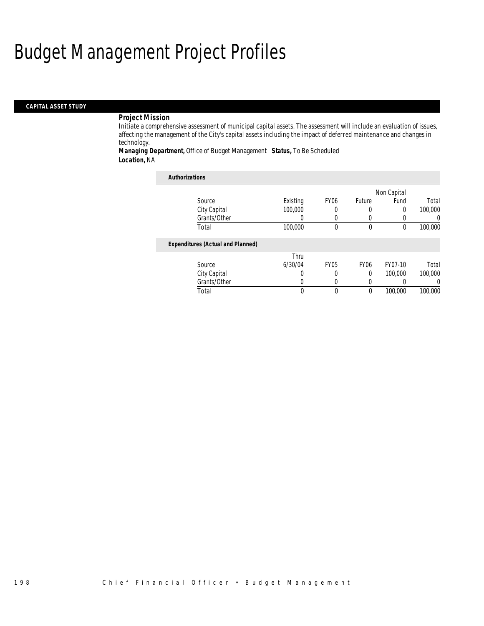# Budget Management Project Profiles

## *CAPITAL ASSET STUDY*

#### *Project Mission*

Initiate a comprehensive assessment of municipal capital assets. The assessment will include an evaluation of issues, affecting the management of the City's capital assets including the impact of deferred maintenance and changes in technology.

*Managing Department,* Office of Budget Management *Status,* To Be Scheduled *Location,* NA

#### *Authorizations*

|        |                                          |          |                  |             | Non Capital |          |
|--------|------------------------------------------|----------|------------------|-------------|-------------|----------|
| Source |                                          | Existing | FY <sub>06</sub> | Future      | Fund        | Total    |
|        | City Capital                             | 100,000  | 0                |             | 0           | 100,000  |
|        | Grants/Other                             |          | 0                |             |             | $\left($ |
| Total  |                                          | 100,000  | 0                | $\mathbf 0$ | $\theta$    | 100,000  |
|        | <b>Expenditures (Actual and Planned)</b> |          |                  |             |             |          |
|        |                                          | Thru     |                  |             |             |          |
| Source |                                          | 6/30/04  | <b>FY05</b>      | <b>FY06</b> | FY07-10     | Total    |
|        | City Capital                             | O        | 0                | 0           | 100,000     | 100,000  |
|        | Grants/Other                             | O        | 0                |             |             | $\Omega$ |
| Total  |                                          | 0        | $\theta$         | $\theta$    | 100,000     | 100,000  |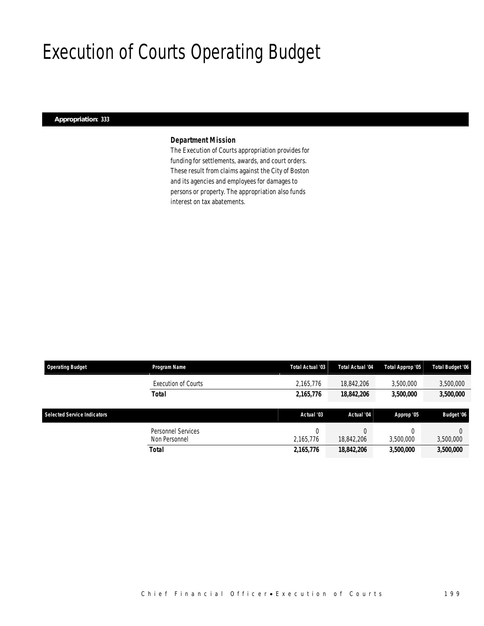# Execution of Courts Operating Budget

## *Appropriation: 333*

## *Department Mission*

The Execution of Courts appropriation provides for funding for settlements, awards, and court orders. These result from claims against the City of Boston and its agencies and employees for damages to persons or property. The appropriation also funds interest on tax abatements.

| <b>Operating Budget</b>            | Program Name               | Total Actual '03 | <b>Total Actual '04</b> | Total Approp '05 | Total Budget '06 |
|------------------------------------|----------------------------|------------------|-------------------------|------------------|------------------|
|                                    | <b>Execution of Courts</b> | 2,165,776        | 18.842.206              | 3,500,000        | 3,500,000        |
|                                    | <b>Total</b>               | 2,165,776        | 18,842,206              | 3,500,000        | 3,500,000        |
|                                    |                            |                  |                         |                  |                  |
|                                    |                            |                  |                         |                  |                  |
| <b>Selected Service Indicators</b> |                            | Actual '03       | Actual '04              | Approp '05       | Budget '06       |
|                                    | Personnel Services         | 0                |                         |                  |                  |
|                                    | Non Personnel              | 2,165,776        | 18,842,206              | 3,500,000        | 3,500,000        |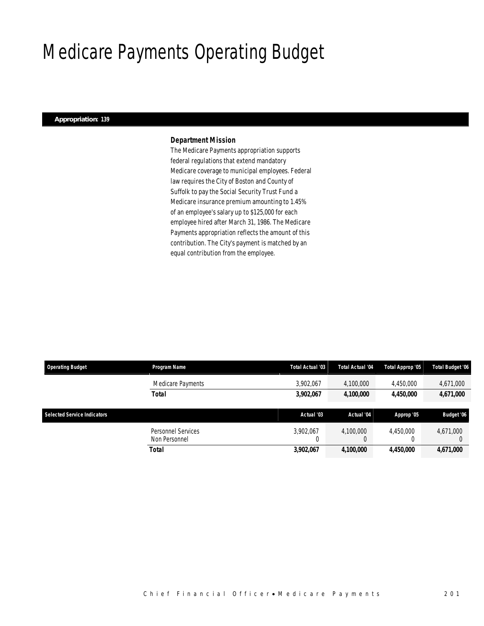### Medicare Payments Operating Budget

#### *Appropriation: 139*

#### *Department Mission*

The Medicare Payments appropriation supports federal regulations that extend mandatory Medicare coverage to municipal employees. Federal law requires the City of Boston and County of Suffolk to pay the Social Security Trust Fund a Medicare insurance premium amounting to 1.45% of an employee's salary up to \$125,000 for each employee hired after March 31, 1986. The Medicare Payments appropriation reflects the amount of this contribution. The City's payment is matched by an equal contribution from the employee.

| <b>Operating Budget</b>            | <b>Program Name</b>                 | Total Actual '03 | Total Actual '04 | Total Approp '05 | <b>Total Budget '06</b> |
|------------------------------------|-------------------------------------|------------------|------------------|------------------|-------------------------|
|                                    | Medicare Payments                   | 3,902,067        | 4,100,000        | 4,450,000        | 4,671,000               |
|                                    | <b>Total</b>                        | 3,902,067        | 4,100,000        | 4.450.000        | 4,671,000               |
| <b>Selected Service Indicators</b> |                                     | Actual '03       | Actual '04       | Approp '05       | Budget '06              |
|                                    | Personnel Services<br>Non Personnel | 3.902.067        | 4.100.000<br>G   | 4.450.000        | 4,671,000               |
|                                    | Total                               | 3,902,067        | 4,100,000        | 4,450,000        | 4,671,000               |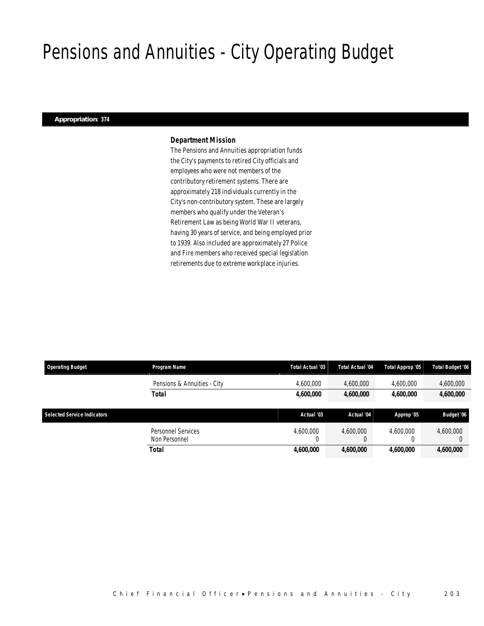### Pensions and Annuities - City Operating Budget

#### *Appropriation: 374*

#### *Department Mission*

The Pensions and Annuities appropriation funds the City's payments to retired City officials and employees who were not members of the contributory retirement systems. There are approximately 218 individuals currently in the City's non-contributory system. These are largely members who qualify under the Veteran's Retirement Law as being World War II veterans, having 30 years of service, and being employed prior to 1939. Also included are approximately 27 Police and Fire members who received special legislation retirements due to extreme workplace injuries.

| <b>Operating Budget</b>            | <b>Program Name</b>                        | Total Actual '03 | <b>Total Actual '04</b> | Total Approp '05 | Total Budget '06 |
|------------------------------------|--------------------------------------------|------------------|-------------------------|------------------|------------------|
|                                    | Pensions & Annuities - City                | 4,600,000        | 4,600,000               | 4,600,000        | 4,600,000        |
|                                    | Total                                      | 4,600,000        | 4,600,000               | 4.600.000        | 4,600,000        |
| <b>Selected Service Indicators</b> |                                            | Actual '03       | Actual '04              | Approp '05       | Budget '06       |
|                                    |                                            |                  |                         |                  |                  |
|                                    | <b>Personnel Services</b><br>Non Personnel | 4.600.000        | 4.600.000               | 4.600.000        | 4,600,000        |
|                                    | Total                                      | 4,600,000        | 4,600,000               | 4,600,000        | 4,600,000        |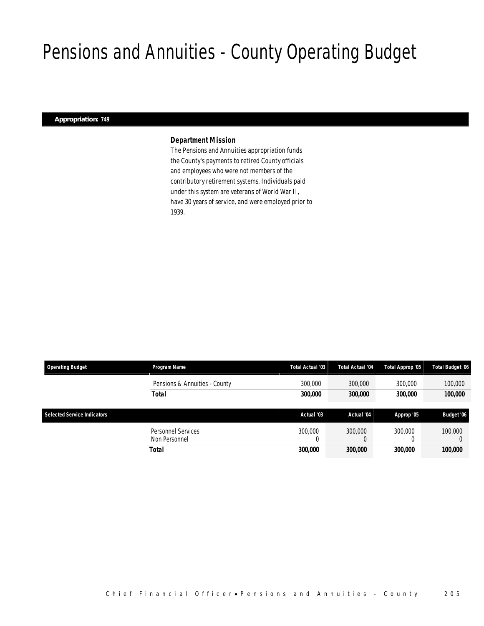### Pensions and Annuities - County Operating Budget

#### *Appropriation: 749*

#### *Department Mission*

The Pensions and Annuities appropriation funds the County's payments to retired County officials and employees who were not members of the contributory retirement systems. Individuals paid under this system are veterans of World War II, have 30 years of service, and were employed prior to 1939.

| <b>Operating Budget</b>            | Program Name                               | Total Actual '03 | Total Actual '04 | Total Approp '05 | Total Budget '06 |  |
|------------------------------------|--------------------------------------------|------------------|------------------|------------------|------------------|--|
|                                    | Pensions & Annuities - County              | 300,000          | 300,000          | 300,000          | 100,000          |  |
|                                    | <b>Total</b>                               | 300,000          | 300,000          | 300,000          | 100,000          |  |
|                                    |                                            |                  |                  |                  |                  |  |
| <b>Selected Service Indicators</b> |                                            | Actual '03       | Actual '04       | Approp '05       | Budget '06       |  |
|                                    | <b>Personnel Services</b><br>Non Personnel | 300,000<br>0     | 300,000<br>υ     | 300,000          | 100,000          |  |
|                                    | Total                                      | 300.000          | 300,000          | 300,000          | 100,000          |  |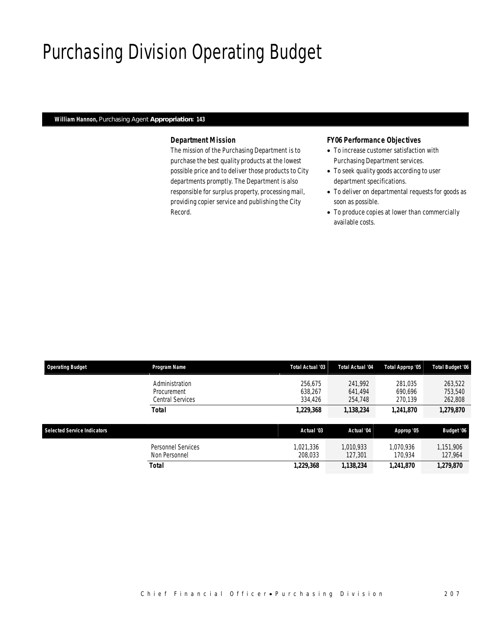# Purchasing Division Operating Budget

#### *William Hannon, Purchasing Agent Appropriation: 143*

#### *Department Mission*

The mission of the Purchasing Department is to purchase the best quality products at the lowest possible price and to deliver those products to City departments promptly. The Department is also responsible for surplus property, processing mail, providing copier service and publishing the City Record.

#### *FY06 Performance Objectives*

- To increase customer satisfaction with Purchasing Department services.
- To seek quality goods according to user department specifications.
- To deliver on departmental requests for goods as soon as possible.
- To produce copies at lower than commercially available costs.

| <b>Operating Budget</b>            | Program Name                                      | <b>Total Actual '03</b>       | <b>Total Actual '04</b>       | Total Approp '05              | <b>Total Budget '06</b>       |
|------------------------------------|---------------------------------------------------|-------------------------------|-------------------------------|-------------------------------|-------------------------------|
|                                    | Administration<br>Procurement<br>Central Services | 256.675<br>638.267<br>334,426 | 241.992<br>641.494<br>254,748 | 281,035<br>690,696<br>270.139 | 263,522<br>753,540<br>262,808 |
|                                    | <b>Total</b>                                      | 1,229,368                     | 1,138,234                     | 1,241,870                     | 1,279,870                     |
| <b>Selected Service Indicators</b> |                                                   | Actual '03                    | Actual '04                    | Approp '05                    | Budget '06                    |
|                                    | Personnel Services<br>Non Personnel               | 1.021.336<br>208.033          | 1,010,933<br>127,301          | 1.070.936<br>170,934          | 1,151,906<br>127,964          |
|                                    | Total                                             | 1,229,368                     | 1,138,234                     | 1,241,870                     | 1,279,870                     |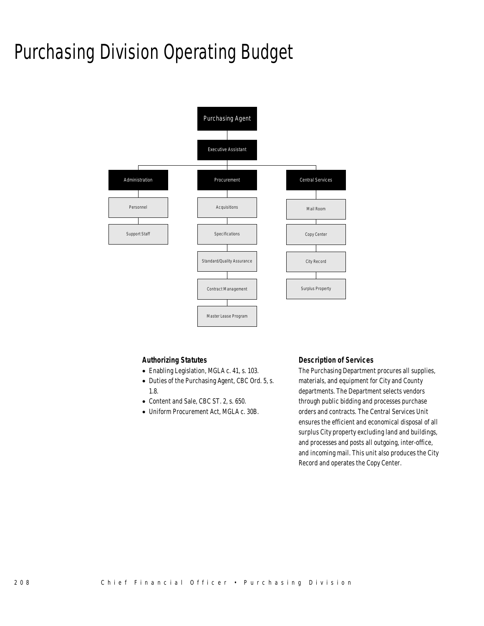# Purchasing Division Operating Budget



#### *Authorizing Statutes*

- Enabling Legislation, MGLA c. 41, s. 103.
- Duties of the Purchasing Agent, CBC Ord. 5, s. 1.8.
- Content and Sale, CBC ST. 2, s. 650.
- Uniform Procurement Act, MGLA c. 30B.

#### *Description of Services*

The Purchasing Department procures all supplies, materials, and equipment for City and County departments. The Department selects vendors through public bidding and processes purchase orders and contracts. The Central Services Unit ensures the efficient and economical disposal of all surplus City property excluding land and buildings, and processes and posts all outgoing, inter-office, and incoming mail. This unit also produces the City Record and operates the Copy Center.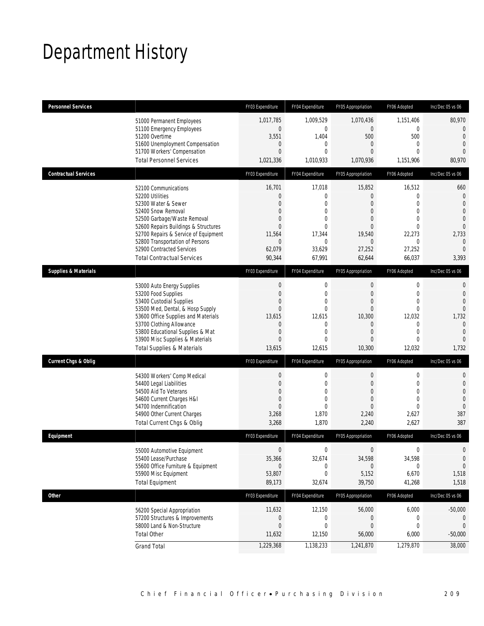### Department History

| <b>Personnel Services</b>       |                                       | FY03 Expenditure | FY04 Expenditure | FY05 Appropriation | FY06 Adopted     | Inc/Dec 05 vs 06 |
|---------------------------------|---------------------------------------|------------------|------------------|--------------------|------------------|------------------|
|                                 | 51000 Permanent Employees             | 1,017,785        | 1,009,529        | 1,070,436          | 1,151,406        | 80,970           |
|                                 | 51100 Emergency Employees             | $\mathbf 0$      | $\mathbf 0$      | $\overline{0}$     | $\theta$         | $\mathbf 0$      |
|                                 | 51200 Overtime                        | 3,551            | 1,404            | 500                | 500              | $\overline{0}$   |
|                                 | 51600 Unemployment Compensation       | 0                | $\mathbf 0$      | $\overline{0}$     | $\mathbf{0}$     | $\mathbf{0}$     |
|                                 | 51700 Workers' Compensation           | $\overline{0}$   | $\mathbf{0}$     | $\overline{0}$     | $\Omega$         | $\overline{0}$   |
|                                 | <b>Total Personnel Services</b>       | 1,021,336        | 1,010,933        | 1,070,936          | 1,151,906        | 80,970           |
| <b>Contractual Services</b>     |                                       | FY03 Expenditure | FY04 Expenditure | FY05 Appropriation | FY06 Adopted     | Inc/Dec 05 vs 06 |
|                                 | 52100 Communications                  | 16,701           | 17,018           | 15,852             | 16,512           | 660              |
|                                 | 52200 Utilities                       | $\mathbf{0}$     | $\mathbf{0}$     | 0                  | $\Omega$         | $\overline{0}$   |
|                                 | 52300 Water & Sewer                   | $\overline{0}$   | $\mathbf{0}$     | $\overline{0}$     | $\Omega$         | $\mathbf{0}$     |
|                                 | 52400 Snow Removal                    | $\mathbf{0}$     | $\mathbf{0}$     | $\overline{0}$     | $\Omega$         | $\mathbf{0}$     |
|                                 | 52500 Garbage/Waste Removal           | $\overline{0}$   | $\mathbf{0}$     | $\overline{0}$     | $\Omega$         | $\mathbf 0$      |
|                                 | 52600 Repairs Buildings & Structures  | $\Omega$         | $\Omega$         | $\Omega$           | $\Omega$         | $\overline{0}$   |
|                                 | 52700 Repairs & Service of Equipment  | 11,564           | 17,344           | 19,540             | 22,273           | 2,733            |
|                                 | 52800 Transportation of Persons       | $\mathbf{0}$     | $\mathbf{0}$     | $\overline{0}$     | $\mathbf{0}$     | $\theta$         |
|                                 | 52900 Contracted Services             | 62,079           | 33,629           | 27,252             | 27,252           | $\overline{0}$   |
|                                 | <b>Total Contractual Services</b>     | 90,344           | 67,991           | 62,644             | 66,037           | 3,393            |
| <b>Supplies &amp; Materials</b> |                                       | FY03 Expenditure | FY04 Expenditure | FY05 Appropriation | FY06 Adopted     | Inc/Dec 05 vs 06 |
|                                 | 53000 Auto Energy Supplies            | $\mathbf 0$      | $\mathbf 0$      | $\mathbf 0$        | $\mathbf 0$      | $\mathbf 0$      |
|                                 | 53200 Food Supplies                   | $\overline{0}$   | $\mathbf 0$      | $\mathbf 0$        | $\overline{0}$   | $\mathbf{0}$     |
|                                 | 53400 Custodial Supplies              | 0                | $\mathbf{0}$     | $\overline{0}$     | $\overline{0}$   | $\mathbf{0}$     |
|                                 | 53500 Med, Dental, & Hosp Supply      | $\overline{0}$   | $\mathbf{0}$     | $\overline{0}$     | $\overline{0}$   | $\mathbf 0$      |
|                                 | 53600 Office Supplies and Materials   | 13,615           | 12,615           | 10,300             | 12,032           | 1,732            |
|                                 | 53700 Clothing Allowance              | $\overline{0}$   | $\mathbf{0}$     | $\overline{0}$     | $\Omega$         | $\overline{0}$   |
|                                 | 53800 Educational Supplies & Mat      | $\overline{0}$   | $\mathbf{0}$     | $\overline{0}$     | $\mathbf{0}$     | $\mathbf{0}$     |
|                                 | 53900 Misc Supplies & Materials       | $\overline{0}$   | $\mathbf{0}$     | 0                  | $\Omega$         | $\overline{0}$   |
|                                 | <b>Total Supplies &amp; Materials</b> | 13,615           | 12,615           | 10,300             | 12,032           | 1,732            |
| <b>Current Chgs &amp; Oblig</b> |                                       | FY03 Expenditure | FY04 Expenditure | FY05 Appropriation | FY06 Adopted     | Inc/Dec 05 vs 06 |
|                                 | 54300 Workers' Comp Medical           | 0                | 0                | $\theta$           | $\mathbf 0$      | 0                |
|                                 | 54400 Legal Liabilities               | $\overline{0}$   | $\mathbf{0}$     | $\overline{0}$     | $\Omega$         | $\mathbf{0}$     |
|                                 | 54500 Aid To Veterans                 | $\overline{0}$   | $\mathbf{0}$     | $\overline{0}$     | 0                | $\mathbf{0}$     |
|                                 | 54600 Current Charges H&I             | $\overline{0}$   | $\mathbf{0}$     | $\Omega$           | $\Omega$         | $\theta$         |
|                                 | 54700 Indemnification                 | $\overline{0}$   | $\theta$         | $\Omega$           | $\Omega$         | $\theta$         |
|                                 | 54900 Other Current Charges           | 3,268            | 1,870            | 2,240              | 2,627            | 387              |
|                                 | Total Current Chgs & Oblig            | 3,268            | 1,870            | 2,240              | 2,627            | 387              |
| Equipment                       |                                       | FY03 Expenditure | FY04 Expenditure | FY05 Appropriation | FY06 Adopted     | Inc/Dec 05 vs 06 |
|                                 | 55000 Automotive Equipment            | $\boldsymbol{0}$ | $\boldsymbol{0}$ | $\overline{0}$     | $\boldsymbol{0}$ | 0                |
|                                 | 55400 Lease/Purchase                  | 35,366           | 32,674           | 34,598             | 34,598           | $\bf{0}$         |
|                                 | 55600 Office Furniture & Equipment    | 0                | $\mathbf{0}$     | $\Omega$           | 0                | $\theta$         |
|                                 | 55900 Misc Equipment                  | 53,807           | $\mathbf 0$      | 5,152              | 6,670            | 1,518            |
|                                 | <b>Total Equipment</b>                | 89,173           | 32,674           | 39,750             | 41,268           | 1,518            |
| <b>Other</b>                    |                                       | FY03 Expenditure | FY04 Expenditure | FY05 Appropriation | FY06 Adopted     | Inc/Dec 05 vs 06 |
|                                 | 56200 Special Appropriation           | 11,632           | 12,150           | 56,000             | 6,000            | $-50,000$        |
|                                 | 57200 Structures & Improvements       | 0                | $\boldsymbol{0}$ | 0                  | 0                | $\overline{0}$   |
|                                 | 58000 Land & Non-Structure            | $\overline{0}$   | $\mathbf{0}$     | 0                  | 0                | $\overline{0}$   |
|                                 | <b>Total Other</b>                    | 11,632           | 12,150           | 56,000             | 6,000            | $-50,000$        |
|                                 | <b>Grand Total</b>                    | 1,229,368        | 1,138,233        | 1,241,870          | 1,279,870        | 38,000           |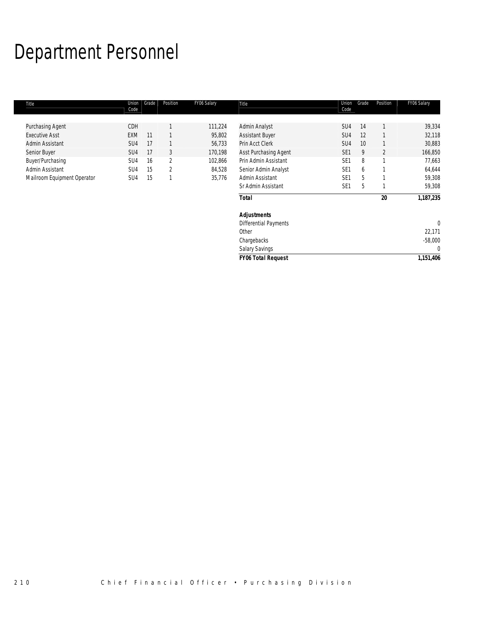# Department Personnel

| Title                       | Union<br>Code   | Grade | Position       | FY06 Salary | Title                        | Union<br>Code   | Grade | Position       | FY06 Salary  |
|-----------------------------|-----------------|-------|----------------|-------------|------------------------------|-----------------|-------|----------------|--------------|
| Purchasing Agent            | CDH             |       |                | 111,224     | Admin Analyst                | SU4             | 14    |                | 39,334       |
| <b>Executive Asst</b>       | EXM             | 11    |                | 95,802      | <b>Assistant Buyer</b>       | SU4             | 12    |                | 32,118       |
| Admin Assistant             | SU4             | 17    |                | 56,733      | Prin Acct Clerk              | SU <sub>4</sub> | 10    |                | 30,883       |
| Senior Buyer                | SU4             | 17    | 3              | 170,198     | Asst Purchasing Agent        | SE <sub>1</sub> | 9     | $\overline{2}$ | 166,850      |
| Buyer/Purchasing            | SU <sub>4</sub> | 16    | $\overline{2}$ | 102,866     | Prin Admin Assistant         | SE <sub>1</sub> | 8     | 1              | 77,663       |
| Admin Assistant             | SU <sub>4</sub> | 15    | $\overline{2}$ | 84,528      | Senior Admin Analyst         | SE <sub>1</sub> | 6     |                | 64,644       |
| Mailroom Equipment Operator | SU4             | 15    | $\mathbf{1}$   | 35,776      | Admin Assistant              | SE <sub>1</sub> | 5     |                | 59,308       |
|                             |                 |       |                |             | Sr Admin Assistant           | SE <sub>1</sub> | 5     |                | 59,308       |
|                             |                 |       |                |             | Total                        |                 |       | 20             | 1,187,235    |
|                             |                 |       |                |             | <b>Adjustments</b>           |                 |       |                |              |
|                             |                 |       |                |             | <b>Differential Payments</b> |                 |       |                | $\mathbf{0}$ |
|                             |                 |       |                |             | Other                        |                 |       |                | 22,171       |
|                             |                 |       |                |             | Chargebacks                  |                 |       |                | $-58,000$    |
|                             |                 |       |                |             | <b>Salary Savings</b>        |                 |       |                | $\mathbf{0}$ |
|                             |                 |       |                |             | <b>FY06 Total Request</b>    |                 |       |                | 1,151,406    |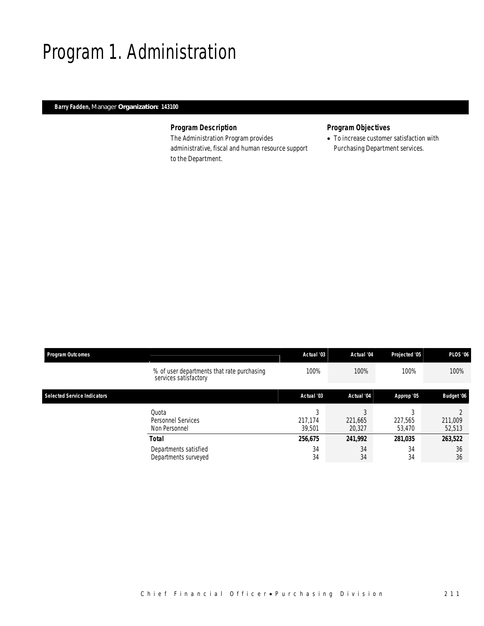### Program 1. Administration

#### *Barry Fadden, Manager Organization: 143100*

#### *Program Description*

The Administration Program provides administrative, fiscal and human resource support to the Department.

#### *Program Objectives*

• To increase customer satisfaction with Purchasing Department services.

| <b>Program Outcomes</b>            |                                                                     | Actual '03             | Actual '04             | Projected '05     | <b>PLOS '06</b>   |  |
|------------------------------------|---------------------------------------------------------------------|------------------------|------------------------|-------------------|-------------------|--|
|                                    | % of user departments that rate purchasing<br>services satisfactory | 100%                   | 100%                   | 100%              | 100%              |  |
| <b>Selected Service Indicators</b> |                                                                     | Actual '03             | Actual '04             | Approp '05        | Budget '06        |  |
|                                    | Quota<br>Personnel Services<br>Non Personnel                        | 3<br>217,174<br>39.501 | C<br>221,665<br>20,327 | 227,565<br>53.470 | 211,009<br>52,513 |  |
|                                    | Total                                                               | 256,675                | 241,992                | 281,035           | 263,522           |  |
|                                    | Departments satisfied<br>Departments surveyed                       | 34<br>34               | 34<br>34               | 34<br>34          | 36<br>36          |  |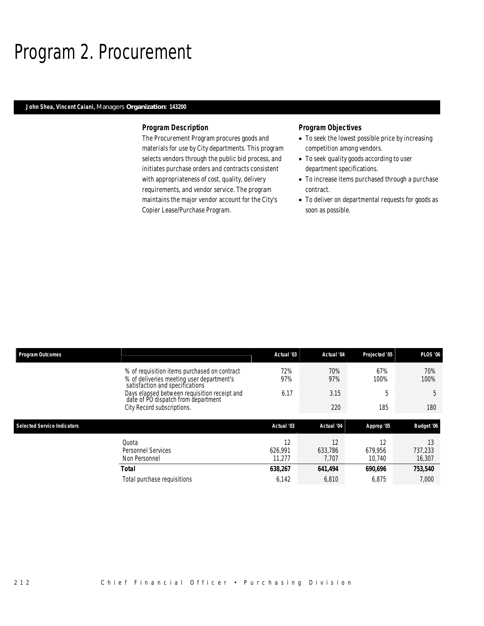### Program 2. Procurement

#### *John Shea, Vincent Caiani, Managers Organization: 143200*

#### *Program Description*

The Procurement Program procures goods and materials for use by City departments. This program selects vendors through the public bid process, and initiates purchase orders and contracts consistent with appropriateness of cost, quality, delivery requirements, and vendor service. The program maintains the major vendor account for the City's Copier Lease/Purchase Program.

#### *Program Objectives*

- To seek the lowest possible price by increasing competition among vendors.
- To seek quality goods according to user department specifications.
- To increase items purchased through a purchase contract.
- To deliver on departmental requests for goods as soon as possible.

| <b>Program Outcomes</b>            |                                                                                                                              | Actual '03 | Actual '04 | Projected '05 | <b>PLOS '06</b> |
|------------------------------------|------------------------------------------------------------------------------------------------------------------------------|------------|------------|---------------|-----------------|
|                                    | % of requisition items purchased on contract<br>% of deliveries meeting user department's<br>satisfaction and specifications | 72%<br>97% | 70%<br>97% | 67%<br>100%   | 70%<br>100%     |
|                                    | Days elapsed between requisition receipt and<br>date of PO dispatch from department                                          | 6.17       | 3.15       | 5             | 5               |
|                                    | City Record subscriptions.                                                                                                   |            | 220        | 185           | 180             |
|                                    |                                                                                                                              |            |            |               |                 |
| <b>Selected Service Indicators</b> |                                                                                                                              | Actual '03 | Actual '04 | Approp '05    | Budget '06      |
|                                    | Quota                                                                                                                        | 12         | 12         | 12            | 13              |
|                                    | Personnel Services                                                                                                           | 626.991    | 633,786    | 679.956       | 737,233         |
|                                    | Non Personnel                                                                                                                | 11.277     | 7.707      | 10.740        | 16,307          |
|                                    | Total                                                                                                                        | 638,267    | 641,494    | 690,696       | 753,540         |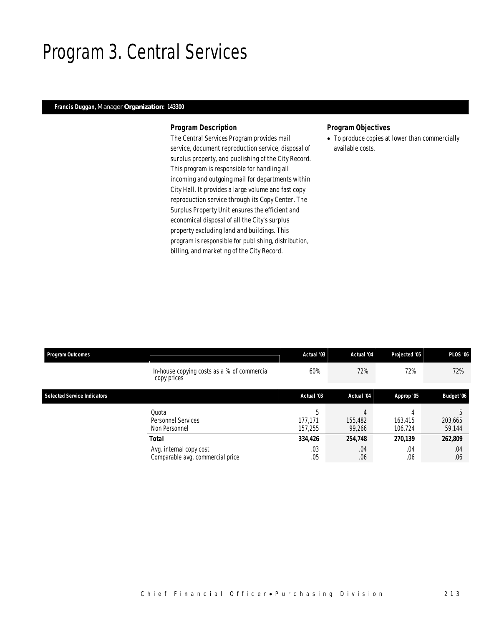### Program 3. Central Services

#### *Francis Duggan, Manager Organization: 143300*

#### *Program Description*

The Central Services Program provides mail service, document reproduction service, disposal of surplus property, and publishing of the City Record. This program is responsible for handling all incoming and outgoing mail for departments within City Hall. It provides a large volume and fast copy reproduction service through its Copy Center. The Surplus Property Unit ensures the efficient and economical disposal of all the City's surplus property excluding land and buildings. This program is responsible for publishing, distribution, billing, and marketing of the City Record.

#### *Program Objectives*

• To produce copies at lower than commercially available costs.

| <b>Program Outcomes</b>            |                                                             | Actual '03              | Actual '04        | Projected '05      | <b>PLOS '06</b>   |
|------------------------------------|-------------------------------------------------------------|-------------------------|-------------------|--------------------|-------------------|
|                                    | In-house copying costs as a % of commercial<br>copy prices  | 60%                     | 72%               | 72%                | 72%               |
| <b>Selected Service Indicators</b> |                                                             | Actual '03              | Actual '04        | Approp '05         | Budget '06        |
|                                    | Quota<br><b>Personnel Services</b><br>Non Personnel         | b<br>177.171<br>157,255 | 155,482<br>99.266 | 163,415<br>106.724 | 203,665<br>59,144 |
|                                    | Total                                                       | 334,426                 | 254,748           | 270,139            | 262,809           |
|                                    | Avg. internal copy cost<br>Comparable avg. commercial price | .03<br>.05              | .04<br>.06        | .04<br>.06         | .04<br>.06        |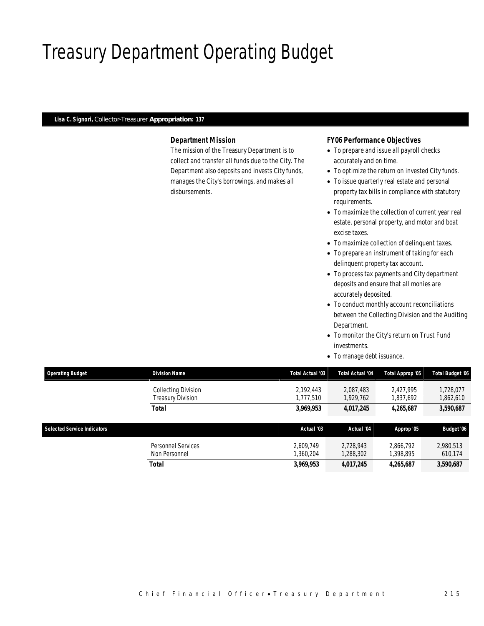# Treasury Department Operating Budget

#### *Lisa C. Signori, Collector-Treasurer Appropriation: 137*

#### *Department Mission*

The mission of the Treasury Department is to collect and transfer all funds due to the City. The Department also deposits and invests City funds, manages the City's borrowings, and makes all disbursements.

#### *FY06 Performance Objectives*

- To prepare and issue all payroll checks accurately and on time.
- To optimize the return on invested City funds.
- To issue quarterly real estate and personal property tax bills in compliance with statutory requirements.
- To maximize the collection of current year real estate, personal property, and motor and boat excise taxes.
- To maximize collection of delinquent taxes.
- To prepare an instrument of taking for each delinquent property tax account.
- To process tax payments and City department deposits and ensure that all monies are accurately deposited.
- To conduct monthly account reconciliations between the Collecting Division and the Auditing Department.
- To monitor the City's return on Trust Fund investments.
- To manage debt issuance.

| <b>Operating Budget</b>            | <b>Division Name</b>                     | Total Actual '03       | Total Actual '04       | Total Approp '05       | <b>Total Budget '06</b> |  |
|------------------------------------|------------------------------------------|------------------------|------------------------|------------------------|-------------------------|--|
|                                    | Collecting Division<br>Treasury Division | 2.192.443<br>.777.510  | 2.087.483<br>1,929,762 | 2.427.995<br>1,837,692 | 1.728.077<br>1,862,610  |  |
|                                    | <b>Total</b>                             | 3,969,953              | 4,017,245              | 4,265,687              | 3,590,687               |  |
|                                    |                                          |                        |                        |                        |                         |  |
|                                    |                                          |                        |                        |                        |                         |  |
| <b>Selected Service Indicators</b> |                                          | Actual '03             | Actual '04             | Approp '05             | Budget '06              |  |
|                                    | Personnel Services<br>Non Personnel      | 2.609.749<br>1,360,204 | 2.728.943<br>1,288,302 | 2.866.792<br>1,398,895 | 2,980,513<br>610,174    |  |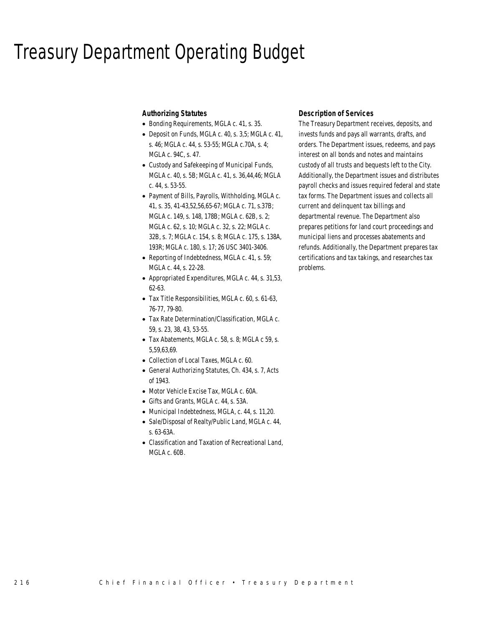### Treasury Department Operating Budget

#### *Authorizing Statutes*

- Bonding Requirements, MGLA c. 41, s. 35.
- Deposit on Funds, MGLA c. 40, s. 3,5; MGLA c. 41, s. 46; MGLA c. 44, s. 53-55; MGLA c.70A, s. 4; MGLA c. 94C, s. 47.
- Custody and Safekeeping of Municipal Funds, MGLA c. 40, s. 5B; MGLA c. 41, s. 36,44,46; MGLA c. 44, s. 53-55.
- Payment of Bills, Payrolls, Withholding, MGLA c. 41, s. 35, 41-43,52,56,65-67; MGLA c. 71, s.37B; MGLA c. 149, s. 148, 178B; MGLA c. 62B, s. 2; MGLA c. 62, s. 10; MGLA c. 32, s. 22; MGLA c. 32B, s. 7; MGLA c. 154, s. 8; MGLA c. 175, s. 138A, 193R; MGLA c. 180, s. 17; 26 USC 3401-3406.
- Reporting of Indebtedness, MGLA c. 41, s. 59; MGLA c. 44, s. 22-28.
- Appropriated Expenditures, MGLA c. 44, s. 31,53, 62-63.
- Tax Title Responsibilities, MGLA c. 60, s. 61-63, 76-77, 79-80.
- Tax Rate Determination/Classification, MGLA c. 59, s. 23, 38, 43, 53-55.
- Tax Abatements, MGLA c. 58, s. 8; MGLA c 59, s. 5,59,63,69.
- Collection of Local Taxes, MGLA c. 60.
- General Authorizing Statutes, Ch. 434, s. 7, Acts of 1943.
- Motor Vehicle Excise Tax, MGLA c. 60A.
- Gifts and Grants, MGLA c. 44, s. 53A.
- Municipal Indebtedness, MGLA, c. 44, s. 11,20.
- Sale/Disposal of Realty/Public Land, MGLA c. 44, s. 63-63A.
- Classification and Taxation of Recreational Land, MGLA c. 60B.

#### *Description of Services*

The Treasury Department receives, deposits, and invests funds and pays all warrants, drafts, and orders. The Department issues, redeems, and pays interest on all bonds and notes and maintains custody of all trusts and bequests left to the City. Additionally, the Department issues and distributes payroll checks and issues required federal and state tax forms. The Department issues and collects all current and delinquent tax billings and departmental revenue. The Department also prepares petitions for land court proceedings and municipal liens and processes abatements and refunds. Additionally, the Department prepares tax certifications and tax takings, and researches tax problems.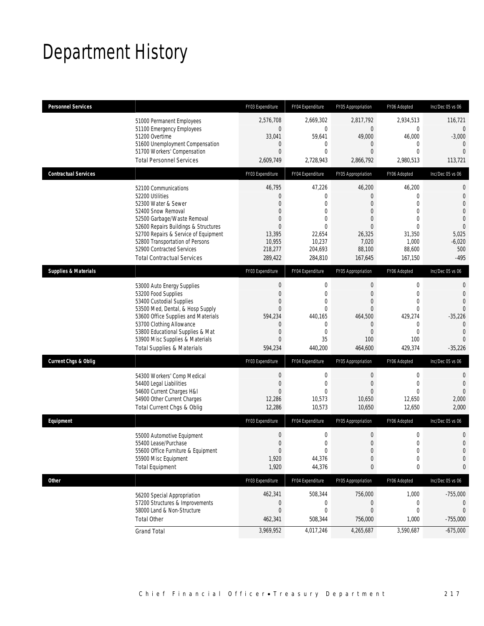## Department History

| <b>Personnel Services</b>       |                                                                              | FY03 Expenditure                     | FY04 Expenditure             | FY05 Appropriation             | FY06 Adopted                  | Inc/Dec 05 vs 06            |
|---------------------------------|------------------------------------------------------------------------------|--------------------------------------|------------------------------|--------------------------------|-------------------------------|-----------------------------|
|                                 | 51000 Permanent Employees                                                    | 2,576,708                            | 2,669,302                    | 2,817,792                      | 2,934,513                     | 116,721                     |
|                                 | 51100 Emergency Employees                                                    | $\boldsymbol{0}$                     | $\mathbf 0$                  | $\boldsymbol{0}$               | $\mathbf 0$                   | $\theta$                    |
|                                 | 51200 Overtime<br>51600 Unemployment Compensation                            | 33,041<br>$\mathbf 0$                | 59,641<br>0                  | 49,000<br>$\overline{0}$       | 46,000<br>$\mathbf 0$         | $-3,000$<br>$\overline{0}$  |
|                                 | 51700 Workers' Compensation                                                  | $\overline{0}$                       | $\mathbf{0}$                 | $\mathbf{0}$                   | $\Omega$                      | $\overline{0}$              |
|                                 | <b>Total Personnel Services</b>                                              | 2,609,749                            | 2,728,943                    | 2,866,792                      | 2,980,513                     | 113,721                     |
| <b>Contractual Services</b>     |                                                                              | FY03 Expenditure                     | FY04 Expenditure             | FY05 Appropriation             | FY06 Adopted                  | Inc/Dec 05 vs 06            |
|                                 | 52100 Communications                                                         | 46,795                               | 47,226                       | 46,200                         | 46,200                        | $\mathbf{0}$                |
|                                 | 52200 Utilities<br>52300 Water & Sewer                                       | $\mathbf{0}$<br>$\mathbf{0}$         | $\mathbf{0}$<br>$\mathbf{0}$ | $\overline{0}$<br>$\mathbf{0}$ | $\Omega$<br>$\Omega$          | $\mathbf 0$<br>$\mathbf{0}$ |
|                                 | 52400 Snow Removal                                                           | $\mathbf{0}$                         | $\mathbf{0}$                 | $\mathbf{0}$                   | $\Omega$                      | $\mathbf{0}$                |
|                                 | 52500 Garbage/Waste Removal                                                  | $\overline{0}$                       | $\mathbf 0$                  | $\overline{0}$                 | $\Omega$                      | $\mathbf 0$                 |
|                                 | 52600 Repairs Buildings & Structures<br>52700 Repairs & Service of Equipment | $\Omega$<br>13,395                   | $\Omega$<br>22,654           | 0<br>26,325                    | $\Omega$<br>31,350            | $\overline{0}$<br>5,025     |
|                                 | 52800 Transportation of Persons                                              | 10,955                               | 10,237                       | 7,020                          | 1,000                         | $-6,020$                    |
|                                 | 52900 Contracted Services                                                    | 218,277                              | 204,693                      | 88,100                         | 88,600                        | 500                         |
|                                 | <b>Total Contractual Services</b>                                            | 289,422                              | 284,810                      | 167,645                        | 167,150                       | $-495$                      |
| <b>Supplies &amp; Materials</b> |                                                                              | FY03 Expenditure                     | FY04 Expenditure             | FY05 Appropriation             | FY06 Adopted                  | Inc/Dec 05 vs 06            |
|                                 | 53000 Auto Energy Supplies                                                   | $\mathbf 0$                          | $\mathbf 0$                  | $\boldsymbol{0}$               | $\mathbf 0$                   | 0                           |
|                                 | 53200 Food Supplies                                                          | $\overline{0}$                       | $\mathbf{0}$                 | $\overline{0}$                 | $\overline{0}$                | $\theta$                    |
|                                 | 53400 Custodial Supplies<br>53500 Med, Dental, & Hosp Supply                 | $\overline{0}$<br>$\overline{0}$     | $\mathbf{0}$<br>$\mathbf{0}$ | $\mathbf{0}$<br>$\overline{0}$ | $\mathbf 0$<br>$\overline{0}$ | $\theta$<br>$\mathbf 0$     |
|                                 | 53600 Office Supplies and Materials                                          | 594,234                              | 440,165                      | 464,500                        | 429,274                       | $-35,226$                   |
|                                 | 53700 Clothing Allowance                                                     | $\mathbf 0$                          | $\mathbf{0}$                 | $\overline{0}$                 | $\Omega$                      | $\theta$                    |
|                                 | 53800 Educational Supplies & Mat                                             | $\mathbf{0}$                         | $\mathbf{0}$                 | $\mathbf{0}$                   | $\Omega$                      | $\theta$                    |
|                                 | 53900 Misc Supplies & Materials                                              | $\mathbf{0}$                         | 35                           | 100                            | 100                           | $\Omega$                    |
|                                 | <b>Total Supplies &amp; Materials</b>                                        | 594,234                              | 440,200                      | 464,600                        | 429,374                       | $-35,226$                   |
| <b>Current Chgs &amp; Oblig</b> |                                                                              | FY03 Expenditure                     | FY04 Expenditure             | FY05 Appropriation             | FY06 Adopted                  | Inc/Dec 05 vs 06            |
|                                 | 54300 Workers' Comp Medical                                                  | $\mathbf 0$                          | 0                            | $\theta$                       | $\mathbf 0$                   | 0                           |
|                                 | 54400 Legal Liabilities                                                      | $\overline{0}$                       | $\mathbf{0}$                 | $\overline{0}$                 | $\Omega$                      | $\mathbf{0}$                |
|                                 | 54600 Current Charges H&I<br>54900 Other Current Charges                     | $\overline{0}$<br>12,286             | $\Omega$<br>10,573           | $\Omega$<br>10,650             | $\Omega$<br>12,650            | $\overline{0}$<br>2,000     |
|                                 | Total Current Chgs & Oblig                                                   | 12,286                               | 10,573                       | 10,650                         | 12,650                        | 2,000                       |
| Equipment                       |                                                                              | FY03 Expenditure                     | FY04 Expenditure             | FY05 Appropriation             | FY06 Adopted                  | Inc/Dec 05 vs 06            |
|                                 |                                                                              |                                      | $\mathbf 0$                  | $\mathbf 0$                    | 0                             |                             |
|                                 | 55000 Automotive Equipment<br>55400 Lease/Purchase                           | $\boldsymbol{0}$<br>$\boldsymbol{0}$ | $\mathbf 0$                  | $\boldsymbol{0}$               | $\overline{0}$                | 0<br>$\boldsymbol{0}$       |
|                                 | 55600 Office Furniture & Equipment                                           | $\mathbf 0$                          | $\Omega$                     | $\mathbf 0$                    | $\cap$                        | $\Omega$                    |
|                                 | 55900 Misc Equipment                                                         | 1,920                                | 44,376                       | $\boldsymbol{0}$               | $\mathbf 0$                   | 0                           |
|                                 | <b>Total Equipment</b>                                                       | 1,920                                | 44,376                       | $\mathbf{0}$                   | 0                             | 0                           |
| <b>Other</b>                    |                                                                              | FY03 Expenditure                     | FY04 Expenditure             | FY05 Appropriation             | FY06 Adopted                  | Inc/Dec 05 vs 06            |
|                                 | 56200 Special Appropriation                                                  | 462,341                              | 508,344                      | 756,000                        | 1,000                         | $-755,000$                  |
|                                 | 57200 Structures & Improvements                                              | 0                                    | $\mathbf{0}$                 | 0                              | 0                             |                             |
|                                 | 58000 Land & Non-Structure                                                   | $\mathbf 0$                          | $\Omega$                     | $\overline{0}$                 | 0                             | $\mathbf{0}$                |
|                                 | <b>Total Other</b>                                                           | 462,341                              | 508,344                      | 756,000                        | 1,000                         | $-755,000$                  |
|                                 | <b>Grand Total</b>                                                           | 3,969,952                            | 4,017,246                    | 4,265,687                      | 3,590,687                     | $-675,000$                  |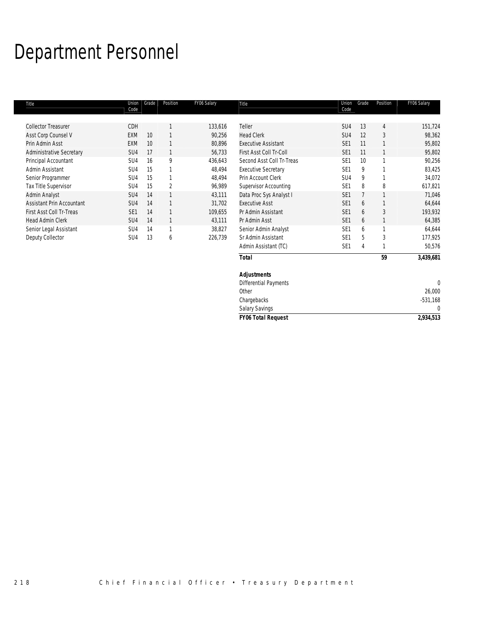# Department Personnel

| Title                            | Union<br>Code   | Grade | Position       | FY06 Salary | Title                        | Union<br>Code   | Grade | Position       | FY06 Salary |
|----------------------------------|-----------------|-------|----------------|-------------|------------------------------|-----------------|-------|----------------|-------------|
| <b>Collector Treasurer</b>       | CDH             |       |                | 133,616     | Teller                       | SU4             | 13    | $\overline{4}$ | 151,724     |
| Asst Corp Counsel V              | EXM             | 10    |                | 90,256      | <b>Head Clerk</b>            | SU4             | 12    | 3              | 98,362      |
| Prin Admin Asst                  | EXM             | 10    |                | 80,896      | <b>Executive Assistant</b>   | SE <sub>1</sub> | 11    |                | 95,802      |
| <b>Administrative Secretary</b>  | SU4             | 17    |                | 56,733      | First Asst Coll Tr-Coll      | SE <sub>1</sub> | 11    |                | 95,802      |
| Principal Accountant             | SU4             | 16    | 9              | 436,643     | Second Asst Coll Tr-Treas    | SE <sub>1</sub> | 10    |                | 90,256      |
| Admin Assistant                  | SU4             | 15    |                | 48,494      | <b>Executive Secretary</b>   | SE <sub>1</sub> | 9     |                | 83,425      |
| Senior Programmer                | SU4             | 15    |                | 48,494      | Prin Account Clerk           | SU <sub>4</sub> | 9     |                | 34,072      |
| Tax Title Supervisor             | SU4             | 15    | $\overline{2}$ | 96,989      | Supervisor Accounting        | SE <sub>1</sub> | 8     | 8              | 617,821     |
| Admin Analyst                    | SU4             | 14    |                | 43,111      | Data Proc Sys Analyst I      | SE <sub>1</sub> |       |                | 71,046      |
| <b>Assistant Prin Accountant</b> | SU4             | 14    |                | 31,702      | <b>Executive Asst</b>        | SE <sub>1</sub> | 6     |                | 64,644      |
| First Asst Coll Tr-Treas         | SE <sub>1</sub> | 14    |                | 109,655     | Pr Admin Assistant           | SE <sub>1</sub> | 6     | 3              | 193,932     |
| <b>Head Admin Clerk</b>          | SU4             | 14    |                | 43,111      | Pr Admin Asst                | SE <sub>1</sub> | 6     |                | 64,385      |
| Senior Legal Assistant           | SU4             | 14    | 1              | 38,827      | Senior Admin Analyst         | SE <sub>1</sub> | 6     |                | 64,644      |
| Deputy Collector                 | SU <sub>4</sub> | 13    | 6              | 226,739     | Sr Admin Assistant           | SE <sub>1</sub> | 5     | 3              | 177,925     |
|                                  |                 |       |                |             | Admin Assistant (TC)         | SE <sub>1</sub> | 4     |                | 50,576      |
|                                  |                 |       |                |             | <b>Total</b>                 |                 |       | 59             | 3,439,681   |
|                                  |                 |       |                |             | <b>Adjustments</b>           |                 |       |                |             |
|                                  |                 |       |                |             | <b>Differential Payments</b> |                 |       |                | $\Omega$    |
|                                  |                 |       |                |             | Other                        |                 |       |                | 26,000      |

Salary Savings

Chargebacks -531,168<br>
Salary Savings 0

*FY06 Total Request 2,934,513*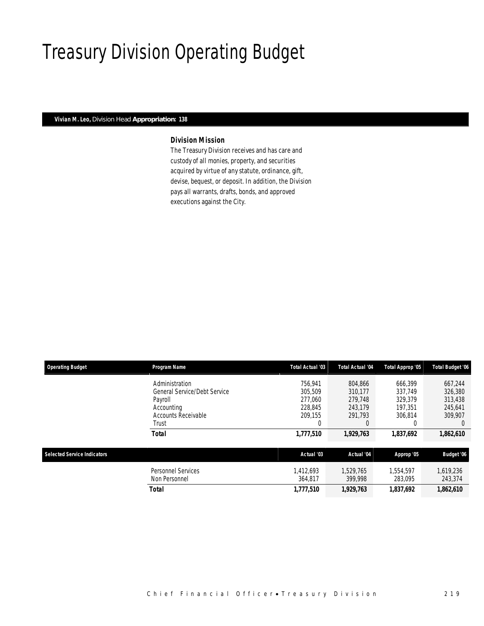### Treasury Division Operating Budget

#### *Vivian M. Leo, Division Head Appropriation: 138*

#### *Division Mission*

The Treasury Division receives and has care and custody of all monies, property, and securities acquired by virtue of any statute, ordinance, gift, devise, bequest, or deposit. In addition, the Division pays all warrants, drafts, bonds, and approved executions against the City.

| <b>Operating Budget</b>            | Program Name                                   | Total Actual '03     | <b>Total Actual '04</b> | Total Approp '05     | <b>Total Budget '06</b> |
|------------------------------------|------------------------------------------------|----------------------|-------------------------|----------------------|-------------------------|
|                                    | Administration                                 | 756.941              | 804.866                 | 666.399              | 667.244                 |
|                                    | <b>General Service/Debt Service</b><br>Payroll | 305.509<br>277,060   | 310.177<br>279.748      | 337.749<br>329.379   | 326,380<br>313,438      |
|                                    | Accounting<br><b>Accounts Receivable</b>       | 228.845<br>209.155   | 243.179<br>291.793      | 197.351<br>306.814   | 245.641<br>309.907      |
|                                    | Trust                                          |                      |                         |                      | $\left($                |
|                                    | <b>Total</b>                                   | 1,777,510            | 1,929,763               | 1,837,692            | 1,862,610               |
| <b>Selected Service Indicators</b> |                                                | Actual '03           | Actual '04              | Approp '05           | Budget '06              |
|                                    | Personnel Services<br>Non Personnel            | 1.412.693<br>364,817 | 1.529.765<br>399.998    | 1,554,597<br>283.095 | 1,619,236<br>243,374    |
|                                    | <b>Total</b>                                   | 1,777,510            | 1,929,763               | 1,837,692            | 1,862,610               |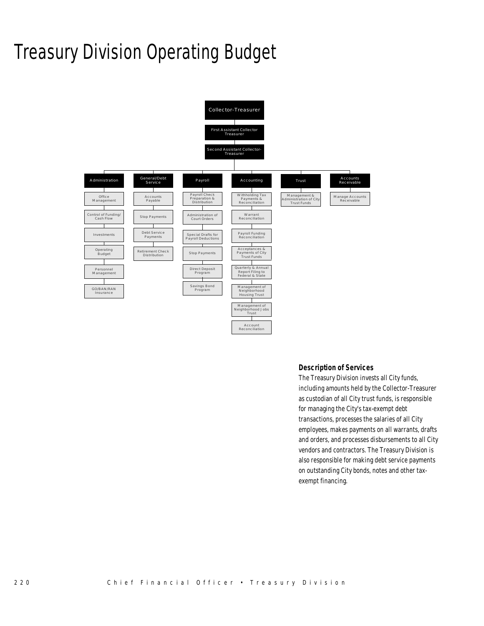# Treasury Division Operating Budget



#### *Description of Services*

The Treasury Division invests all City funds, including amounts held by the Collector-Treasurer as custodian of all City trust funds, is responsible for managing the City's tax-exempt debt transactions, processes the salaries of all City employees, makes payments on all warrants, drafts and orders, and processes disbursements to all City vendors and contractors. The Treasury Division is also responsible for making debt service payments on outstanding City bonds, notes and other taxexempt financing.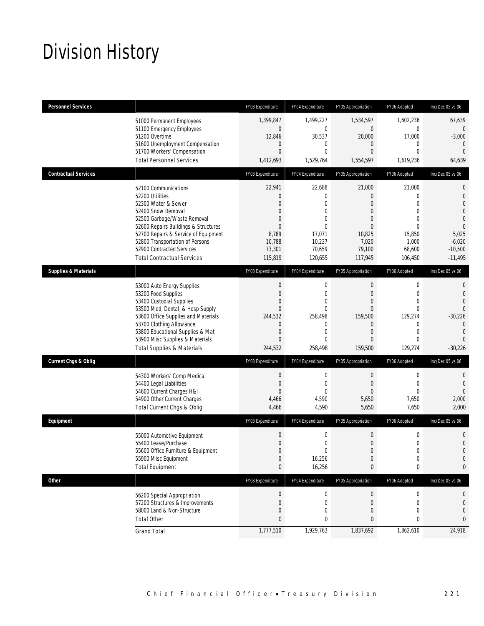# Division History

| <b>Personnel Services</b>       |                                                                                                                                                                                                                                                                                                          | FY03 Expenditure                                                                                                               | FY04 Expenditure                                                                                     | FY05 Appropriation                                                                                                                    | FY06 Adopted                                                                                                               | Inc/Dec 05 vs 06                                                                                            |
|---------------------------------|----------------------------------------------------------------------------------------------------------------------------------------------------------------------------------------------------------------------------------------------------------------------------------------------------------|--------------------------------------------------------------------------------------------------------------------------------|------------------------------------------------------------------------------------------------------|---------------------------------------------------------------------------------------------------------------------------------------|----------------------------------------------------------------------------------------------------------------------------|-------------------------------------------------------------------------------------------------------------|
|                                 | 51000 Permanent Employees<br>51100 Emergency Employees<br>51200 Overtime<br>51600 Unemployment Compensation<br>51700 Workers' Compensation<br><b>Total Personnel Services</b>                                                                                                                            | 1,399,847<br>$\mathbf 0$<br>12,846<br>$\mathbf{0}$<br>$\overline{0}$<br>1,412,693                                              | 1,499,227<br>$\mathbf 0$<br>30,537<br>$\mathbf{0}$<br>$\mathbf{0}$<br>1,529,764                      | 1,534,597<br>$\mathbf{0}$<br>20,000<br>$\overline{0}$<br>$\overline{0}$<br>1,554,597                                                  | 1,602,236<br>$\mathbf{0}$<br>17,000<br>$\mathbf 0$<br>$\Omega$<br>1,619,236                                                | 67,639<br>0<br>$-3,000$<br>0<br>$\overline{0}$<br>64,639                                                    |
| <b>Contractual Services</b>     |                                                                                                                                                                                                                                                                                                          | FY03 Expenditure                                                                                                               | FY04 Expenditure                                                                                     | FY05 Appropriation                                                                                                                    | FY06 Adopted                                                                                                               | Inc/Dec 05 vs 06                                                                                            |
|                                 | 52100 Communications<br>52200 Utilities<br>52300 Water & Sewer<br>52400 Snow Removal<br>52500 Garbage/Waste Removal<br>52600 Repairs Buildings & Structures<br>52700 Repairs & Service of Equipment<br>52800 Transportation of Persons<br>52900 Contracted Services<br><b>Total Contractual Services</b> | 22,941<br>$\mathbf{0}$<br>$\Omega$<br>$\overline{0}$<br>$\mathbf{0}$<br>$\Omega$<br>8,789<br>10,788<br>73,301<br>115,819       | 22,688<br>$\theta$<br>$\theta$<br>0<br>$\theta$<br>$\theta$<br>17,071<br>10,237<br>70,659<br>120,655 | 21,000<br>0<br>$\overline{0}$<br>$\overline{0}$<br>$\mathbf{0}$<br>$\Omega$<br>10,825<br>7,020<br>79,100<br>117,945                   | 21,000<br>0<br>$\mathbf{0}$<br>$\overline{0}$<br>$\mathbf 0$<br>$\Omega$<br>15,850<br>1,000<br>68,600<br>106,450           | 0<br>$\mathbf 0$<br>0<br>0<br>$\overline{0}$<br>$\mathbf{0}$<br>5,025<br>$-6,020$<br>$-10,500$<br>$-11,495$ |
| <b>Supplies &amp; Materials</b> |                                                                                                                                                                                                                                                                                                          | FY03 Expenditure                                                                                                               | FY04 Expenditure                                                                                     | FY05 Appropriation                                                                                                                    | FY06 Adopted                                                                                                               | Inc/Dec 05 vs 06                                                                                            |
|                                 | 53000 Auto Energy Supplies<br>53200 Food Supplies<br>53400 Custodial Supplies<br>53500 Med, Dental, & Hosp Supply<br>53600 Office Supplies and Materials<br>53700 Clothing Allowance<br>53800 Educational Supplies & Mat<br>53900 Misc Supplies & Materials<br><b>Total Supplies &amp; Materials</b>     | $\mathbf 0$<br>$\Omega$<br>$\mathbf{0}$<br>$\mathbf{0}$<br>244,532<br>$\mathbf 0$<br>$\overline{0}$<br>$\mathbf{0}$<br>244,532 | $\mathbf 0$<br>$\theta$<br>0<br>$\theta$<br>258,498<br>0<br>$\mathbf{0}$<br>$\theta$<br>258,498      | $\mathbf 0$<br>$\mathbf{0}$<br>$\overline{0}$<br>$\Omega$<br>159,500<br>$\overline{0}$<br>$\overline{0}$<br>$\overline{0}$<br>159,500 | 0<br>$\overline{0}$<br>$\overline{0}$<br>$\Omega$<br>129,274<br>$\mathbf 0$<br>$\overline{0}$<br>$\overline{0}$<br>129,274 | 0<br>$\Omega$<br>$\Omega$<br>0<br>$-30,226$<br>$\overline{0}$<br>$\Omega$<br>$\Omega$<br>$-30,226$          |
| Current Chgs & Oblig            |                                                                                                                                                                                                                                                                                                          | FY03 Expenditure                                                                                                               | FY04 Expenditure                                                                                     | FY05 Appropriation                                                                                                                    | FY06 Adopted                                                                                                               | Inc/Dec 05 vs 06                                                                                            |
|                                 | 54300 Workers' Comp Medical<br>54400 Legal Liabilities<br>54600 Current Charges H&I<br>54900 Other Current Charges<br>Total Current Chgs & Oblig                                                                                                                                                         | $\mathbf 0$<br>$\mathbf{0}$<br>$\mathbf{0}$<br>4,466<br>4,466                                                                  | $\mathbf{0}$<br>$\theta$<br>$\Omega$<br>4,590<br>4,590                                               | 0<br>$\mathbf{0}$<br>$\overline{0}$<br>5,650<br>5,650                                                                                 | 0<br>$\mathbf 0$<br>$\Omega$<br>7,650<br>7,650                                                                             | 0<br>$\overline{0}$<br>$\Omega$<br>2,000<br>2,000                                                           |
| Equipment                       |                                                                                                                                                                                                                                                                                                          | FY03 Expenditure                                                                                                               | FY04 Expenditure                                                                                     | FY05 Appropriation                                                                                                                    | FY06 Adopted                                                                                                               | Inc/Dec 05 vs 06                                                                                            |
|                                 | 55000 Automotive Equipment<br>55400 Lease/Purchase<br>55600 Office Furniture & Equipment<br>55900 Misc Equipment<br><b>Total Equipment</b>                                                                                                                                                               | $\mathbf 0$<br>$\mathbf 0$<br>$\Omega$<br>$\boldsymbol{0}$<br>$\bf{0}$                                                         | $\mathbf 0$<br>$\mathbf{0}$<br>$\Omega$<br>16,256<br>16,256                                          | $\boldsymbol{0}$<br>$\boldsymbol{0}$<br>$\Omega$<br>$\boldsymbol{0}$<br>0                                                             | $\mathbf 0$<br>$\mathbf 0$<br>$\cap$<br>$\boldsymbol{0}$<br>0                                                              | 0<br>$\mathbf 0$<br>$\Omega$<br>0<br>0                                                                      |
| <b>Other</b>                    |                                                                                                                                                                                                                                                                                                          | FY03 Expenditure                                                                                                               | FY04 Expenditure                                                                                     | FY05 Appropriation                                                                                                                    | FY06 Adopted                                                                                                               | Inc/Dec 05 vs 06                                                                                            |
|                                 | 56200 Special Appropriation<br>57200 Structures & Improvements<br>58000 Land & Non-Structure<br><b>Total Other</b>                                                                                                                                                                                       | $\boldsymbol{0}$<br>$\mathbf{0}$<br>$\mathbf{0}$<br>$\mathbf{0}$                                                               | $\mathbf 0$<br>$\mathbf 0$<br>$\mathbf 0$<br>0                                                       | $\boldsymbol{0}$<br>$\mathbf{0}$<br>0<br>0                                                                                            | $\pmb{0}$<br>$\mathbf 0$<br>0<br>0                                                                                         | 0<br>0<br>0<br>0                                                                                            |
|                                 | <b>Grand Total</b>                                                                                                                                                                                                                                                                                       | 1,777,510                                                                                                                      | 1,929,763                                                                                            | 1,837,692                                                                                                                             | 1,862,610                                                                                                                  | 24,918                                                                                                      |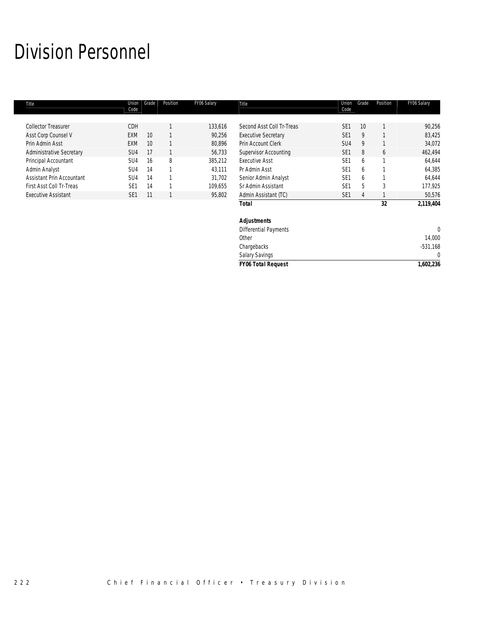# Division Personnel

| Title                           | Union<br>Code   | Grade | Position | FY06 Salary | Title                        | Union<br>Code   | Grade | Position | FY06 Salary  |
|---------------------------------|-----------------|-------|----------|-------------|------------------------------|-----------------|-------|----------|--------------|
|                                 |                 |       |          |             |                              |                 |       |          |              |
| <b>Collector Treasurer</b>      | <b>CDH</b>      |       |          | 133,616     | Second Asst Coll Tr-Treas    | SE <sub>1</sub> | 10    |          | 90,256       |
| Asst Corp Counsel V             | EXM             | 10    |          | 90,256      | <b>Executive Secretary</b>   | SE <sub>1</sub> | 9     |          | 83,425       |
| Prin Admin Asst                 | <b>EXM</b>      | 10    |          | 80,896      | Prin Account Clerk           | SU <sub>4</sub> | 9     |          | 34,072       |
| <b>Administrative Secretary</b> | SU <sub>4</sub> | 17    |          | 56,733      | <b>Supervisor Accounting</b> | SE <sub>1</sub> | 8     | 6        | 462,494      |
| Principal Accountant            | SU4             | 16    | 8        | 385,212     | <b>Executive Asst</b>        | SE <sub>1</sub> | 6     |          | 64,644       |
| Admin Analyst                   | SU4             | 14    |          | 43,111      | Pr Admin Asst                | SE <sub>1</sub> | 6     |          | 64,385       |
| Assistant Prin Accountant       | SU <sub>4</sub> | 14    |          | 31,702      | Senior Admin Analyst         | SE <sub>1</sub> | 6     |          | 64,644       |
| First Asst Coll Tr-Treas        | SE <sub>1</sub> | 14    |          | 109,655     | Sr Admin Assistant           | SE <sub>1</sub> | 5     | 3        | 177,925      |
| <b>Executive Assistant</b>      | SE <sub>1</sub> | 11    |          | 95,802      | Admin Assistant (TC)         | SE <sub>1</sub> | 4     |          | 50,576       |
|                                 |                 |       |          |             | <b>Total</b>                 |                 |       | 32       | 2,119,404    |
|                                 |                 |       |          |             | <b>Adjustments</b>           |                 |       |          |              |
|                                 |                 |       |          |             | <b>Differential Payments</b> |                 |       |          | $\mathbf{0}$ |
|                                 |                 |       |          |             | Other                        |                 |       |          | 14,000       |
|                                 |                 |       |          |             | Chargebacks                  |                 |       |          | $-531,168$   |
|                                 |                 |       |          |             |                              |                 |       |          |              |

| <b>Salary Savings</b>     |           |
|---------------------------|-----------|
| <b>FY06 Total Request</b> | 1.602.236 |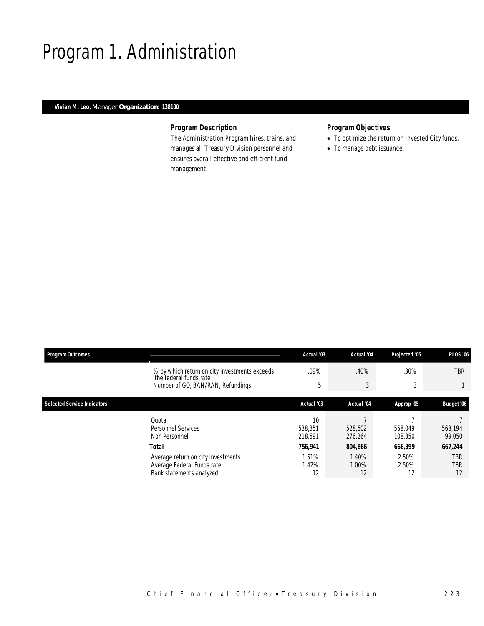### Program 1. Administration

#### *Vivian M. Leo, Manager Organization: 138100*

#### *Program Description*

The Administration Program hires, trains, and manages all Treasury Division personnel and ensures overall effective and efficient fund management.

#### *Program Objectives*

- To optimize the return on invested City funds.
- To manage debt issuance.

| <b>Program Outcomes</b>            |                                                                                              | Actual '03               | Actual '04           | Projected '05        | <b>PLOS '06</b>         |
|------------------------------------|----------------------------------------------------------------------------------------------|--------------------------|----------------------|----------------------|-------------------------|
|                                    | % by which return on city investments exceeds<br>the federal funds rate                      | .09%                     | .40%                 | .30%                 | <b>TBR</b>              |
|                                    | Number of GO, BAN/RAN, Refundings                                                            | 5                        | 3                    | 3                    |                         |
| <b>Selected Service Indicators</b> |                                                                                              | Actual '03               | Actual '04           | Approp '05           | Budget '06              |
|                                    | Quota<br>Personnel Services<br>Non Personnel                                                 | 10<br>538,351<br>218.591 | 528,602<br>276,264   | 558,049<br>108,350   | 568,194<br>99,050       |
|                                    | Total                                                                                        | 756,941                  | 804.866              | 666,399              | 667.244                 |
|                                    | Average return on city investments<br>Average Federal Funds rate<br>Bank statements analyzed | 1.51%<br>1.42%<br>12     | 1.40%<br>1.00%<br>12 | 2.50%<br>2.50%<br>12 | <b>TBR</b><br>TBR<br>12 |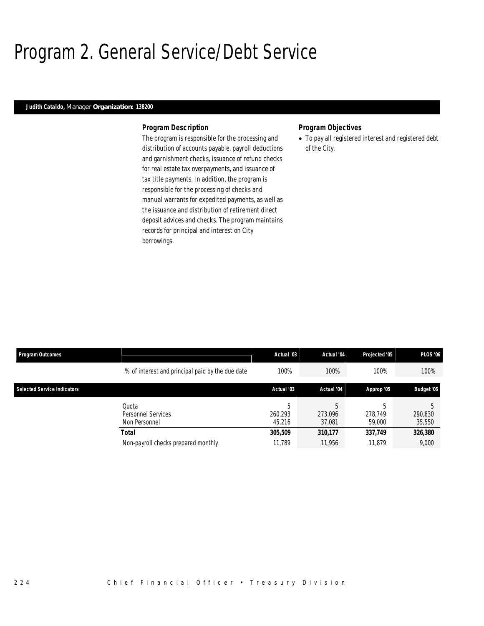### Program 2. General Service/Debt Service

#### *Judith Cataldo, Manager Organization: 138200*

#### *Program Description*

The program is responsible for the processing and distribution of accounts payable, payroll deductions and garnishment checks, issuance of refund checks for real estate tax overpayments, and issuance of tax title payments. In addition, the program is responsible for the processing of checks and manual warrants for expedited payments, as well as the issuance and distribution of retirement direct deposit advices and checks. The program maintains records for principal and interest on City borrowings.

#### *Program Objectives*

• To pay all registered interest and registered debt of the City.

| <b>Program Outcomes</b>            |                                                  | Actual '03             | Actual '04             | Projected '05          | <b>PLOS '06</b>   |
|------------------------------------|--------------------------------------------------|------------------------|------------------------|------------------------|-------------------|
|                                    | % of interest and principal paid by the due date | 100%                   | 100%                   | 100%                   | 100%              |
| <b>Selected Service Indicators</b> |                                                  | Actual '03             | Actual '04             | Approp '05             | Budget '06        |
|                                    | Ouota<br>Personnel Services<br>Non Personnel     | b<br>260.293<br>45.216 | 5<br>273.096<br>37.081 | 5<br>278.749<br>59,000 | 290,830<br>35,550 |
|                                    | Total                                            | 305,509                | 310,177                | 337,749                | 326,380           |
|                                    | Non-payroll checks prepared monthly              | 11.789                 | 11.956                 | 11.879                 | 9,000             |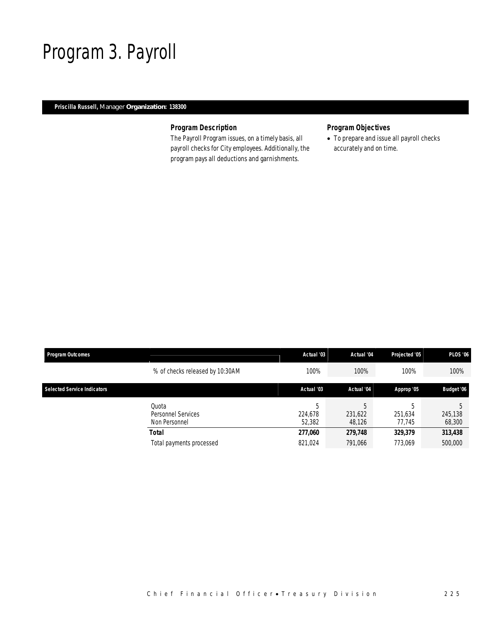### Program 3. Payroll

#### *Priscilla Russell, Manager Organization: 138300*

#### *Program Description*

The Payroll Program issues, on a timely basis, all payroll checks for City employees. Additionally, the program pays all deductions and garnishments.

#### *Program Objectives*

• To prepare and issue all payroll checks accurately and on time.

| <b>Program Outcomes</b>            |                                                     | Actual '03             | Actual '04             | Projected '05          | <b>PLOS '06</b>   |
|------------------------------------|-----------------------------------------------------|------------------------|------------------------|------------------------|-------------------|
|                                    | % of checks released by 10:30AM                     | 100%                   | 100%                   | 100%                   | 100%              |
| <b>Selected Service Indicators</b> |                                                     | Actual '03             | Actual '04             | Approp '05             | Budget '06        |
|                                    | Quota<br><b>Personnel Services</b><br>Non Personnel | 5<br>224.678<br>52,382 | b<br>231,622<br>48,126 | h<br>251.634<br>77.745 | 245,138<br>68,300 |
|                                    | Total                                               | 277,060                | 279,748                | 329,379                | 313,438           |
|                                    | Total payments processed                            | 821,024                | 791,066                | 773.069                | 500,000           |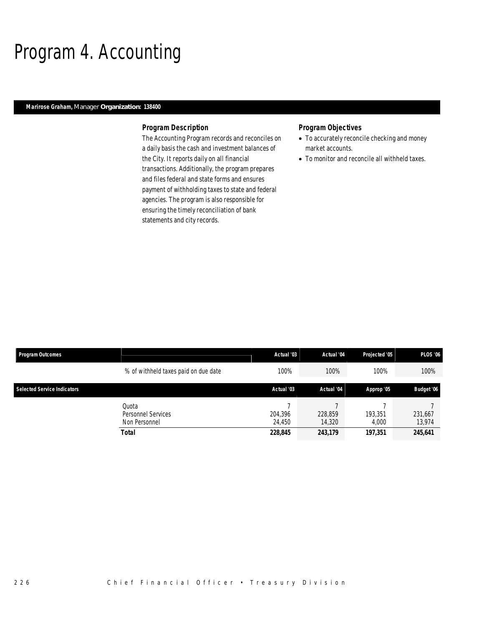### Program 4. Accounting

#### *Marirose Graham, Manager Organization: 138400*

#### *Program Description*

The Accounting Program records and reconciles on a daily basis the cash and investment balances of the City. It reports daily on all financial transactions. Additionally, the program prepares and files federal and state forms and ensures payment of withholding taxes to state and federal agencies. The program is also responsible for ensuring the timely reconciliation of bank statements and city records.

#### *Program Objectives*

- To accurately reconcile checking and money market accounts.
- To monitor and reconcile all withheld taxes.

| Program Outcomes                   |                                                       | Actual '03                   | Actual '04                   | Projected '05               | <b>PLOS '06</b>              |
|------------------------------------|-------------------------------------------------------|------------------------------|------------------------------|-----------------------------|------------------------------|
|                                    | % of withheld taxes paid on due date                  | 100%                         | 100%                         | 100%                        | 100%                         |
| <b>Selected Service Indicators</b> |                                                       | Actual '03                   | Actual '04                   | Approp '05                  | <b>Budget '06</b>            |
|                                    | Quota<br>Personnel Services<br>Non Personnel<br>Total | 204,396<br>24.450<br>228,845 | 228,859<br>14,320<br>243,179 | 193,351<br>4.000<br>197.351 | 231,667<br>13,974<br>245,641 |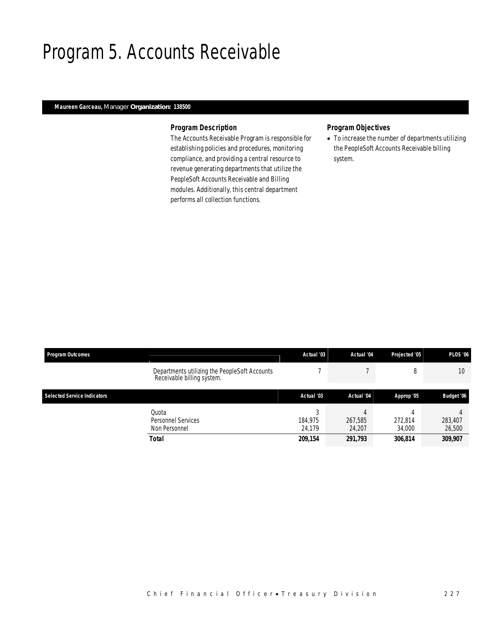### Program 5. Accounts Receivable

#### *Maureen Garceau, Manager Organization: 138500*

#### *Program Description*

The Accounts Receivable Program is responsible for establishing policies and procedures, monitoring compliance, and providing a central resource to revenue generating departments that utilize the PeopleSoft Accounts Receivable and Billing modules. Additionally, this central department performs all collection functions.

#### *Program Objectives*

• To increase the number of departments utilizing the PeopleSoft Accounts Receivable billing system.

| <b>Program Outcomes</b>            |                                                                             | Actual '03                        | Actual '04                   | Projected '05                     | <b>PLOS '06</b>              |
|------------------------------------|-----------------------------------------------------------------------------|-----------------------------------|------------------------------|-----------------------------------|------------------------------|
|                                    | Departments utilizing the PeopleSoft Accounts<br>Receivable billing system. |                                   |                              | 8                                 | 10                           |
| <b>Selected Service Indicators</b> |                                                                             | Actual '03                        | Actual '04                   | Approp '05                        | Budget '06                   |
|                                    | Quota<br>Personnel Services<br>Non Personnel<br><b>Total</b>                | C<br>184.975<br>24.179<br>209,154 | 267,585<br>24,207<br>291,793 | Д<br>272,814<br>34,000<br>306,814 | 283,407<br>26,500<br>309,907 |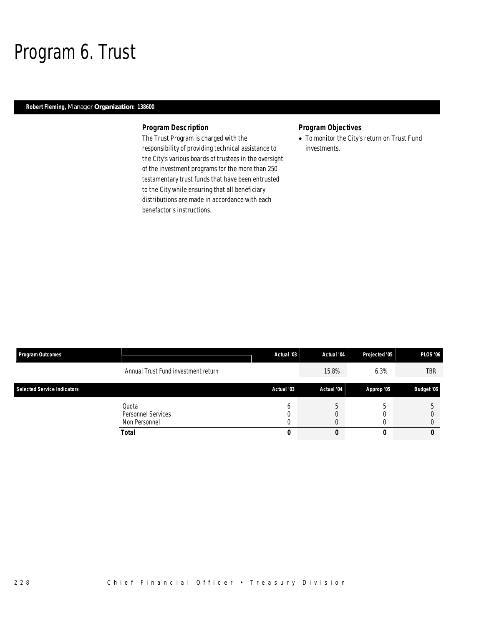### Program 6. Trust

#### *Robert Fleming, Manager Organization: 138600*

#### *Program Description*

The Trust Program is charged with the responsibility of providing technical assistance to the City's various boards of trustees in the oversight of the investment programs for the more than 250 testamentary trust funds that have been entrusted to the City while ensuring that all beneficiary distributions are made in accordance with each benefactor's instructions.

#### *Program Objectives*

• To monitor the City's return on Trust Fund investments.

| <b>Program Outcomes</b>            |                                              | Actual '03 | Actual '04 | Projected '05 | <b>PLOS '06</b>   |
|------------------------------------|----------------------------------------------|------------|------------|---------------|-------------------|
|                                    | Annual Trust Fund investment return          |            | 15.8%      | 6.3%          | <b>TBR</b>        |
| <b>Selected Service Indicators</b> |                                              | Actual '03 | Actual '04 | Approp '05    | <b>Budget '06</b> |
|                                    | Quota<br>Personnel Services<br>Non Personnel |            |            |               |                   |
|                                    | <b>Total</b>                                 | υ          | υ          |               |                   |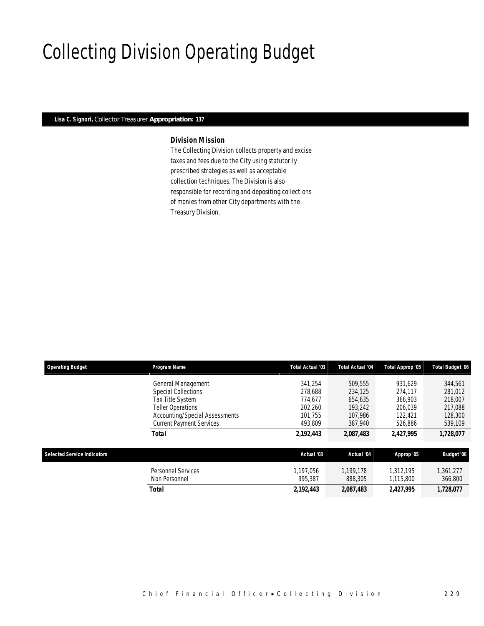# Collecting Division Operating Budget

#### *Lisa C. Signori, Collector Treasurer Appropriation: 137*

#### *Division Mission*

The Collecting Division collects property and excise taxes and fees due to the City using statutorily prescribed strategies as well as acceptable collection techniques. The Division is also responsible for recording and depositing collections of monies from other City departments with the Treasury Division.

| <b>Operating Budget</b>            | Program Name                                                                                                                       | Total Actual '03                                    | Total Actual '04                                    | Total Approp '05                                    | <b>Total Budget '06</b>                             |
|------------------------------------|------------------------------------------------------------------------------------------------------------------------------------|-----------------------------------------------------|-----------------------------------------------------|-----------------------------------------------------|-----------------------------------------------------|
|                                    | General Management<br><b>Special Collections</b><br>Tax Title System<br><b>Teller Operations</b><br>Accounting/Special Assessments | 341.254<br>278.688<br>774.677<br>202.260<br>101.755 | 509,555<br>234,125<br>654.635<br>193,242<br>107.986 | 931.629<br>274.117<br>366,903<br>206.039<br>122,421 | 344,561<br>281,012<br>218,007<br>217,088<br>128,300 |
|                                    | <b>Current Payment Services</b>                                                                                                    | 493,809                                             | 387.940                                             | 526,886                                             | 539,109                                             |
|                                    | <b>Total</b>                                                                                                                       | 2,192,443                                           | 2,087,483                                           | 2.427.995                                           | 1,728,077                                           |
| <b>Selected Service Indicators</b> |                                                                                                                                    | Actual '03                                          | Actual '04                                          | Approp '05                                          | Budget '06                                          |
|                                    | <b>Personnel Services</b><br>Non Personnel                                                                                         | 1.197.056<br>995.387                                | 1.199.178<br>888,305                                | 1.312.195<br>1,115,800                              | 1,361,277<br>366,800                                |
|                                    | Total                                                                                                                              | 2.192.443                                           | 2,087,483                                           | 2,427,995                                           | 1,728,077                                           |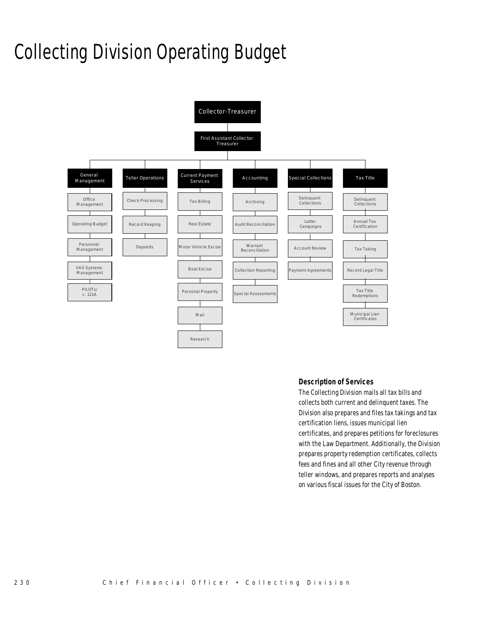# Collecting Division Operating Budget



#### *Description of Services*

The Collecting Division mails all tax bills and collects both current and delinquent taxes. The Division also prepares and files tax takings and tax certification liens, issues municipal lien certificates, and prepares petitions for foreclosures with the Law Department. Additionally, the Division prepares property redemption certificates, collects fees and fines and all other City revenue through teller windows, and prepares reports and analyses on various fiscal issues for the City of Boston.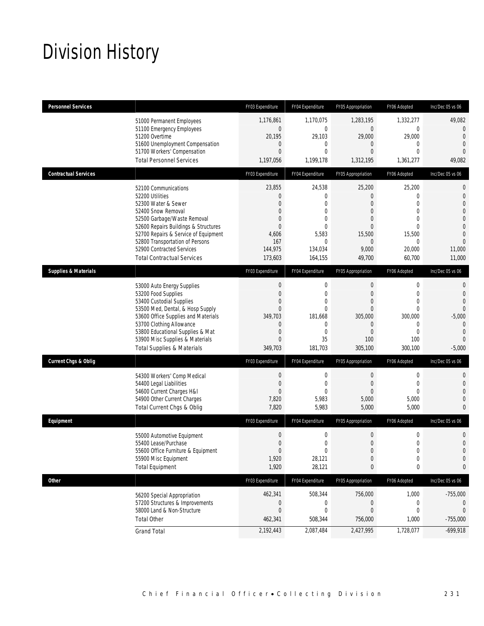# Division History

| <b>Personnel Services</b>       |                                                                     | FY03 Expenditure             | FY04 Expenditure             | FY05 Appropriation            | FY06 Adopted         | Inc/Dec 05 vs 06                 |
|---------------------------------|---------------------------------------------------------------------|------------------------------|------------------------------|-------------------------------|----------------------|----------------------------------|
|                                 | 51000 Permanent Employees                                           | 1,176,861                    | 1,170,075                    | 1,283,195                     | 1,332,277            | 49,082                           |
|                                 | 51100 Emergency Employees                                           | $\mathbf 0$                  | $\mathbf{0}$                 | $\overline{0}$                | $\overline{0}$       | 0                                |
|                                 | 51200 Overtime<br>51600 Unemployment Compensation                   | 20,195<br>0                  | 29,103<br>$\mathbf{0}$       | 29,000<br>0                   | 29,000<br>0          | $\overline{0}$<br>$\overline{0}$ |
|                                 | 51700 Workers' Compensation                                         | $\overline{0}$               | $\theta$                     | $\overline{0}$                | $\Omega$             | $\Omega$                         |
|                                 | <b>Total Personnel Services</b>                                     | 1,197,056                    | 1,199,178                    | 1,312,195                     | 1,361,277            | 49,082                           |
| <b>Contractual Services</b>     |                                                                     | FY03 Expenditure             | FY04 Expenditure             | FY05 Appropriation            | FY06 Adopted         | Inc/Dec 05 vs 06                 |
|                                 | 52100 Communications                                                | 23,855                       | 24,538                       | 25,200                        | 25,200               | 0                                |
|                                 | 52200 Utilities                                                     | $\mathbf{0}$                 | $\theta$                     | $\overline{0}$                | 0                    | $\mathbf 0$                      |
|                                 | 52300 Water & Sewer                                                 | $\Omega$                     | $\theta$                     | $\overline{0}$                | 0                    | 0                                |
|                                 | 52400 Snow Removal<br>52500 Garbage/Waste Removal                   | $\Omega$<br>$\overline{0}$   | $\Omega$<br>$\Omega$         | $\overline{0}$<br>$\Omega$    | $\Omega$<br>$\Omega$ | 0<br>0                           |
|                                 | 52600 Repairs Buildings & Structures                                | $\mathbf{0}$                 | $\theta$                     | 0                             | $\Omega$             | 0                                |
|                                 | 52700 Repairs & Service of Equipment                                | 4,606                        | 5,583                        | 15,500                        | 15,500               | $\overline{0}$                   |
|                                 | 52800 Transportation of Persons                                     | 167                          | $\theta$                     | $\overline{0}$                | $\mathbf 0$          | $\Omega$                         |
|                                 | 52900 Contracted Services                                           | 144,975                      | 134,034                      | 9,000                         | 20,000               | 11,000                           |
|                                 | <b>Total Contractual Services</b>                                   | 173,603                      | 164,155                      | 49,700                        | 60,700               | 11,000                           |
| <b>Supplies &amp; Materials</b> |                                                                     | FY03 Expenditure             | FY04 Expenditure             | FY05 Appropriation            | FY06 Adopted         | Inc/Dec 05 vs 06                 |
|                                 | 53000 Auto Energy Supplies                                          | $\mathbf 0$                  | $\mathbf{0}$                 | $\mathbf 0$                   | $\overline{0}$       | 0                                |
|                                 | 53200 Food Supplies                                                 | $\mathbf{0}$                 | $\mathbf{0}$                 | $\mathbf{0}$                  | $\overline{0}$       | $\overline{0}$                   |
|                                 | 53400 Custodial Supplies                                            | $\Omega$                     | $\Omega$                     | $\overline{0}$                | $\Omega$             | $\Omega$                         |
|                                 | 53500 Med, Dental, & Hosp Supply                                    | $\Omega$                     | $\Omega$                     | $\Omega$                      | $\Omega$             | 0                                |
|                                 | 53600 Office Supplies and Materials                                 | 349.703                      | 181,668                      | 305,000                       | 300,000              | $-5,000$                         |
|                                 | 53700 Clothing Allowance                                            | $\mathbf{0}$                 | $\mathbf{0}$<br>$\mathbf{0}$ | $\mathbf 0$<br>$\overline{0}$ | 0<br>$\overline{0}$  | $\theta$<br>$\Omega$             |
|                                 | 53800 Educational Supplies & Mat<br>53900 Misc Supplies & Materials | $\mathbf{0}$<br>$\mathbf{0}$ | 35                           | 100                           | 100                  | $\Omega$                         |
|                                 | <b>Total Supplies &amp; Materials</b>                               | 349,703                      | 181,703                      | 305,100                       | 300,100              | $-5,000$                         |
|                                 |                                                                     |                              |                              |                               |                      |                                  |
| <b>Current Chgs &amp; Oblig</b> |                                                                     | FY03 Expenditure             | FY04 Expenditure             | FY05 Appropriation            | FY06 Adopted         | Inc/Dec 05 vs 06                 |
|                                 | 54300 Workers' Comp Medical                                         | $\mathbf 0$                  | $\mathbf{0}$                 | $\boldsymbol{0}$              | $\mathbf 0$          | 0                                |
|                                 | 54400 Legal Liabilities                                             | $\mathbf 0$                  | $\mathbf{0}$                 | $\overline{0}$                | $\overline{0}$       | 0                                |
|                                 | 54600 Current Charges H&I                                           | $\mathbf{0}$                 | $\theta$                     | $\overline{0}$                | $\Omega$             | 0                                |
|                                 | 54900 Other Current Charges                                         | 7,820                        | 5,983                        | 5,000                         | 5,000                | 0                                |
|                                 | Total Current Chgs & Oblig                                          | 7,820                        | 5,983                        | 5,000                         | 5,000                | 0                                |
| Equipment                       |                                                                     | FY03 Expenditure             | FY04 Expenditure             | FY05 Appropriation            | FY06 Adopted         | Inc/Dec 05 vs 06                 |
|                                 | 55000 Automotive Equipment                                          | $\mathbf 0$                  | $\mathbf 0$                  | $\mathbf{0}$                  | $\mathbf 0$          | 0                                |
|                                 | 55400 Lease/Purchase                                                | $\mathbf{0}$                 | $\mathbf{0}$                 | $\mathbf 0$                   | $\mathbf 0$          | $\mathbf 0$                      |
|                                 | 55600 Office Furniture & Equipment                                  | $\Omega$                     | $\Omega$                     | $\Omega$                      | $\Omega$             | $\Omega$                         |
|                                 | 55900 Misc Equipment                                                | 1,920                        | 28,121                       | $\boldsymbol{0}$              | $\boldsymbol{0}$     | 0                                |
|                                 | <b>Total Equipment</b>                                              | 1,920                        | 28,121                       | 0                             | 0                    | 0                                |
| Other                           |                                                                     | FY03 Expenditure             | FY04 Expenditure             | FY05 Appropriation            | FY06 Adopted         | Inc/Dec 05 vs 06                 |
|                                 | 56200 Special Appropriation                                         | 462,341                      | 508,344                      | 756,000                       | 1,000                | $-755,000$                       |
|                                 | 57200 Structures & Improvements                                     | $\mathbf 0$                  | 0                            | 0                             | 0                    | $\left( \right)$                 |
|                                 | 58000 Land & Non-Structure                                          | $\mathbf 0$                  | $\mathbf{0}$                 | $\boldsymbol{0}$              | 0                    | 0                                |
|                                 | <b>Total Other</b>                                                  | 462,341                      | 508,344                      | 756,000                       | 1,000                | $-755,000$                       |
|                                 | <b>Grand Total</b>                                                  | 2,192,443                    | 2,087,484                    | 2,427,995                     | 1,728,077            | $-699,918$                       |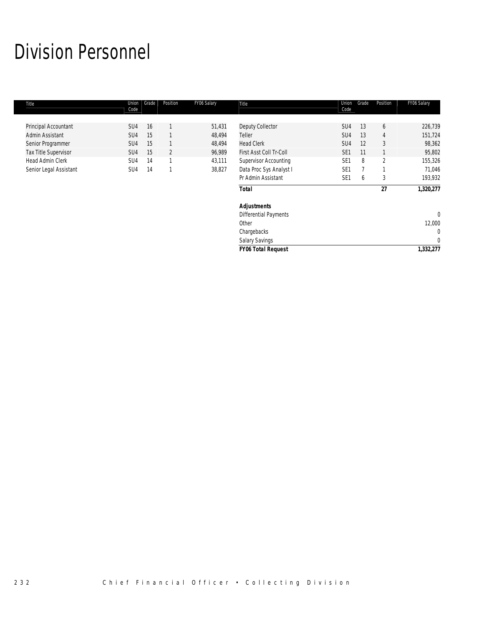# Division Personnel

| Title                  | Union<br>Code   | Grade | Position       | FY06 Salary | Title                        | Union<br>Code   | Grade | Position       | FY06 Salary  |
|------------------------|-----------------|-------|----------------|-------------|------------------------------|-----------------|-------|----------------|--------------|
|                        |                 |       |                |             |                              |                 |       |                |              |
| Principal Accountant   | SU <sub>4</sub> | 16    |                | 51,431      | Deputy Collector             | SU <sub>4</sub> | 13    | 6              | 226,739      |
| Admin Assistant        | SU <sub>4</sub> | 15    |                | 48,494      | Teller                       | SU <sub>4</sub> | 13    | 4              | 151,724      |
| Senior Programmer      | SU <sub>4</sub> | 15    |                | 48,494      | <b>Head Clerk</b>            | SU <sub>4</sub> | 12    | 3              | 98,362       |
| Tax Title Supervisor   | SU <sub>4</sub> | 15    | $\overline{2}$ | 96,989      | First Asst Coll Tr-Coll      | SE <sub>1</sub> | 11    |                | 95,802       |
| Head Admin Clerk       | SU4             | 14    |                | 43,111      | <b>Supervisor Accounting</b> | SE <sub>1</sub> | 8     | $\overline{2}$ | 155,326      |
| Senior Legal Assistant | SU <sub>4</sub> | 14    |                | 38,827      | Data Proc Sys Analyst I      | SE <sub>1</sub> |       |                | 71,046       |
|                        |                 |       |                |             | Pr Admin Assistant           | SE <sub>1</sub> | b     | 3              | 193,932      |
|                        |                 |       |                |             | <b>Total</b>                 |                 |       | 27             | 1,320,277    |
|                        |                 |       |                |             | <b>Adjustments</b>           |                 |       |                |              |
|                        |                 |       |                |             | <b>Differential Payments</b> |                 |       |                | $\mathbf{0}$ |
|                        |                 |       |                |             | Other                        |                 |       |                | 12,000       |
|                        |                 |       |                |             | Chargebacks                  |                 |       |                | $\mathbf{0}$ |
|                        |                 |       |                |             | Salary Savings               |                 |       |                | $\Omega$     |
|                        |                 |       |                |             | <b>FY06 Total Request</b>    |                 |       |                | 1,332,277    |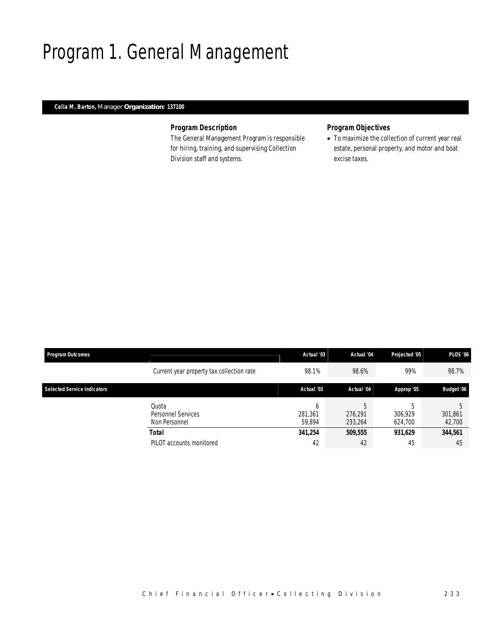### Program 1. General Management

#### *Celia M. Barton, Manager Organization: 137100*

#### *Program Description*

The General Management Program is responsible for hiring, training, and supervising Collection Division staff and systems.

#### *Program Objectives*

• To maximize the collection of current year real estate, personal property, and motor and boat excise taxes.

| <b>Program Outcomes</b>            |                                              | Actual '03             | Actual '04              | Projected '05           | <b>PLOS '06</b>   |
|------------------------------------|----------------------------------------------|------------------------|-------------------------|-------------------------|-------------------|
|                                    | Current year property tax collection rate    | 98.1%                  | 98.6%                   | 99%                     | 98.7%             |
| <b>Selected Service Indicators</b> |                                              | Actual '03             | Actual '04              | Approp '05              | <b>Budget '06</b> |
|                                    | Quota<br>Personnel Services<br>Non Personnel | h<br>281.361<br>59.894 | 5<br>276.291<br>233,264 | h<br>306.929<br>624.700 | 301,861<br>42,700 |
|                                    | Total                                        | 341,254                | 509,555                 | 931.629                 | 344,561           |
|                                    | PILOT accounts monitored                     | 42                     | 42                      | 45                      | 45                |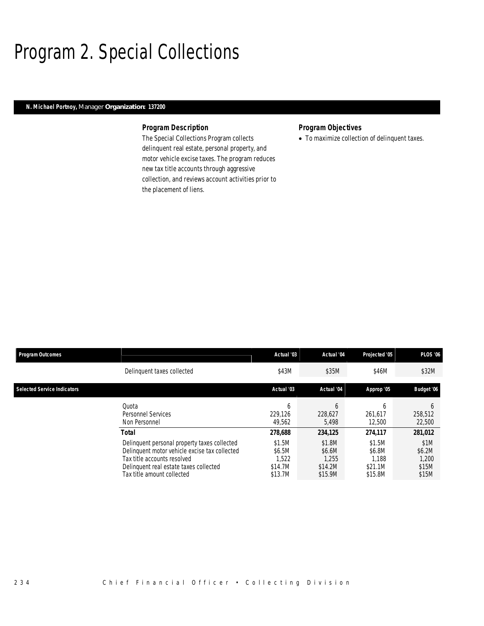### Program 2. Special Collections

#### *N. Michael Portnoy, Manager Organization: 137200*

#### *Program Description*

The Special Collections Program collects delinquent real estate, personal property, and motor vehicle excise taxes. The program reduces new tax title accounts through aggressive collection, and reviews account activities prior to the placement of liens.

#### *Program Objectives*

• To maximize collection of delinquent taxes.

| <b>Program Outcomes</b>            |                                                                                                                                                                                                               | Actual '03                                                 | Actual '04                                                 | Projected '05<br>\$46M                                     | <b>PLOS '06</b>                                      |  |
|------------------------------------|---------------------------------------------------------------------------------------------------------------------------------------------------------------------------------------------------------------|------------------------------------------------------------|------------------------------------------------------------|------------------------------------------------------------|------------------------------------------------------|--|
|                                    | Delinguent taxes collected                                                                                                                                                                                    | \$43M                                                      | \$35M                                                      |                                                            | \$32M                                                |  |
| <b>Selected Service Indicators</b> |                                                                                                                                                                                                               | Actual '03                                                 | Actual '04                                                 | Approp '05                                                 | Budget '06                                           |  |
|                                    | Ouota<br><b>Personnel Services</b><br>Non Personnel                                                                                                                                                           | <sub>b</sub><br>229.126<br>49.562                          | b<br>228,627<br>5.498                                      | <sub>6</sub><br>261.617<br>12,500                          | <sub>b</sub><br>258,512<br>22,500                    |  |
|                                    | Total<br>Delinquent personal property taxes collected<br>Delinquent motor vehicle excise tax collected<br>Tax title accounts resolved<br>Delinquent real estate taxes collected<br>Tax title amount collected | 278,688<br>\$1.5M<br>\$6.5M<br>1,522<br>\$14.7M<br>\$13.7M | 234,125<br>\$1.8M<br>\$6.6M<br>1.255<br>\$14.2M<br>\$15.9M | 274.117<br>\$1.5M<br>\$6.8M<br>1.188<br>\$21.1M<br>\$15.8M | 281,012<br>\$1M<br>\$6.2M<br>1,200<br>\$15M<br>\$15M |  |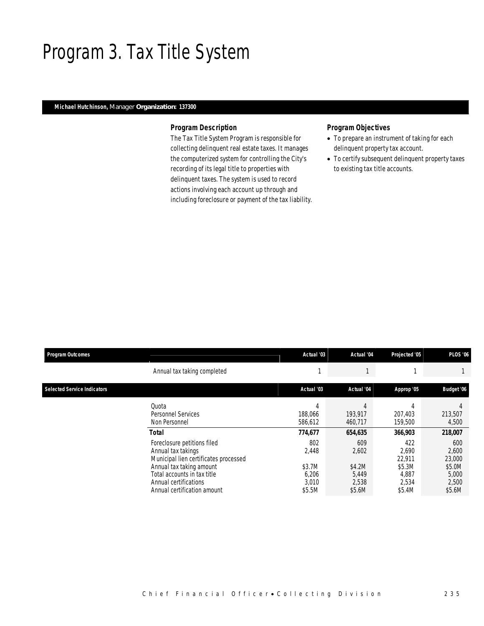### Program 3. Tax Title System

#### *Michael Hutchinson, Manager Organization: 137300*

#### *Program Description*

The Tax Title System Program is responsible for collecting delinquent real estate taxes. It manages the computerized system for controlling the City's recording of its legal title to properties with delinquent taxes. The system is used to record actions involving each account up through and including foreclosure or payment of the tax liability.

#### *Program Objectives*

- To prepare an instrument of taking for each delinquent property tax account.
- To certify subsequent delinquent property taxes to existing tax title accounts.

| <b>Program Outcomes</b>            |                                                                                                                                                                                                               | Actual '03                                         | Actual '04                                         | Projected '05                                                | <b>PLOS '06</b>                                              |
|------------------------------------|---------------------------------------------------------------------------------------------------------------------------------------------------------------------------------------------------------------|----------------------------------------------------|----------------------------------------------------|--------------------------------------------------------------|--------------------------------------------------------------|
|                                    | Annual tax taking completed                                                                                                                                                                                   |                                                    |                                                    |                                                              |                                                              |
| <b>Selected Service Indicators</b> |                                                                                                                                                                                                               | Actual '03                                         | Actual '04                                         | Approp '05                                                   | Budget '06                                                   |
|                                    | Quota<br><b>Personnel Services</b><br>Non Personnel                                                                                                                                                           | 4<br>188,066<br>586,612                            | 4<br>193,917<br>460,717                            | 207,403<br>159,500                                           | 213,507<br>4,500                                             |
|                                    | <b>Total</b>                                                                                                                                                                                                  | 774,677                                            | 654,635                                            | 366,903                                                      | 218,007                                                      |
|                                    | Foreclosure petitions filed<br>Annual tax takings<br>Municipal lien certificates processed<br>Annual tax taking amount<br>Total accounts in tax title<br>Annual certifications<br>Annual certification amount | 802<br>2,448<br>\$3.7M<br>6,206<br>3.010<br>\$5.5M | 609<br>2,602<br>\$4.2M<br>5,449<br>2,538<br>\$5.6M | 422<br>2,690<br>22.911<br>\$5.3M<br>4,887<br>2,534<br>\$5.4M | 600<br>2,600<br>23,000<br>\$5.0M<br>5,000<br>2,500<br>\$5.6M |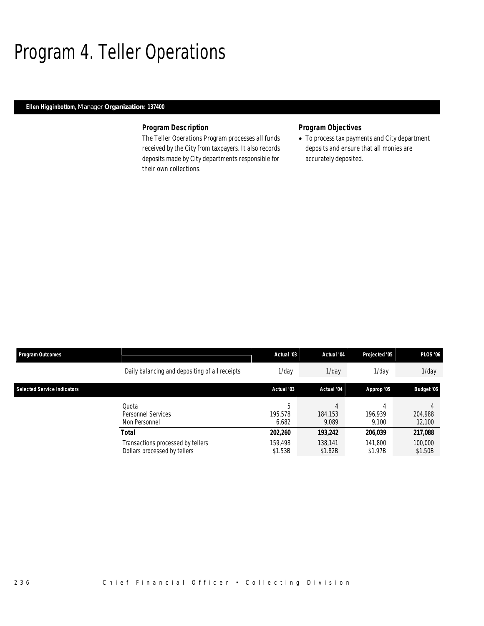### Program 4. Teller Operations

#### *Ellen Higginbottom, Manager Organization: 137400*

#### *Program Description*

The Teller Operations Program processes all funds received by the City from taxpayers. It also records deposits made by City departments responsible for their own collections.

#### *Program Objectives*

• To process tax payments and City department deposits and ensure that all monies are accurately deposited.

| <b>Program Outcomes</b>            |                                                                   | Actual '03            | Actual '04         | Projected '05      | <b>PLOS '06</b>    |
|------------------------------------|-------------------------------------------------------------------|-----------------------|--------------------|--------------------|--------------------|
|                                    | Daily balancing and depositing of all receipts                    | 1/dav                 | $1$ /day           | $1$ /day           | $1$ /day           |
| <b>Selected Service Indicators</b> |                                                                   | Actual '03            | Actual '04         | Approp '05         | Budget '06         |
|                                    | Quota<br>Personnel Services<br>Non Personnel                      | h<br>195.578<br>6,682 | 184.153<br>9,089   | 196.939<br>9.100   | 204,988<br>12,100  |
|                                    | <b>Total</b>                                                      | 202,260               | 193,242            | 206,039            | 217,088            |
|                                    | Transactions processed by tellers<br>Dollars processed by tellers | 159.498<br>\$1.53B    | 138.141<br>\$1.82B | 141.800<br>\$1.97B | 100,000<br>\$1.50B |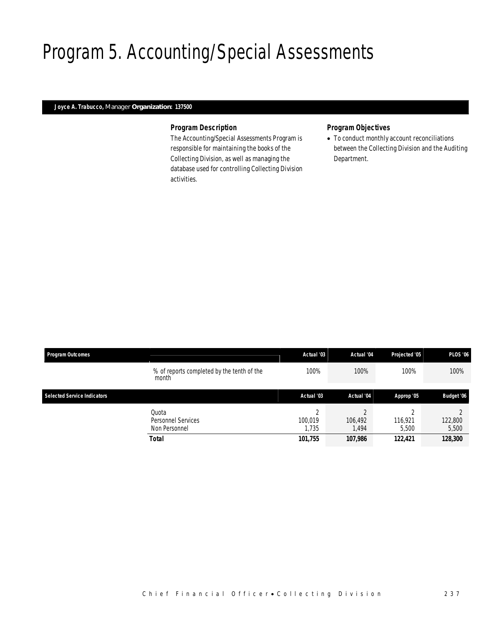# Program 5. Accounting/Special Assessments

### *Joyce A. Trabucco, Manager Organization: 137500*

### *Program Description*

The Accounting/Special Assessments Program is responsible for maintaining the books of the Collecting Division, as well as managing the database used for controlling Collecting Division activities.

### *Program Objectives*

• To conduct monthly account reconciliations between the Collecting Division and the Auditing Department.

| <b>Program Outcomes</b>            |                                                              | Actual '03                       | Actual '04                 | Projected '05               | <b>PLOS '06</b>             |
|------------------------------------|--------------------------------------------------------------|----------------------------------|----------------------------|-----------------------------|-----------------------------|
|                                    | % of reports completed by the tenth of the<br>month          | 100%                             | 100%                       | 100%                        | 100%                        |
| <b>Selected Service Indicators</b> |                                                              | Actual '03                       | Actual '04                 | Approp '05                  | Budget '06                  |
|                                    | Quota<br>Personnel Services<br>Non Personnel<br><b>Total</b> | ∩<br>100.019<br>1.735<br>101,755 | 106,492<br>.494<br>107,986 | 116,921<br>5.500<br>122,421 | 122,800<br>5,500<br>128,300 |